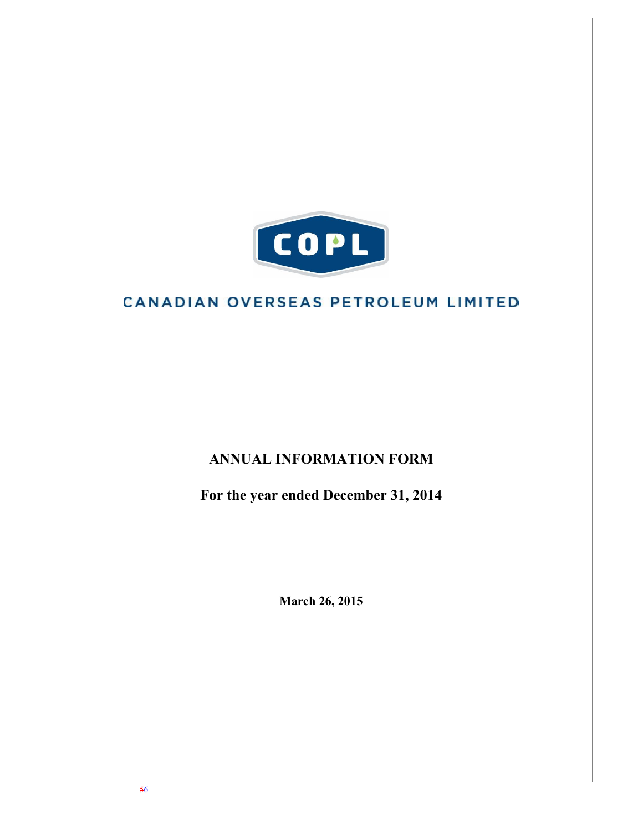

# CANADIAN OVERSEAS PETROLEUM LIMITED

# **ANNUAL INFORMATION FORM**

**For the year ended December 31, 2014**

**March 26, 2015**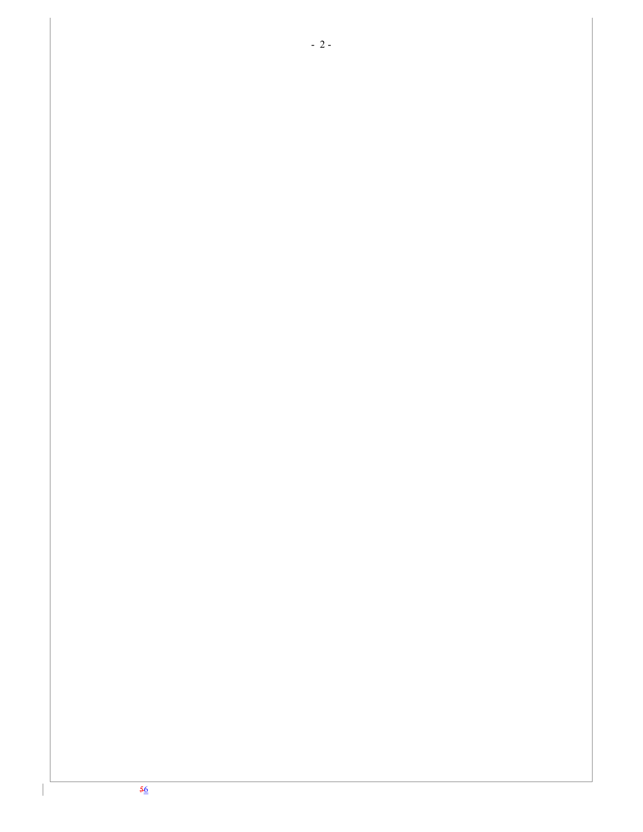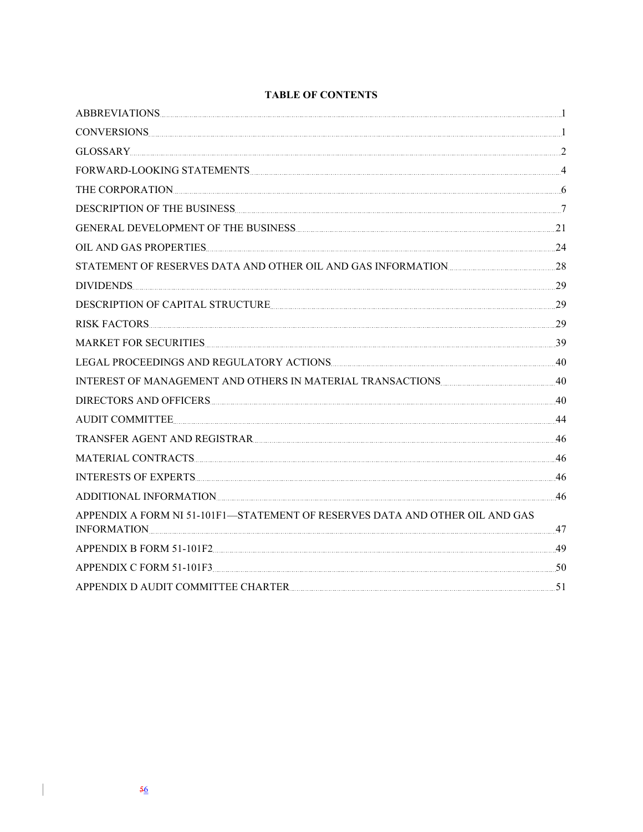# **TABLE OF CONTENTS**

| CONVERSIONS TELEVISIONS AND RESERVE TO A RESERVE THE RESERVE TO A RESERVE THE RESERVE TO A RESERVE THE RESERVE TO A RESERVE THE RESERVE TO A RESERVE THE RESERVE TO A RESERVE THE RESERVE TO A RESERVE THE RESERVE TO A RESERV |     |
|--------------------------------------------------------------------------------------------------------------------------------------------------------------------------------------------------------------------------------|-----|
| GLOSSARY 2                                                                                                                                                                                                                     |     |
|                                                                                                                                                                                                                                |     |
| THE CORPORATION 6                                                                                                                                                                                                              |     |
| DESCRIPTION OF THE BUSINESS ENTITLED ASSESS AND THE BUSINESS AND THE BUSINESS AND THE BUSINESS AND THE BUSINESS                                                                                                                |     |
| GENERAL DEVELOPMENT OF THE BUSINESS 21 22                                                                                                                                                                                      |     |
| OIL AND GAS PROPERTIES 24                                                                                                                                                                                                      |     |
|                                                                                                                                                                                                                                |     |
| DIVIDENDS 29                                                                                                                                                                                                                   |     |
| DESCRIPTION OF CAPITAL STRUCTURE 29                                                                                                                                                                                            |     |
| RISK FACTORS 29                                                                                                                                                                                                                |     |
|                                                                                                                                                                                                                                |     |
| LEGAL PROCEEDINGS AND REGULATORY ACTIONS <b>Example 2008</b> 40                                                                                                                                                                |     |
| INTEREST OF MANAGEMENT AND OTHERS IN MATERIAL TRANSACTIONS 40                                                                                                                                                                  |     |
| DIRECTORS AND OFFICERS 40 and the state of the state of the state of the state of the state of the state of the state of the state of the state of the state of the state of the state of the state of the state of the state  |     |
| AUDIT COMMITTEE                                                                                                                                                                                                                |     |
| TRANSFER AGENT AND REGISTRAR 46                                                                                                                                                                                                |     |
|                                                                                                                                                                                                                                |     |
|                                                                                                                                                                                                                                |     |
| ADDITIONAL INFORMATION                                                                                                                                                                                                         | 46  |
| APPENDIX A FORM NI 51-101F1-STATEMENT OF RESERVES DATA AND OTHER OIL AND GAS                                                                                                                                                   |     |
| APPENDIX B FORM 51-101F2                                                                                                                                                                                                       | .49 |
| APPENDIX C FORM 51-101F3 50                                                                                                                                                                                                    |     |
| APPENDIX D AUDIT COMMITTEE CHARTER                                                                                                                                                                                             |     |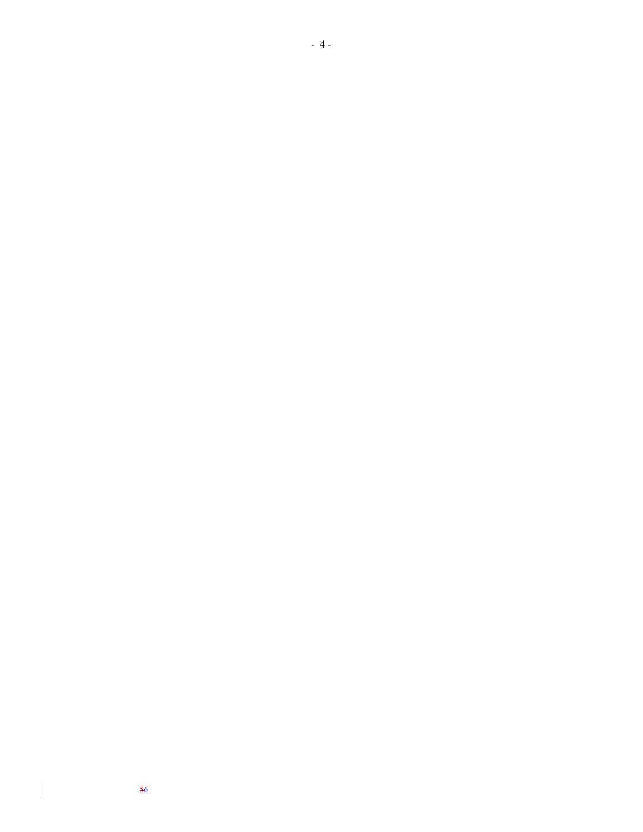

 $\begin{array}{c} \hline \end{array}$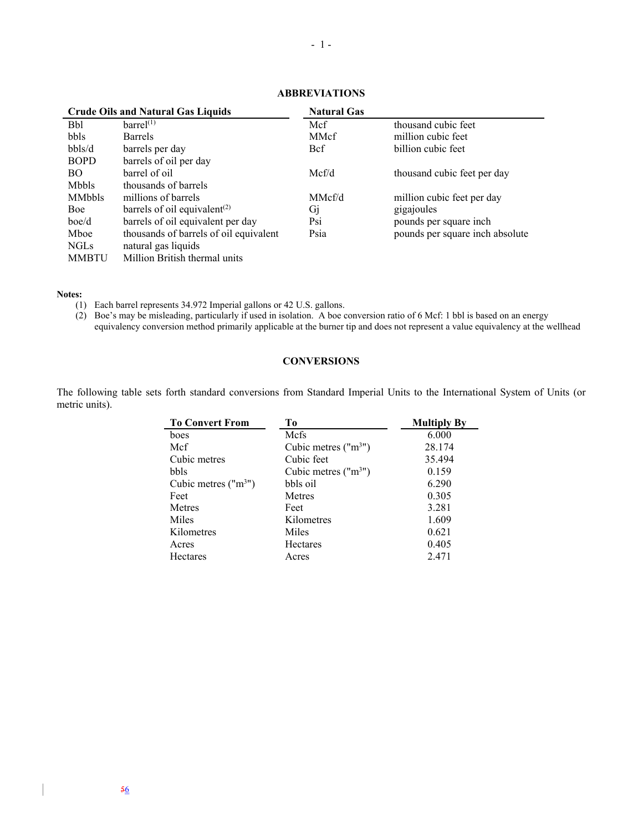|               | <b>Crude Oils and Natural Gas Liquids</b> | <b>Natural Gas</b> |                                 |
|---------------|-------------------------------------------|--------------------|---------------------------------|
| <b>Bbl</b>    | barrel <sup>(1)</sup>                     | Mcf                | thousand cubic feet             |
| <b>bbls</b>   | <b>Barrels</b>                            | MMcf               | million cubic feet              |
| bbls/d        | barrels per day                           | <b>B</b> cf        | billion cubic feet              |
| <b>BOPD</b>   | barrels of oil per day                    |                    |                                 |
| BO.           | barrel of oil                             | Mcf/d              | thousand cubic feet per day     |
| <b>Mbbls</b>  | thousands of barrels                      |                    |                                 |
| <b>MMbbls</b> | millions of barrels                       | MMcf/d             | million cubic feet per day      |
| Boe           | barrels of oil equivalent <sup>(2)</sup>  | Gj                 | gigajoules                      |
| boe/d         | barrels of oil equivalent per day         | Psi                | pounds per square inch          |
| Mboe          | thousands of barrels of oil equivalent    | Psia               | pounds per square inch absolute |
| NGLs          | natural gas liquids                       |                    |                                 |
| <b>MMBTU</b>  | Million British thermal units             |                    |                                 |

# **ABBREVIATIONS**

#### **Notes:**

- (1) Each barrel represents 34.972 Imperial gallons or 42 U.S. gallons.
- (2) Boe's may be misleading, particularly if used in isolation. A boe conversion ratio of 6 Mcf: 1 bbl is based on an energy equivalency conversion method primarily applicable at the burner tip and does not represent a value equivalency at the wellhead

# **CONVERSIONS**

The following table sets forth standard conversions from Standard Imperial Units to the International System of Units (or metric units).

| <b>To Convert From</b> | Тo                   | <b>Multiply By</b> |
|------------------------|----------------------|--------------------|
| boes                   | Mcfs                 | 6.000              |
| Mcf                    | Cubic metres $("m3)$ | 28.174             |
| Cubic metres           | Cubic feet           | 35.494             |
| bbls                   | Cubic metres $("m3)$ | 0.159              |
| Cubic metres $("m3)$   | bbls oil             | 6.290              |
| Feet                   | Metres               | 0.305              |
| <b>Metres</b>          | Feet                 | 3.281              |
| Miles                  | Kilometres           | 1.609              |
| Kilometres             | Miles                | 0.621              |
| Acres                  | <b>Hectares</b>      | 0.405              |
| <b>Hectares</b>        | Acres                | 2.471              |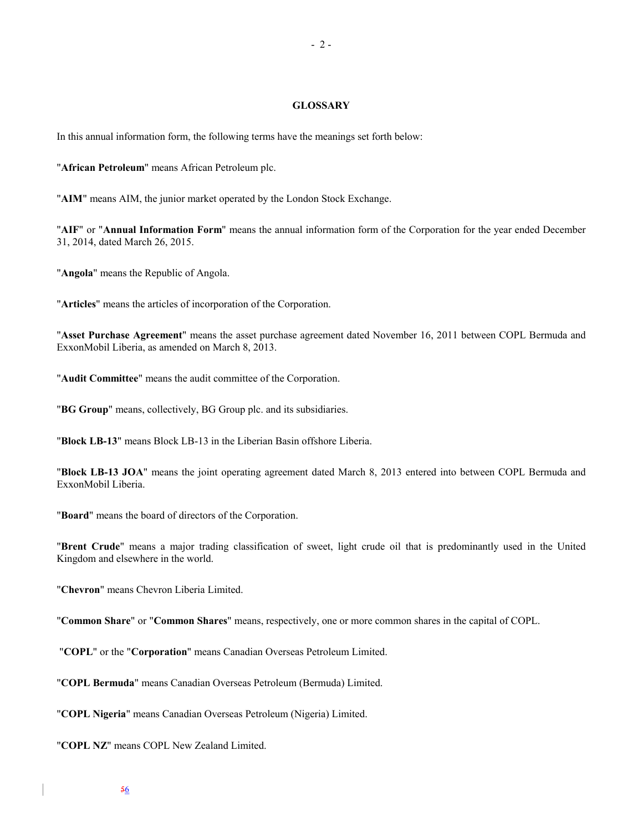#### **GLOSSARY**

In this annual information form, the following terms have the meanings set forth below:

"**African Petroleum**" means African Petroleum plc.

"**AIM**" means AIM, the junior market operated by the London Stock Exchange.

"**AIF**" or "**Annual Information Form**" means the annual information form of the Corporation for the year ended December 31, 2014, dated March 26, 2015.

"**Angola**" means the Republic of Angola.

"**Articles**" means the articles of incorporation of the Corporation.

"**Asset Purchase Agreement**" means the asset purchase agreement dated November 16, 2011 between COPL Bermuda and ExxonMobil Liberia, as amended on March 8, 2013.

"**Audit Committee**" means the audit committee of the Corporation.

"**BG Group**" means, collectively, BG Group plc. and its subsidiaries.

"**Block LB-13**" means Block LB-13 in the Liberian Basin offshore Liberia.

"**Block LB-13 JOA**" means the joint operating agreement dated March 8, 2013 entered into between COPL Bermuda and ExxonMobil Liberia.

"**Board**" means the board of directors of the Corporation.

"**Brent Crude**" means a major trading classification of sweet, light crude oil that is predominantly used in the United Kingdom and elsewhere in the world.

"**Chevron**" means Chevron Liberia Limited.

"**Common Share**" or "**Common Shares**" means, respectively, one or more common shares in the capital of COPL.

"**COPL**" or the "**Corporation**" means Canadian Overseas Petroleum Limited.

"**COPL Bermuda**" means Canadian Overseas Petroleum (Bermuda) Limited.

"**COPL Nigeria**" means Canadian Overseas Petroleum (Nigeria) Limited.

"**COPL NZ**" means COPL New Zealand Limited.

 $\frac{56}{2}$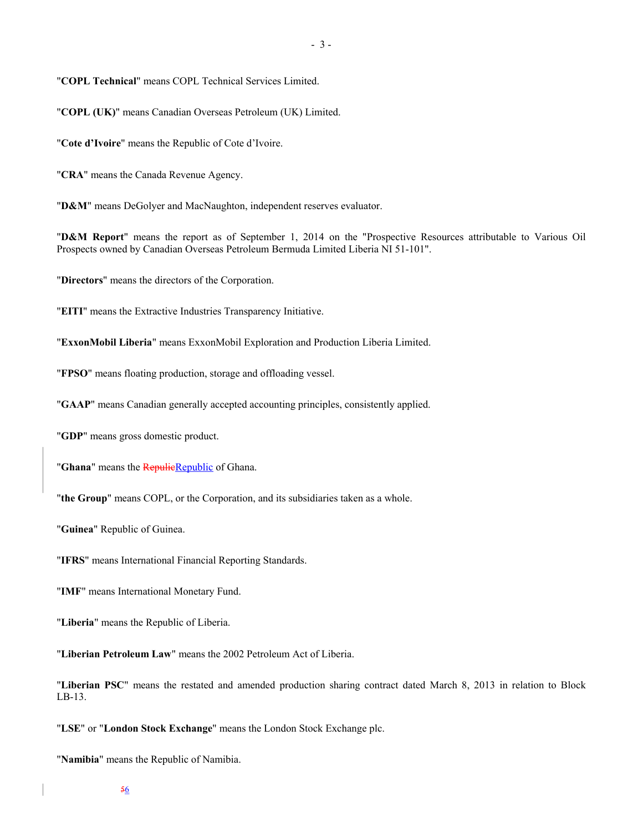"**COPL Technical**" means COPL Technical Services Limited.

"**COPL (UK)**" means Canadian Overseas Petroleum (UK) Limited.

"**Cote d'Ivoire**" means the Republic of Cote d'Ivoire.

"**CRA**" means the Canada Revenue Agency.

"**D&M**" means DeGolyer and MacNaughton, independent reserves evaluator.

"**D&M Report**" means the report as of September 1, 2014 on the "Prospective Resources attributable to Various Oil Prospects owned by Canadian Overseas Petroleum Bermuda Limited Liberia NI 51-101".

"**Directors**" means the directors of the Corporation.

"**EITI**" means the Extractive Industries Transparency Initiative.

"**ExxonMobil Liberia**" means ExxonMobil Exploration and Production Liberia Limited.

"**FPSO**" means floating production, storage and offloading vessel.

"**GAAP**" means Canadian generally accepted accounting principles, consistently applied.

"**GDP**" means gross domestic product.

"Ghana" means the RepulicRepublic of Ghana.

"**the Group**" means COPL, or the Corporation, and its subsidiaries taken as a whole.

"**Guinea**" Republic of Guinea.

"**IFRS**" means International Financial Reporting Standards.

"**IMF**" means International Monetary Fund.

"**Liberia**" means the Republic of Liberia.

"**Liberian Petroleum Law**" means the 2002 Petroleum Act of Liberia.

"**Liberian PSC**" means the restated and amended production sharing contract dated March 8, 2013 in relation to Block LB-13.

"**LSE**" or "**London Stock Exchange**" means the London Stock Exchange plc.

"**Namibia**" means the Republic of Namibia.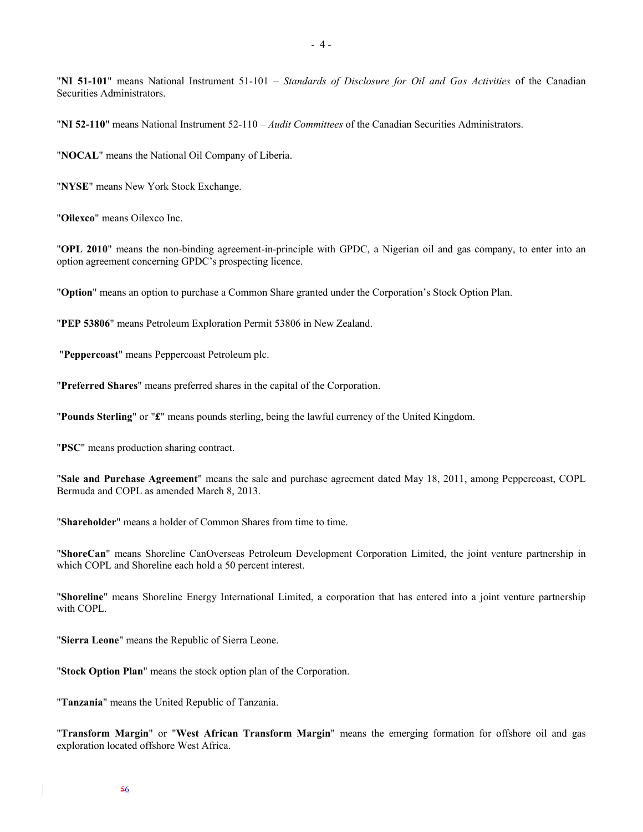"**NI 51-101**" means National Instrument 51-101 – *Standards of Disclosure for Oil and Gas Activities* of the Canadian Securities Administrators.

"**NI 52-110**" means National Instrument 52-110 – *Audit Committees* of the Canadian Securities Administrators.

"**NOCAL**" means the National Oil Company of Liberia.

"**NYSE**" means New York Stock Exchange.

"**Oilexco**" means Oilexco Inc.

"**OPL 2010**" means the non-binding agreement-in-principle with GPDC, a Nigerian oil and gas company, to enter into an option agreement concerning GPDC's prospecting licence.

"**Option**" means an option to purchase a Common Share granted under the Corporation's Stock Option Plan.

"**PEP 53806**" means Petroleum Exploration Permit 53806 in New Zealand.

"**Peppercoast**" means Peppercoast Petroleum plc.

"**Preferred Shares**" means preferred shares in the capital of the Corporation.

"**Pounds Sterling**" or "**£**" means pounds sterling, being the lawful currency of the United Kingdom.

"**PSC**" means production sharing contract.

"**Sale and Purchase Agreement**" means the sale and purchase agreement dated May 18, 2011, among Peppercoast, COPL Bermuda and COPL as amended March 8, 2013.

"**Shareholder**" means a holder of Common Shares from time to time.

"**ShoreCan**" means Shoreline CanOverseas Petroleum Development Corporation Limited, the joint venture partnership in which COPL and Shoreline each hold a 50 percent interest.

"**Shoreline**" means Shoreline Energy International Limited, a corporation that has entered into a joint venture partnership with COPL.

"**Sierra Leone**" means the Republic of Sierra Leone.

"**Stock Option Plan**" means the stock option plan of the Corporation.

"**Tanzania**" means the United Republic of Tanzania.

"**Transform Margin**" or "**West African Transform Margin**" means the emerging formation for offshore oil and gas exploration located offshore West Africa.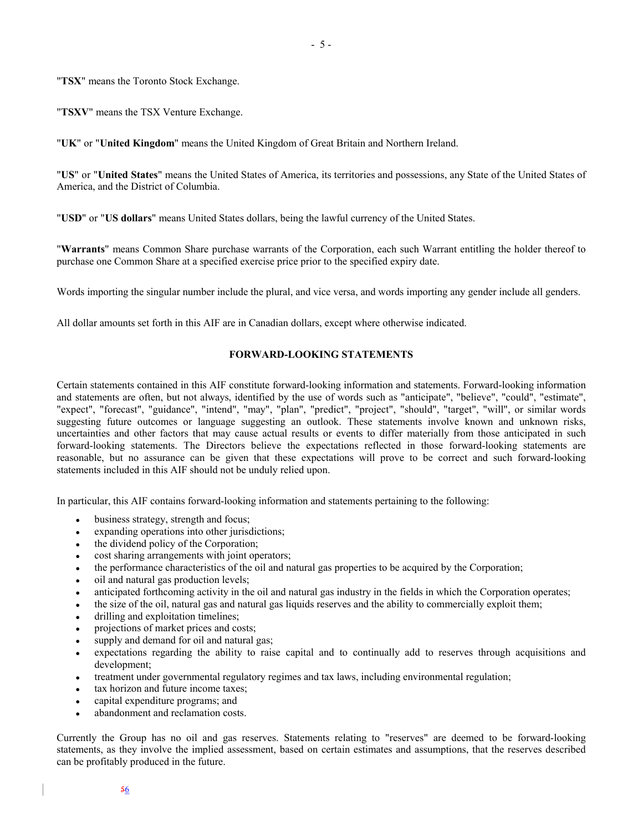"**TSX**" means the Toronto Stock Exchange.

"**TSXV**" means the TSX Venture Exchange.

"**UK**" or "**United Kingdom**" means the United Kingdom of Great Britain and Northern Ireland.

"**US**" or "**United States**" means the United States of America, its territories and possessions, any State of the United States of America, and the District of Columbia.

"**USD**" or "**US dollars**" means United States dollars, being the lawful currency of the United States.

"**Warrants**" means Common Share purchase warrants of the Corporation, each such Warrant entitling the holder thereof to purchase one Common Share at a specified exercise price prior to the specified expiry date.

Words importing the singular number include the plural, and vice versa, and words importing any gender include all genders.

All dollar amounts set forth in this AIF are in Canadian dollars, except where otherwise indicated.

# **FORWARD-LOOKING STATEMENTS**

Certain statements contained in this AIF constitute forward-looking information and statements. Forward-looking information and statements are often, but not always, identified by the use of words such as "anticipate", "believe", "could", "estimate", "expect", "forecast", "guidance", "intend", "may", "plan", "predict", "project", "should", "target", "will", or similar words suggesting future outcomes or language suggesting an outlook. These statements involve known and unknown risks, uncertainties and other factors that may cause actual results or events to differ materially from those anticipated in such forward-looking statements. The Directors believe the expectations reflected in those forward-looking statements are reasonable, but no assurance can be given that these expectations will prove to be correct and such forward-looking statements included in this AIF should not be unduly relied upon.

In particular, this AIF contains forward-looking information and statements pertaining to the following:

- business strategy, strength and focus;
- expanding operations into other jurisdictions;
- the dividend policy of the Corporation;
- cost sharing arrangements with joint operators;
- the performance characteristics of the oil and natural gas properties to be acquired by the Corporation;
- oil and natural gas production levels;
- anticipated forthcoming activity in the oil and natural gas industry in the fields in which the Corporation operates;
- the size of the oil, natural gas and natural gas liquids reserves and the ability to commercially exploit them;
- drilling and exploitation timelines;
- projections of market prices and costs;
- supply and demand for oil and natural gas;
- expectations regarding the ability to raise capital and to continually add to reserves through acquisitions and development;
- treatment under governmental regulatory regimes and tax laws, including environmental regulation;
- tax horizon and future income taxes;
- capital expenditure programs; and
- abandonment and reclamation costs.

Currently the Group has no oil and gas reserves. Statements relating to "reserves" are deemed to be forward-looking statements, as they involve the implied assessment, based on certain estimates and assumptions, that the reserves described can be profitably produced in the future.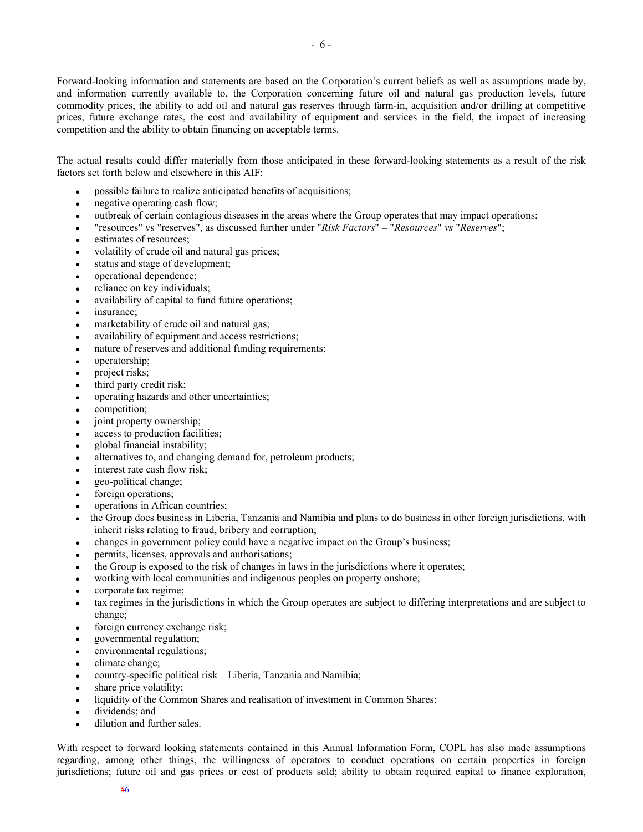Forward-looking information and statements are based on the Corporation's current beliefs as well as assumptions made by, and information currently available to, the Corporation concerning future oil and natural gas production levels, future commodity prices, the ability to add oil and natural gas reserves through farm-in, acquisition and/or drilling at competitive prices, future exchange rates, the cost and availability of equipment and services in the field, the impact of increasing competition and the ability to obtain financing on acceptable terms.

The actual results could differ materially from those anticipated in these forward-looking statements as a result of the risk factors set forth below and elsewhere in this AIF:

- possible failure to realize anticipated benefits of acquisitions;
- negative operating cash flow;
- outbreak of certain contagious diseases in the areas where the Group operates that may impact operations;
- "resources" vs "reserves", as discussed further under "*Risk Factors*" "*Resources*" *vs* "*Reserves*";
- estimates of resources:
- volatility of crude oil and natural gas prices;
- status and stage of development;
- operational dependence;
- reliance on key individuals;
- availability of capital to fund future operations;
- insurance;
- marketability of crude oil and natural gas;
- availability of equipment and access restrictions;
- nature of reserves and additional funding requirements;
- operatorship:
- project risks;
- third party credit risk;
- operating hazards and other uncertainties;
- competition;
- joint property ownership;
- access to production facilities;
- global financial instability;
- alternatives to, and changing demand for, petroleum products;
- interest rate cash flow risk;
- geo-political change;
- foreign operations;
- operations in African countries;
- the Group does business in Liberia, Tanzania and Namibia and plans to do business in other foreign jurisdictions, with inherit risks relating to fraud, bribery and corruption;
- changes in government policy could have a negative impact on the Group's business;
- permits, licenses, approvals and authorisations;
- the Group is exposed to the risk of changes in laws in the jurisdictions where it operates;
- working with local communities and indigenous peoples on property onshore;
- corporate tax regime;
- tax regimes in the jurisdictions in which the Group operates are subject to differing interpretations and are subject to change;
- foreign currency exchange risk;
- governmental regulation;
- environmental regulations;
- climate change:
- country-specific political risk—Liberia, Tanzania and Namibia;
- share price volatility;
- liquidity of the Common Shares and realisation of investment in Common Shares;
- dividends; and

 $56$ 

dilution and further sales.

With respect to forward looking statements contained in this Annual Information Form, COPL has also made assumptions regarding, among other things, the willingness of operators to conduct operations on certain properties in foreign jurisdictions; future oil and gas prices or cost of products sold; ability to obtain required capital to finance exploration,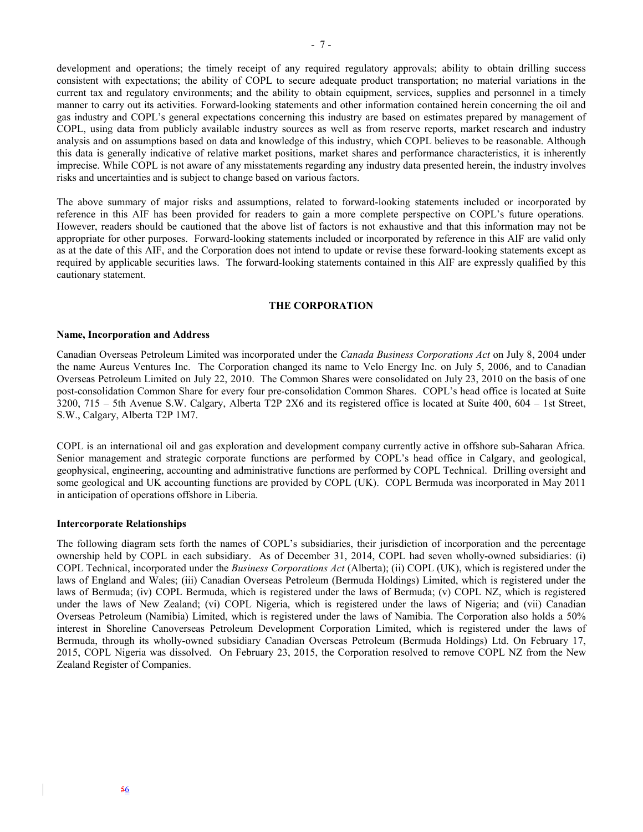development and operations; the timely receipt of any required regulatory approvals; ability to obtain drilling success consistent with expectations; the ability of COPL to secure adequate product transportation; no material variations in the current tax and regulatory environments; and the ability to obtain equipment, services, supplies and personnel in a timely manner to carry out its activities. Forward-looking statements and other information contained herein concerning the oil and gas industry and COPL's general expectations concerning this industry are based on estimates prepared by management of COPL, using data from publicly available industry sources as well as from reserve reports, market research and industry analysis and on assumptions based on data and knowledge of this industry, which COPL believes to be reasonable. Although this data is generally indicative of relative market positions, market shares and performance characteristics, it is inherently imprecise. While COPL is not aware of any misstatements regarding any industry data presented herein, the industry involves risks and uncertainties and is subject to change based on various factors.

The above summary of major risks and assumptions, related to forward-looking statements included or incorporated by reference in this AIF has been provided for readers to gain a more complete perspective on COPL's future operations. However, readers should be cautioned that the above list of factors is not exhaustive and that this information may not be appropriate for other purposes. Forward-looking statements included or incorporated by reference in this AIF are valid only as at the date of this AIF, and the Corporation does not intend to update or revise these forward-looking statements except as required by applicable securities laws. The forward-looking statements contained in this AIF are expressly qualified by this cautionary statement.

# **THE CORPORATION**

# **Name, Incorporation and Address**

Canadian Overseas Petroleum Limited was incorporated under the *Canada Business Corporations Act* on July 8, 2004 under the name Aureus Ventures Inc. The Corporation changed its name to Velo Energy Inc. on July 5, 2006, and to Canadian Overseas Petroleum Limited on July 22, 2010. The Common Shares were consolidated on July 23, 2010 on the basis of one post-consolidation Common Share for every four pre-consolidation Common Shares. COPL's head office is located at Suite 3200, 715 – 5th Avenue S.W. Calgary, Alberta T2P 2X6 and its registered office is located at Suite 400, 604 – 1st Street, S.W., Calgary, Alberta T2P 1M7.

COPL is an international oil and gas exploration and development company currently active in offshore sub-Saharan Africa. Senior management and strategic corporate functions are performed by COPL's head office in Calgary, and geological, geophysical, engineering, accounting and administrative functions are performed by COPL Technical. Drilling oversight and some geological and UK accounting functions are provided by COPL (UK). COPL Bermuda was incorporated in May 2011 in anticipation of operations offshore in Liberia.

#### **Intercorporate Relationships**

The following diagram sets forth the names of COPL's subsidiaries, their jurisdiction of incorporation and the percentage ownership held by COPL in each subsidiary. As of December 31, 2014, COPL had seven wholly-owned subsidiaries: (i) COPL Technical, incorporated under the *Business Corporations Act* (Alberta); (ii) COPL (UK), which is registered under the laws of England and Wales; (iii) Canadian Overseas Petroleum (Bermuda Holdings) Limited, which is registered under the laws of Bermuda; (iv) COPL Bermuda, which is registered under the laws of Bermuda; (v) COPL NZ, which is registered under the laws of New Zealand; (vi) COPL Nigeria, which is registered under the laws of Nigeria; and (vii) Canadian Overseas Petroleum (Namibia) Limited, which is registered under the laws of Namibia. The Corporation also holds a 50% interest in Shoreline Canoverseas Petroleum Development Corporation Limited, which is registered under the laws of Bermuda, through its wholly-owned subsidiary Canadian Overseas Petroleum (Bermuda Holdings) Ltd. On February 17, 2015, COPL Nigeria was dissolved. On February 23, 2015, the Corporation resolved to remove COPL NZ from the New Zealand Register of Companies.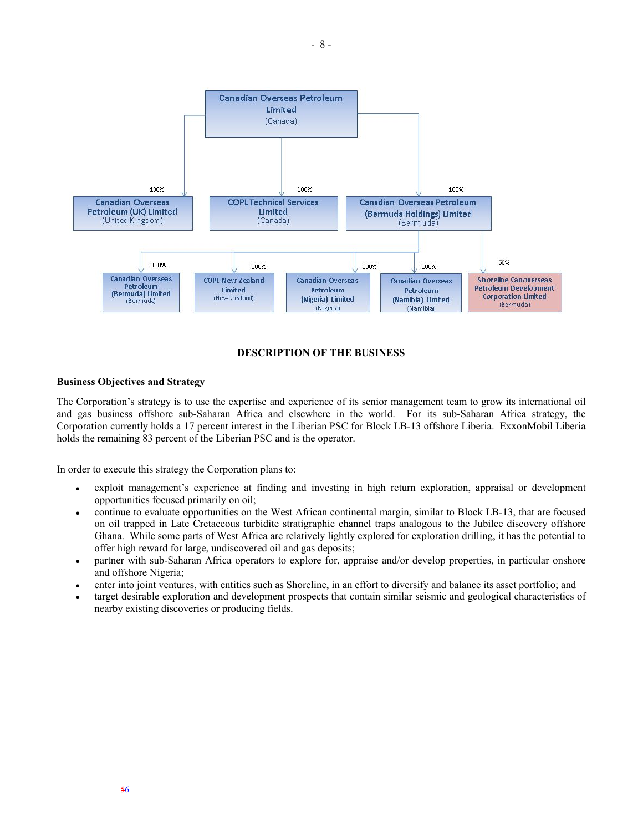

# **DESCRIPTION OF THE BUSINESS**

# **Business Objectives and Strategy**

The Corporation's strategy is to use the expertise and experience of its senior management team to grow its international oil and gas business offshore sub-Saharan Africa and elsewhere in the world. For its sub-Saharan Africa strategy, the Corporation currently holds a 17 percent interest in the Liberian PSC for Block LB-13 offshore Liberia. ExxonMobil Liberia holds the remaining 83 percent of the Liberian PSC and is the operator.

In order to execute this strategy the Corporation plans to:

- exploit management's experience at finding and investing in high return exploration, appraisal or development opportunities focused primarily on oil;
- continue to evaluate opportunities on the West African continental margin, similar to Block LB-13, that are focused on oil trapped in Late Cretaceous turbidite stratigraphic channel traps analogous to the Jubilee discovery offshore Ghana. While some parts of West Africa are relatively lightly explored for exploration drilling, it has the potential to offer high reward for large, undiscovered oil and gas deposits;
- partner with sub-Saharan Africa operators to explore for, appraise and/or develop properties, in particular onshore and offshore Nigeria;
- enter into joint ventures, with entities such as Shoreline, in an effort to diversify and balance its asset portfolio; and
- target desirable exploration and development prospects that contain similar seismic and geological characteristics of nearby existing discoveries or producing fields.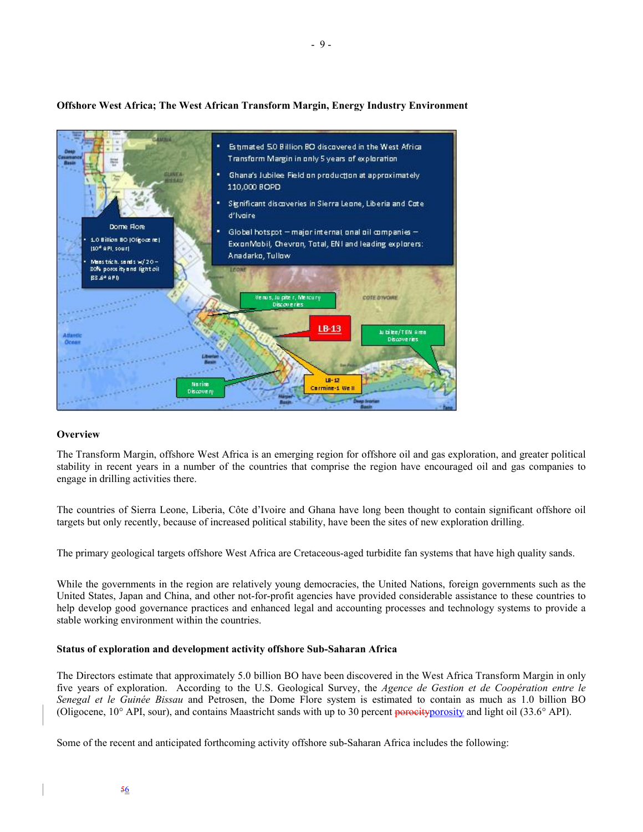

# **Offshore West Africa; The West African Transform Margin, Energy Industry Environment**

# **Overview**

The Transform Margin, offshore West Africa is an emerging region for offshore oil and gas exploration, and greater political stability in recent years in a number of the countries that comprise the region have encouraged oil and gas companies to engage in drilling activities there.

The countries of Sierra Leone, Liberia, Côte d'Ivoire and Ghana have long been thought to contain significant offshore oil targets but only recently, because of increased political stability, have been the sites of new exploration drilling.

The primary geological targets offshore West Africa are Cretaceous-aged turbidite fan systems that have high quality sands.

While the governments in the region are relatively young democracies, the United Nations, foreign governments such as the United States, Japan and China, and other not-for-profit agencies have provided considerable assistance to these countries to help develop good governance practices and enhanced legal and accounting processes and technology systems to provide a stable working environment within the countries.

#### **Status of exploration and development activity offshore Sub-Saharan Africa**

The Directors estimate that approximately 5.0 billion BO have been discovered in the West Africa Transform Margin in only five years of exploration. According to the U.S. Geological Survey, the *Agence de Gestion et de Coopération entre le Senegal et le Guinée Bissau* and Petrosen, the Dome Flore system is estimated to contain as much as 1.0 billion BO (Oligocene,  $10^{\circ}$  API, sour), and contains Maastricht sands with up to 30 percent porocity and light oil (33.6 $^{\circ}$  API).

Some of the recent and anticipated forthcoming activity offshore sub-Saharan Africa includes the following: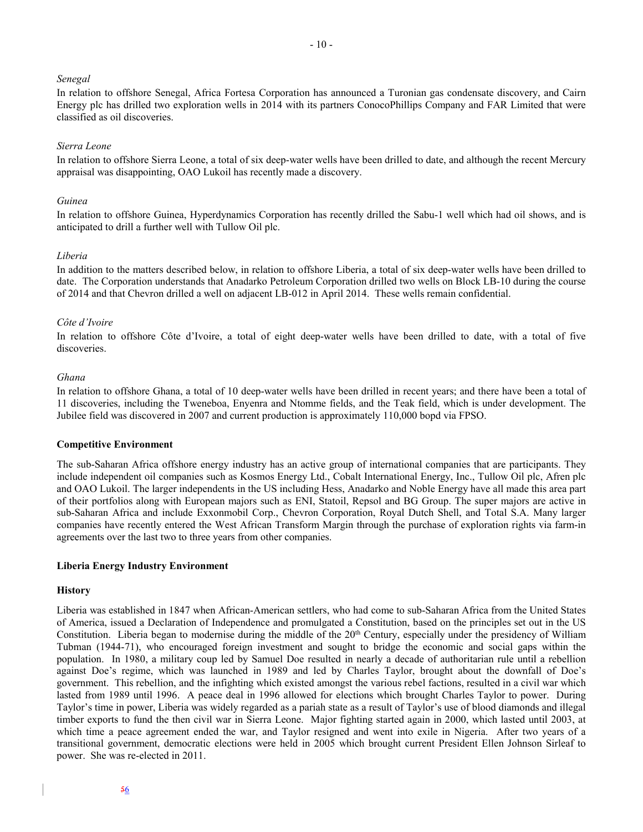# *Senegal*

In relation to offshore Senegal, Africa Fortesa Corporation has announced a Turonian gas condensate discovery, and Cairn Energy plc has drilled two exploration wells in 2014 with its partners ConocoPhillips Company and FAR Limited that were classified as oil discoveries.

#### *Sierra Leone*

In relation to offshore Sierra Leone, a total of six deep-water wells have been drilled to date, and although the recent Mercury appraisal was disappointing, OAO Lukoil has recently made a discovery.

#### *Guinea*

In relation to offshore Guinea, Hyperdynamics Corporation has recently drilled the Sabu-1 well which had oil shows, and is anticipated to drill a further well with Tullow Oil plc.

# *Liberia*

In addition to the matters described below, in relation to offshore Liberia, a total of six deep-water wells have been drilled to date. The Corporation understands that Anadarko Petroleum Corporation drilled two wells on Block LB-10 during the course of 2014 and that Chevron drilled a well on adjacent LB-012 in April 2014. These wells remain confidential.

#### *Côte d'Ivoire*

In relation to offshore Côte d'Ivoire, a total of eight deep-water wells have been drilled to date, with a total of five discoveries.

#### *Ghana*

In relation to offshore Ghana, a total of 10 deep-water wells have been drilled in recent years; and there have been a total of 11 discoveries, including the Tweneboa, Enyenra and Ntomme fields, and the Teak field, which is under development. The Jubilee field was discovered in 2007 and current production is approximately 110,000 bopd via FPSO.

#### **Competitive Environment**

The sub-Saharan Africa offshore energy industry has an active group of international companies that are participants. They include independent oil companies such as Kosmos Energy Ltd., Cobalt International Energy, Inc., Tullow Oil plc, Afren plc and OAO Lukoil. The larger independents in the US including Hess, Anadarko and Noble Energy have all made this area part of their portfolios along with European majors such as ENI, Statoil, Repsol and BG Group. The super majors are active in sub-Saharan Africa and include Exxonmobil Corp., Chevron Corporation, Royal Dutch Shell, and Total S.A. Many larger companies have recently entered the West African Transform Margin through the purchase of exploration rights via farm-in agreements over the last two to three years from other companies.

# **Liberia Energy Industry Environment**

#### **History**

Liberia was established in 1847 when African-American settlers, who had come to sub-Saharan Africa from the United States of America, issued a Declaration of Independence and promulgated a Constitution, based on the principles set out in the US Constitution. Liberia began to modernise during the middle of the  $20<sup>th</sup>$  Century, especially under the presidency of William Tubman (1944-71), who encouraged foreign investment and sought to bridge the economic and social gaps within the population. In 1980, a military coup led by Samuel Doe resulted in nearly a decade of authoritarian rule until a rebellion against Doe's regime, which was launched in 1989 and led by Charles Taylor, brought about the downfall of Doe's government. This rebellion, and the infighting which existed amongst the various rebel factions, resulted in a civil war which lasted from 1989 until 1996. A peace deal in 1996 allowed for elections which brought Charles Taylor to power. During Taylor's time in power, Liberia was widely regarded as a pariah state as a result of Taylor's use of blood diamonds and illegal timber exports to fund the then civil war in Sierra Leone. Major fighting started again in 2000, which lasted until 2003, at which time a peace agreement ended the war, and Taylor resigned and went into exile in Nigeria. After two years of a transitional government, democratic elections were held in 2005 which brought current President Ellen Johnson Sirleaf to power. She was re-elected in 2011.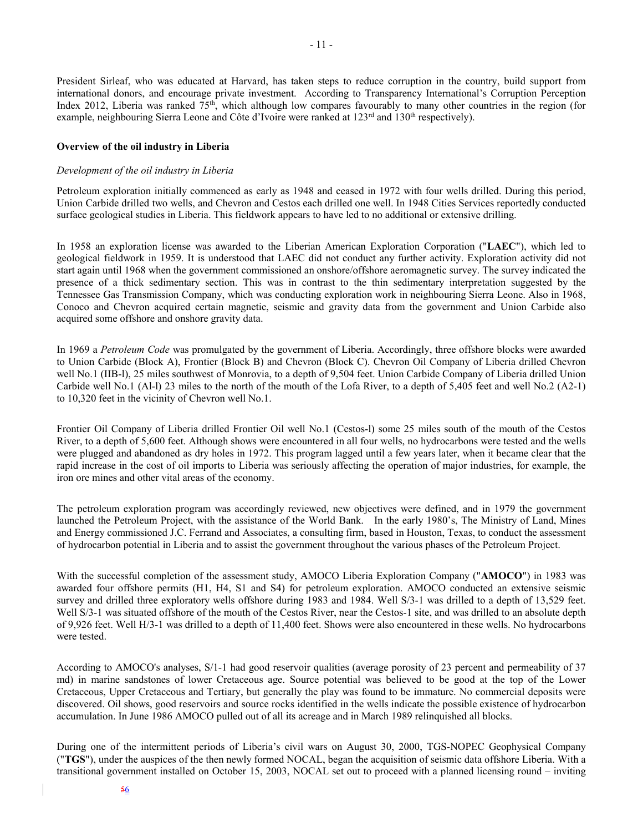President Sirleaf, who was educated at Harvard, has taken steps to reduce corruption in the country, build support from international donors, and encourage private investment. According to Transparency International's Corruption Perception Index 2012, Liberia was ranked 75<sup>th</sup>, which although low compares favourably to many other countries in the region (for example, neighbouring Sierra Leone and Côte d'Ivoire were ranked at 123<sup>rd</sup> and 130<sup>th</sup> respectively).

# **Overview of the oil industry in Liberia**

# *Development of the oil industry in Liberia*

Petroleum exploration initially commenced as early as 1948 and ceased in 1972 with four wells drilled. During this period, Union Carbide drilled two wells, and Chevron and Cestos each drilled one well. In 1948 Cities Services reportedly conducted surface geological studies in Liberia. This fieldwork appears to have led to no additional or extensive drilling.

In 1958 an exploration license was awarded to the Liberian American Exploration Corporation ("**LAEC**"), which led to geological fieldwork in 1959. It is understood that LAEC did not conduct any further activity. Exploration activity did not start again until 1968 when the government commissioned an onshore/offshore aeromagnetic survey. The survey indicated the presence of a thick sedimentary section. This was in contrast to the thin sedimentary interpretation suggested by the Tennessee Gas Transmission Company, which was conducting exploration work in neighbouring Sierra Leone. Also in 1968, Conoco and Chevron acquired certain magnetic, seismic and gravity data from the government and Union Carbide also acquired some offshore and onshore gravity data.

In 1969 a *Petroleum Code* was promulgated by the government of Liberia. Accordingly, three offshore blocks were awarded to Union Carbide (Block A), Frontier (Block B) and Chevron (Block C). Chevron Oil Company of Liberia drilled Chevron well No.1 (IIB-l), 25 miles southwest of Monrovia, to a depth of 9,504 feet. Union Carbide Company of Liberia drilled Union Carbide well No.1 (Al-l) 23 miles to the north of the mouth of the Lofa River, to a depth of 5,405 feet and well No.2 (A2-1) to 10,320 feet in the vicinity of Chevron well No.1.

Frontier Oil Company of Liberia drilled Frontier Oil well No.1 (Cestos-l) some 25 miles south of the mouth of the Cestos River, to a depth of 5,600 feet. Although shows were encountered in all four wells, no hydrocarbons were tested and the wells were plugged and abandoned as dry holes in 1972. This program lagged until a few years later, when it became clear that the rapid increase in the cost of oil imports to Liberia was seriously affecting the operation of major industries, for example, the iron ore mines and other vital areas of the economy.

The petroleum exploration program was accordingly reviewed, new objectives were defined, and in 1979 the government launched the Petroleum Project, with the assistance of the World Bank. In the early 1980's, The Ministry of Land, Mines and Energy commissioned J.C. Ferrand and Associates, a consulting firm, based in Houston, Texas, to conduct the assessment of hydrocarbon potential in Liberia and to assist the government throughout the various phases of the Petroleum Project.

With the successful completion of the assessment study, AMOCO Liberia Exploration Company ("**AMOCO**") in 1983 was awarded four offshore permits (H1, H4, S1 and S4) for petroleum exploration. AMOCO conducted an extensive seismic survey and drilled three exploratory wells offshore during 1983 and 1984. Well S/3-1 was drilled to a depth of 13,529 feet. Well S/3-1 was situated offshore of the mouth of the Cestos River, near the Cestos-1 site, and was drilled to an absolute depth of 9,926 feet. Well H/3-1 was drilled to a depth of 11,400 feet. Shows were also encountered in these wells. No hydrocarbons were tested.

According to AMOCO's analyses, S/1-1 had good reservoir qualities (average porosity of 23 percent and permeability of 37 md) in marine sandstones of lower Cretaceous age. Source potential was believed to be good at the top of the Lower Cretaceous, Upper Cretaceous and Tertiary, but generally the play was found to be immature. No commercial deposits were discovered. Oil shows, good reservoirs and source rocks identified in the wells indicate the possible existence of hydrocarbon accumulation. In June 1986 AMOCO pulled out of all its acreage and in March 1989 relinquished all blocks.

During one of the intermittent periods of Liberia's civil wars on August 30, 2000, TGS-NOPEC Geophysical Company ("**TGS**"), under the auspices of the then newly formed NOCAL, began the acquisition of seismic data offshore Liberia. With a transitional government installed on October 15, 2003, NOCAL set out to proceed with a planned licensing round – inviting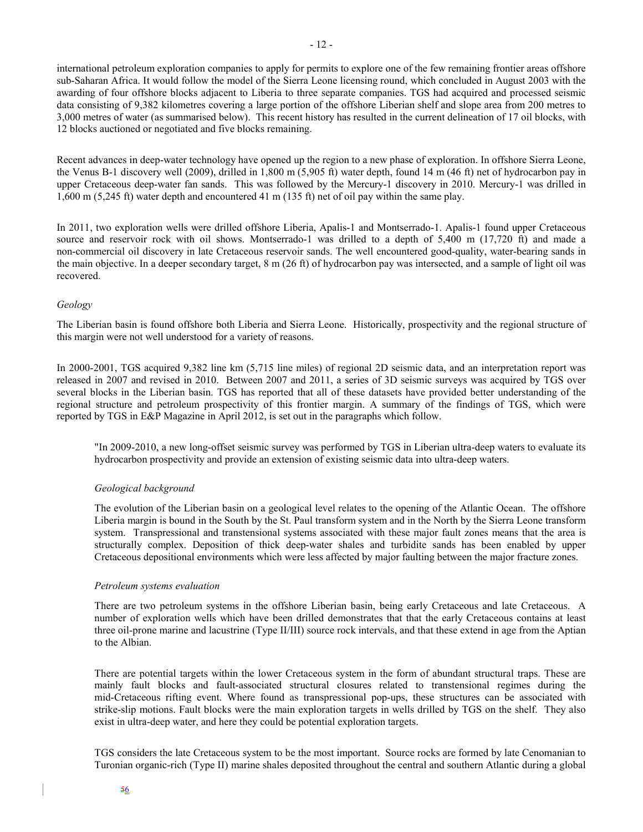Recent advances in deep-water technology have opened up the region to a new phase of exploration. In offshore Sierra Leone, the Venus B-1 discovery well (2009), drilled in 1,800 m (5,905 ft) water depth, found 14 m (46 ft) net of hydrocarbon pay in upper Cretaceous deep-water fan sands. This was followed by the Mercury-1 discovery in 2010. Mercury-1 was drilled in 1,600 m (5,245 ft) water depth and encountered 41 m (135 ft) net of oil pay within the same play.

In 2011, two exploration wells were drilled offshore Liberia, Apalis-1 and Montserrado-1. Apalis-1 found upper Cretaceous source and reservoir rock with oil shows. Montserrado-1 was drilled to a depth of 5,400 m (17,720 ft) and made a non-commercial oil discovery in late Cretaceous reservoir sands. The well encountered good-quality, water-bearing sands in the main objective. In a deeper secondary target, 8 m (26 ft) of hydrocarbon pay was intersected, and a sample of light oil was recovered.

# *Geology*

The Liberian basin is found offshore both Liberia and Sierra Leone. Historically, prospectivity and the regional structure of this margin were not well understood for a variety of reasons.

In 2000-2001, TGS acquired 9,382 line km (5,715 line miles) of regional 2D seismic data, and an interpretation report was released in 2007 and revised in 2010. Between 2007 and 2011, a series of 3D seismic surveys was acquired by TGS over several blocks in the Liberian basin. TGS has reported that all of these datasets have provided better understanding of the regional structure and petroleum prospectivity of this frontier margin. A summary of the findings of TGS, which were reported by TGS in E&P Magazine in April 2012, is set out in the paragraphs which follow.

"In 2009-2010, a new long-offset seismic survey was performed by TGS in Liberian ultra-deep waters to evaluate its hydrocarbon prospectivity and provide an extension of existing seismic data into ultra-deep waters.

# *Geological background*

12 blocks auctioned or negotiated and five blocks remaining.

The evolution of the Liberian basin on a geological level relates to the opening of the Atlantic Ocean. The offshore Liberia margin is bound in the South by the St. Paul transform system and in the North by the Sierra Leone transform system. Transpressional and transtensional systems associated with these major fault zones means that the area is structurally complex. Deposition of thick deep-water shales and turbidite sands has been enabled by upper Cretaceous depositional environments which were less affected by major faulting between the major fracture zones.

# *Petroleum systems evaluation*

There are two petroleum systems in the offshore Liberian basin, being early Cretaceous and late Cretaceous. A number of exploration wells which have been drilled demonstrates that that the early Cretaceous contains at least three oil-prone marine and lacustrine (Type II/III) source rock intervals, and that these extend in age from the Aptian to the Albian.

There are potential targets within the lower Cretaceous system in the form of abundant structural traps. These are mainly fault blocks and fault-associated structural closures related to transtensional regimes during the mid-Cretaceous rifting event. Where found as transpressional pop-ups, these structures can be associated with strike-slip motions. Fault blocks were the main exploration targets in wells drilled by TGS on the shelf. They also exist in ultra-deep water, and here they could be potential exploration targets.

TGS considers the late Cretaceous system to be the most important. Source rocks are formed by late Cenomanian to Turonian organic-rich (Type II) marine shales deposited throughout the central and southern Atlantic during a global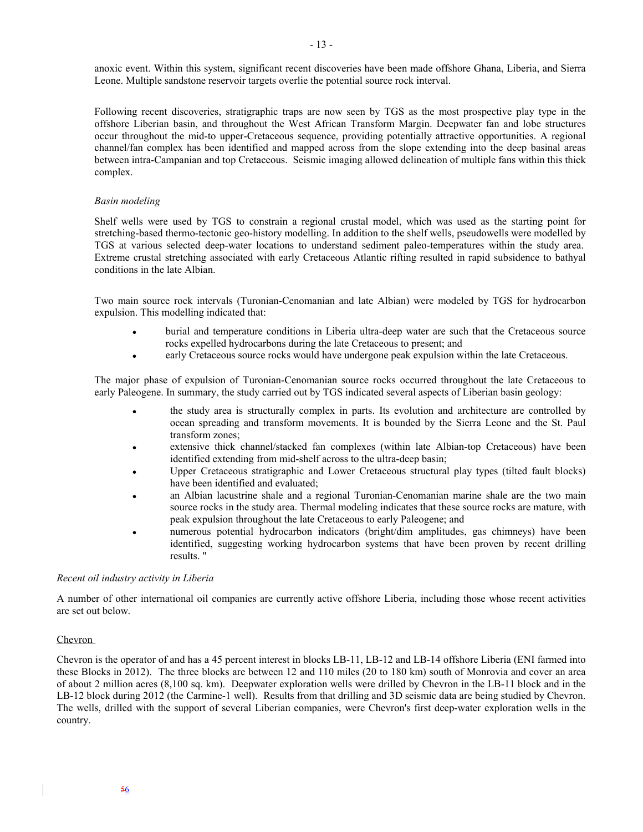anoxic event. Within this system, significant recent discoveries have been made offshore Ghana, Liberia, and Sierra Leone. Multiple sandstone reservoir targets overlie the potential source rock interval.

Following recent discoveries, stratigraphic traps are now seen by TGS as the most prospective play type in the offshore Liberian basin, and throughout the West African Transform Margin. Deepwater fan and lobe structures occur throughout the mid-to upper-Cretaceous sequence, providing potentially attractive opportunities. A regional channel/fan complex has been identified and mapped across from the slope extending into the deep basinal areas between intra-Campanian and top Cretaceous. Seismic imaging allowed delineation of multiple fans within this thick complex.

#### *Basin modeling*

Shelf wells were used by TGS to constrain a regional crustal model, which was used as the starting point for stretching-based thermo-tectonic geo-history modelling. In addition to the shelf wells, pseudowells were modelled by TGS at various selected deep-water locations to understand sediment paleo-temperatures within the study area. Extreme crustal stretching associated with early Cretaceous Atlantic rifting resulted in rapid subsidence to bathyal conditions in the late Albian.

Two main source rock intervals (Turonian-Cenomanian and late Albian) were modeled by TGS for hydrocarbon expulsion. This modelling indicated that:

- burial and temperature conditions in Liberia ultra-deep water are such that the Cretaceous source rocks expelled hydrocarbons during the late Cretaceous to present; and
- early Cretaceous source rocks would have undergone peak expulsion within the late Cretaceous.

The major phase of expulsion of Turonian-Cenomanian source rocks occurred throughout the late Cretaceous to early Paleogene. In summary, the study carried out by TGS indicated several aspects of Liberian basin geology:

- the study area is structurally complex in parts. Its evolution and architecture are controlled by ocean spreading and transform movements. It is bounded by the Sierra Leone and the St. Paul transform zones;
- extensive thick channel/stacked fan complexes (within late Albian-top Cretaceous) have been identified extending from mid-shelf across to the ultra-deep basin;
- Upper Cretaceous stratigraphic and Lower Cretaceous structural play types (tilted fault blocks) have been identified and evaluated;
- an Albian lacustrine shale and a regional Turonian-Cenomanian marine shale are the two main source rocks in the study area. Thermal modeling indicates that these source rocks are mature, with peak expulsion throughout the late Cretaceous to early Paleogene; and
- numerous potential hydrocarbon indicators (bright/dim amplitudes, gas chimneys) have been identified, suggesting working hydrocarbon systems that have been proven by recent drilling results. "

# *Recent oil industry activity in Liberia*

A number of other international oil companies are currently active offshore Liberia, including those whose recent activities are set out below.

#### Chevron

Chevron is the operator of and has a 45 percent interest in blocks LB-11, LB-12 and LB-14 offshore Liberia (ENI farmed into these Blocks in 2012). The three blocks are between 12 and 110 miles (20 to 180 km) south of Monrovia and cover an area of about 2 million acres (8,100 sq. km). Deepwater exploration wells were drilled by Chevron in the LB-11 block and in the LB-12 block during 2012 (the Carmine-1 well). Results from that drilling and 3D seismic data are being studied by Chevron. The wells, drilled with the support of several Liberian companies, were Chevron's first deep-water exploration wells in the country.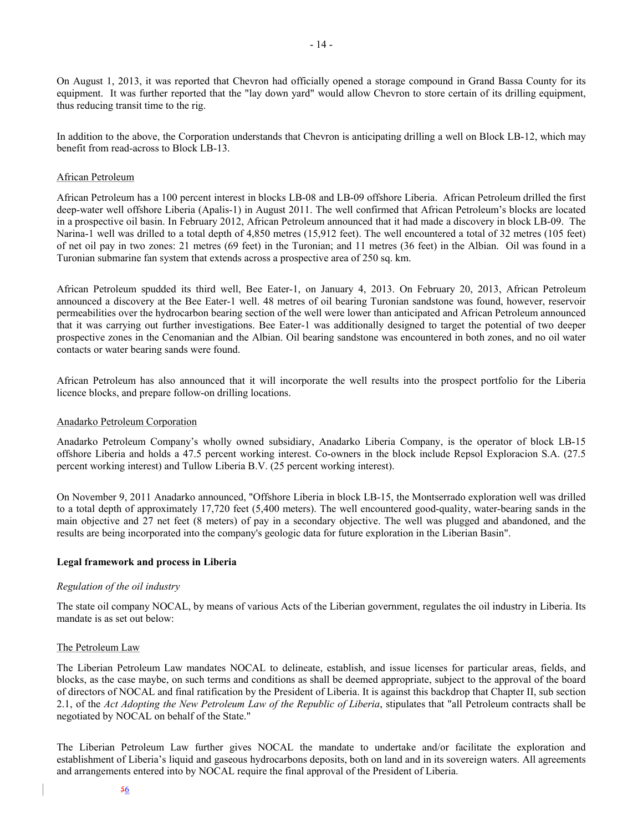On August 1, 2013, it was reported that Chevron had officially opened a storage compound in Grand Bassa County for its equipment. It was further reported that the "lay down yard" would allow Chevron to store certain of its drilling equipment, thus reducing transit time to the rig.

In addition to the above, the Corporation understands that Chevron is anticipating drilling a well on Block LB-12, which may benefit from read-across to Block LB-13.

# African Petroleum

African Petroleum has a 100 percent interest in blocks LB-08 and LB-09 offshore Liberia. African Petroleum drilled the first deep-water well offshore Liberia (Apalis-1) in August 2011. The well confirmed that African Petroleum's blocks are located in a prospective oil basin. In February 2012, African Petroleum announced that it had made a discovery in block LB-09. The Narina-1 well was drilled to a total depth of 4,850 metres (15,912 feet). The well encountered a total of 32 metres (105 feet) of net oil pay in two zones: 21 metres (69 feet) in the Turonian; and 11 metres (36 feet) in the Albian. Oil was found in a Turonian submarine fan system that extends across a prospective area of 250 sq. km.

African Petroleum spudded its third well, Bee Eater-1, on January 4, 2013. On February 20, 2013, African Petroleum announced a discovery at the Bee Eater-1 well. 48 metres of oil bearing Turonian sandstone was found, however, reservoir permeabilities over the hydrocarbon bearing section of the well were lower than anticipated and African Petroleum announced that it was carrying out further investigations. Bee Eater-1 was additionally designed to target the potential of two deeper prospective zones in the Cenomanian and the Albian. Oil bearing sandstone was encountered in both zones, and no oil water contacts or water bearing sands were found.

African Petroleum has also announced that it will incorporate the well results into the prospect portfolio for the Liberia licence blocks, and prepare follow-on drilling locations.

# Anadarko Petroleum Corporation

Anadarko Petroleum Company's wholly owned subsidiary, Anadarko Liberia Company, is the operator of block LB-15 offshore Liberia and holds a 47.5 percent working interest. Co-owners in the block include Repsol Exploracion S.A. (27.5 percent working interest) and Tullow Liberia B.V. (25 percent working interest).

On November 9, 2011 Anadarko announced, "Offshore Liberia in block LB-15, the Montserrado exploration well was drilled to a total depth of approximately 17,720 feet (5,400 meters). The well encountered good-quality, water-bearing sands in the main objective and 27 net feet (8 meters) of pay in a secondary objective. The well was plugged and abandoned, and the results are being incorporated into the company's geologic data for future exploration in the Liberian Basin".

# **Legal framework and process in Liberia**

# *Regulation of the oil industry*

The state oil company NOCAL, by means of various Acts of the Liberian government, regulates the oil industry in Liberia. Its mandate is as set out below:

# The Petroleum Law

The Liberian Petroleum Law mandates NOCAL to delineate, establish, and issue licenses for particular areas, fields, and blocks, as the case maybe, on such terms and conditions as shall be deemed appropriate, subject to the approval of the board of directors of NOCAL and final ratification by the President of Liberia. It is against this backdrop that Chapter II, sub section 2.1, of the *Act Adopting the New Petroleum Law of the Republic of Liberia*, stipulates that "all Petroleum contracts shall be negotiated by NOCAL on behalf of the State."

The Liberian Petroleum Law further gives NOCAL the mandate to undertake and/or facilitate the exploration and establishment of Liberia's liquid and gaseous hydrocarbons deposits, both on land and in its sovereign waters. All agreements and arrangements entered into by NOCAL require the final approval of the President of Liberia.

 $56$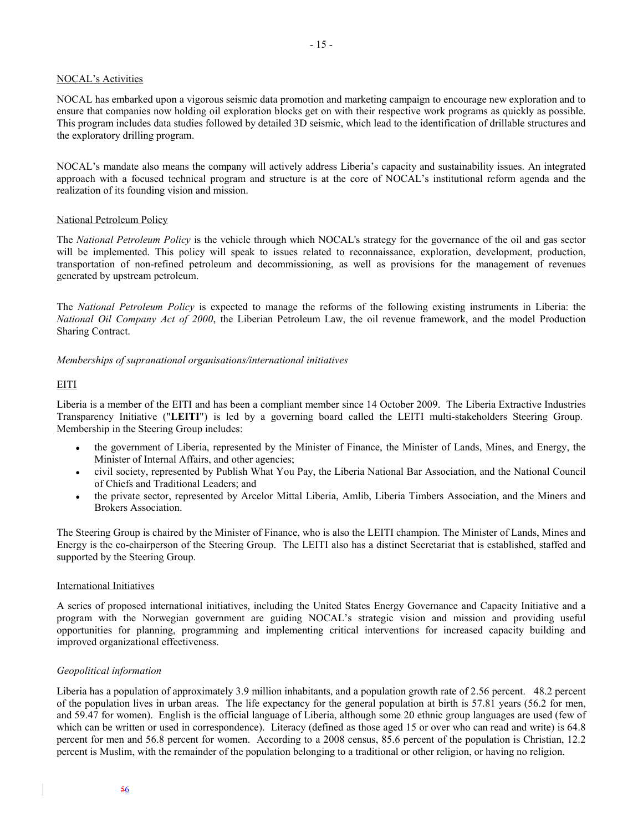#### NOCAL's Activities

NOCAL has embarked upon a vigorous seismic data promotion and marketing campaign to encourage new exploration and to ensure that companies now holding oil exploration blocks get on with their respective work programs as quickly as possible. This program includes data studies followed by detailed 3D seismic, which lead to the identification of drillable structures and the exploratory drilling program.

NOCAL's mandate also means the company will actively address Liberia's capacity and sustainability issues. An integrated approach with a focused technical program and structure is at the core of NOCAL's institutional reform agenda and the realization of its founding vision and mission.

# National Petroleum Policy

The *National Petroleum Policy* is the vehicle through which NOCAL's strategy for the governance of the oil and gas sector will be implemented. This policy will speak to issues related to reconnaissance, exploration, development, production, transportation of non-refined petroleum and decommissioning, as well as provisions for the management of revenues generated by upstream petroleum.

The *National Petroleum Policy* is expected to manage the reforms of the following existing instruments in Liberia: the *National Oil Company Act of 2000*, the Liberian Petroleum Law, the oil revenue framework, and the model Production Sharing Contract.

*Memberships of supranational organisations/international initiatives*

#### EITI

Liberia is a member of the EITI and has been a compliant member since 14 October 2009. The Liberia Extractive Industries Transparency Initiative ("**LEITI**") is led by a governing board called the LEITI multi-stakeholders Steering Group. Membership in the Steering Group includes:

- the government of Liberia, represented by the Minister of Finance, the Minister of Lands, Mines, and Energy, the Minister of Internal Affairs, and other agencies;
- civil society, represented by Publish What You Pay, the Liberia National Bar Association, and the National Council of Chiefs and Traditional Leaders; and
- the private sector, represented by Arcelor Mittal Liberia, Amlib, Liberia Timbers Association, and the Miners and Brokers Association.

The Steering Group is chaired by the Minister of Finance, who is also the LEITI champion. The Minister of Lands, Mines and Energy is the co-chairperson of the Steering Group. The LEITI also has a distinct Secretariat that is established, staffed and supported by the Steering Group.

#### International Initiatives

A series of proposed international initiatives, including the United States Energy Governance and Capacity Initiative and a program with the Norwegian government are guiding NOCAL's strategic vision and mission and providing useful opportunities for planning, programming and implementing critical interventions for increased capacity building and improved organizational effectiveness.

# *Geopolitical information*

Liberia has a population of approximately 3.9 million inhabitants, and a population growth rate of 2.56 percent. 48.2 percent of the population lives in urban areas. The life expectancy for the general population at birth is 57.81 years (56.2 for men, and 59.47 for women). English is the official language of Liberia, although some 20 ethnic group languages are used (few of which can be written or used in correspondence). Literacy (defined as those aged 15 or over who can read and write) is 64.8 percent for men and 56.8 percent for women. According to a 2008 census, 85.6 percent of the population is Christian, 12.2 percent is Muslim, with the remainder of the population belonging to a traditional or other religion, or having no religion.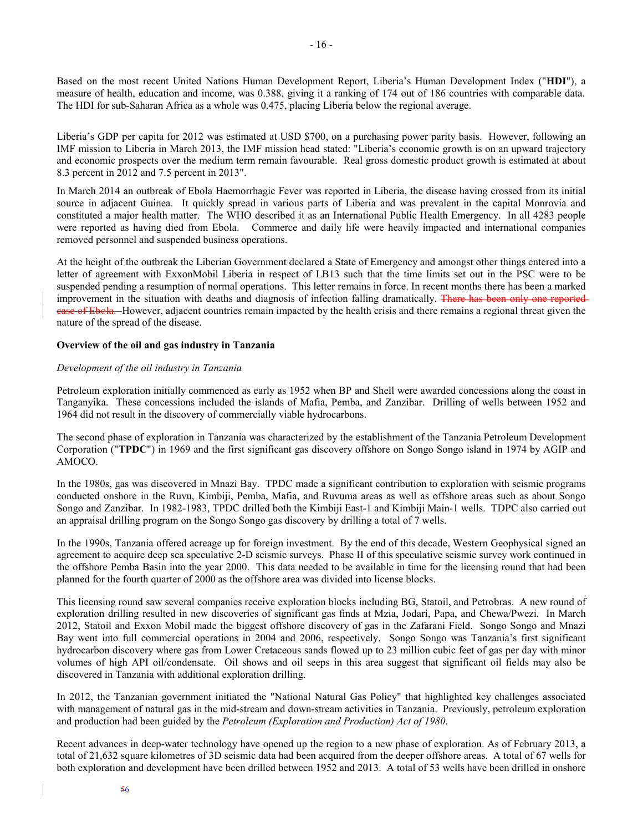Based on the most recent United Nations Human Development Report, Liberia's Human Development Index ("**HDI**"), a measure of health, education and income, was 0.388, giving it a ranking of 174 out of 186 countries with comparable data. The HDI for sub-Saharan Africa as a whole was 0.475, placing Liberia below the regional average.

Liberia's GDP per capita for 2012 was estimated at USD \$700, on a purchasing power parity basis. However, following an IMF mission to Liberia in March 2013, the IMF mission head stated: "Liberia's economic growth is on an upward trajectory and economic prospects over the medium term remain favourable. Real gross domestic product growth is estimated at about 8.3 percent in 2012 and 7.5 percent in 2013".

In March 2014 an outbreak of Ebola Haemorrhagic Fever was reported in Liberia, the disease having crossed from its initial source in adjacent Guinea. It quickly spread in various parts of Liberia and was prevalent in the capital Monrovia and constituted a major health matter. The WHO described it as an International Public Health Emergency. In all 4283 people were reported as having died from Ebola. Commerce and daily life were heavily impacted and international companies removed personnel and suspended business operations.

At the height of the outbreak the Liberian Government declared a State of Emergency and amongst other things entered into a letter of agreement with ExxonMobil Liberia in respect of LB13 such that the time limits set out in the PSC were to be suspended pending a resumption of normal operations. This letter remains in force. In recent months there has been a marked improvement in the situation with deaths and diagnosis of infection falling dramatically. There has been only one reported ease of Ebola. However, adjacent countries remain impacted by the health crisis and there remains a regional threat given the nature of the spread of the disease.

# **Overview of the oil and gas industry in Tanzania**

#### *Development of the oil industry in Tanzania*

Petroleum exploration initially commenced as early as 1952 when BP and Shell were awarded concessions along the coast in Tanganyika. These concessions included the islands of Mafia, Pemba, and Zanzibar. Drilling of wells between 1952 and 1964 did not result in the discovery of commercially viable hydrocarbons.

The second phase of exploration in Tanzania was characterized by the establishment of the Tanzania Petroleum Development Corporation ("**TPDC**") in 1969 and the first significant gas discovery offshore on Songo Songo island in 1974 by AGIP and AMOCO.

In the 1980s, gas was discovered in Mnazi Bay. TPDC made a significant contribution to exploration with seismic programs conducted onshore in the Ruvu, Kimbiji, Pemba, Mafia, and Ruvuma areas as well as offshore areas such as about Songo Songo and Zanzibar. In 1982-1983, TPDC drilled both the Kimbiji East-1 and Kimbiji Main-1 wells. TDPC also carried out an appraisal drilling program on the Songo Songo gas discovery by drilling a total of 7 wells.

In the 1990s, Tanzania offered acreage up for foreign investment. By the end of this decade, Western Geophysical signed an agreement to acquire deep sea speculative 2-D seismic surveys. Phase II of this speculative seismic survey work continued in the offshore Pemba Basin into the year 2000. This data needed to be available in time for the licensing round that had been planned for the fourth quarter of 2000 as the offshore area was divided into license blocks.

This licensing round saw several companies receive exploration blocks including BG, Statoil, and Petrobras. A new round of exploration drilling resulted in new discoveries of significant gas finds at Mzia, Jodari, Papa, and Chewa/Pwezi. In March 2012, Statoil and Exxon Mobil made the biggest offshore discovery of gas in the Zafarani Field. Songo Songo and Mnazi Bay went into full commercial operations in 2004 and 2006, respectively. Songo Songo was Tanzania's first significant hydrocarbon discovery where gas from Lower Cretaceous sands flowed up to 23 million cubic feet of gas per day with minor volumes of high API oil/condensate. Oil shows and oil seeps in this area suggest that significant oil fields may also be discovered in Tanzania with additional exploration drilling.

In 2012, the Tanzanian government initiated the "National Natural Gas Policy" that highlighted key challenges associated with management of natural gas in the mid-stream and down-stream activities in Tanzania. Previously, petroleum exploration and production had been guided by the *Petroleum (Exploration and Production) Act of 1980*.

Recent advances in deep-water technology have opened up the region to a new phase of exploration. As of February 2013, a total of 21,632 square kilometres of 3D seismic data had been acquired from the deeper offshore areas. A total of 67 wells for both exploration and development have been drilled between 1952 and 2013. A total of 53 wells have been drilled in onshore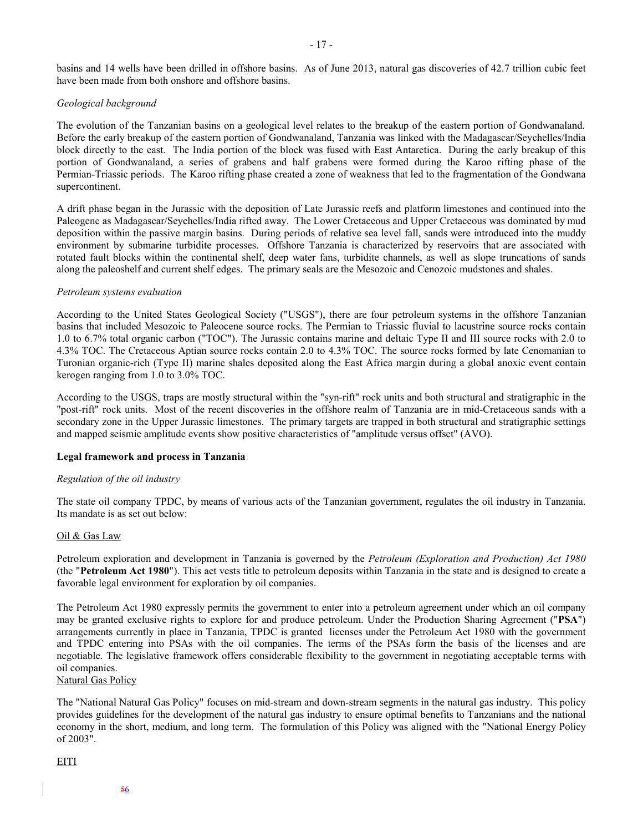basins and 14 wells have been drilled in offshore basins. As of June 2013, natural gas discoveries of 42.7 trillion cubic feet have been made from both onshore and offshore basins.

# *Geological background*

The evolution of the Tanzanian basins on a geological level relates to the breakup of the eastern portion of Gondwanaland. Before the early breakup of the eastern portion of Gondwanaland, Tanzania was linked with the Madagascar/Seychelles/India block directly to the east. The India portion of the block was fused with East Antarctica. During the early breakup of this portion of Gondwanaland, a series of grabens and half grabens were formed during the Karoo rifting phase of the Permian-Triassic periods. The Karoo rifting phase created a zone of weakness that led to the fragmentation of the Gondwana supercontinent.

A drift phase began in the Jurassic with the deposition of Late Jurassic reefs and platform limestones and continued into the Paleogene as Madagascar/Seychelles/India rifted away. The Lower Cretaceous and Upper Cretaceous was dominated by mud deposition within the passive margin basins. During periods of relative sea level fall, sands were introduced into the muddy environment by submarine turbidite processes. Offshore Tanzania is characterized by reservoirs that are associated with rotated fault blocks within the continental shelf, deep water fans, turbidite channels, as well as slope truncations of sands along the paleoshelf and current shelf edges. The primary seals are the Mesozoic and Cenozoic mudstones and shales.

#### *Petroleum systems evaluation*

According to the United States Geological Society ("USGS"), there are four petroleum systems in the offshore Tanzanian basins that included Mesozoic to Paleocene source rocks. The Permian to Triassic fluvial to lacustrine source rocks contain 1.0 to 6.7% total organic carbon ("TOC"). The Jurassic contains marine and deltaic Type II and III source rocks with 2.0 to 4.3% TOC. The Cretaceous Aptian source rocks contain 2.0 to 4.3% TOC. The source rocks formed by late Cenomanian to Turonian organic-rich (Type II) marine shales deposited along the East Africa margin during a global anoxic event contain kerogen ranging from 1.0 to 3.0% TOC.

According to the USGS, traps are mostly structural within the "syn-rift" rock units and both structural and stratigraphic in the "post-rift" rock units. Most of the recent discoveries in the offshore realm of Tanzania are in mid-Cretaceous sands with a secondary zone in the Upper Jurassic limestones. The primary targets are trapped in both structural and stratigraphic settings and mapped seismic amplitude events show positive characteristics of "amplitude versus offset" (AVO).

# **Legal framework and process in Tanzania**

#### *Regulation of the oil industry*

The state oil company TPDC, by means of various acts of the Tanzanian government, regulates the oil industry in Tanzania. Its mandate is as set out below:

#### Oil & Gas Law

Petroleum exploration and development in Tanzania is governed by the *Petroleum (Exploration and Production) Act 1980* (the "**Petroleum Act 1980**"). This act vests title to petroleum deposits within Tanzania in the state and is designed to create a favorable legal environment for exploration by oil companies.

The Petroleum Act 1980 expressly permits the government to enter into a petroleum agreement under which an oil company may be granted exclusive rights to explore for and produce petroleum. Under the Production Sharing Agreement ("**PSA**") arrangements currently in place in Tanzania, TPDC is granted licenses under the Petroleum Act 1980 with the government and TPDC entering into PSAs with the oil companies. The terms of the PSAs form the basis of the licenses and are negotiable. The legislative framework offers considerable flexibility to the government in negotiating acceptable terms with oil companies.

# **Natural Gas Policy**

The "National Natural Gas Policy" focuses on mid-stream and down-stream segments in the natural gas industry. This policy provides guidelines for the development of the natural gas industry to ensure optimal benefits to Tanzanians and the national economy in the short, medium, and long term. The formulation of this Policy was aligned with the "National Energy Policy of 2003".

#### EITI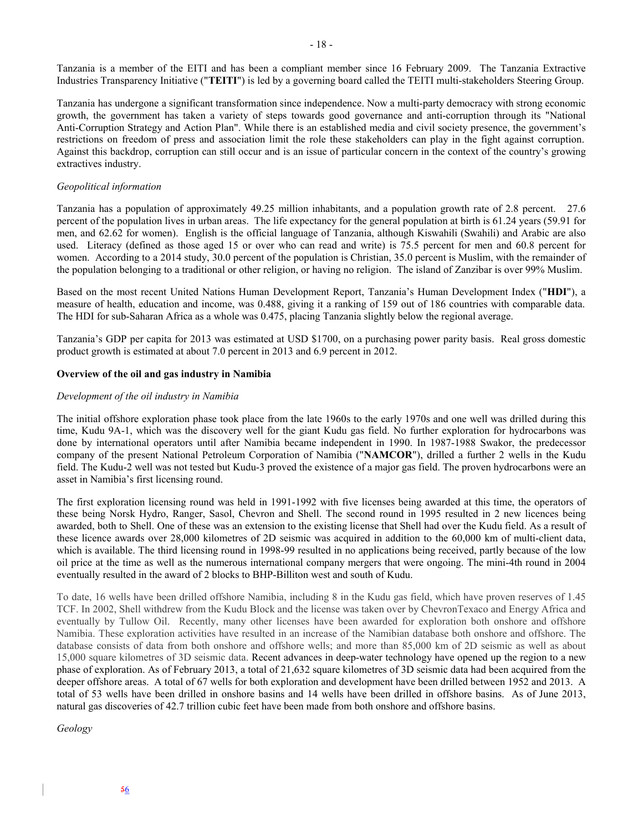Tanzania is a member of the EITI and has been a compliant member since 16 February 2009. The Tanzania Extractive Industries Transparency Initiative ("**TEITI**") is led by a governing board called the TEITI multi-stakeholders Steering Group.

Tanzania has undergone a significant transformation since independence. Now a multi-party democracy with strong economic growth, the government has taken a variety of steps towards good governance and anti-corruption through its "National Anti-Corruption Strategy and Action Plan". While there is an established media and civil society presence, the government's restrictions on freedom of press and association limit the role these stakeholders can play in the fight against corruption. Against this backdrop, corruption can still occur and is an issue of particular concern in the context of the country's growing extractives industry.

# *Geopolitical information*

Tanzania has a population of approximately 49.25 million inhabitants, and a population growth rate of 2.8 percent. 27.6 percent of the population lives in urban areas. The life expectancy for the general population at birth is 61.24 years (59.91 for men, and 62.62 for women). English is the official language of Tanzania, although Kiswahili (Swahili) and Arabic are also used. Literacy (defined as those aged 15 or over who can read and write) is 75.5 percent for men and 60.8 percent for women. According to a 2014 study, 30.0 percent of the population is Christian, 35.0 percent is Muslim, with the remainder of the population belonging to a traditional or other religion, or having no religion. The island of Zanzibar is over 99% Muslim.

Based on the most recent United Nations Human Development Report, Tanzania's Human Development Index ("**HDI**"), a measure of health, education and income, was 0.488, giving it a ranking of 159 out of 186 countries with comparable data. The HDI for sub-Saharan Africa as a whole was 0.475, placing Tanzania slightly below the regional average.

Tanzania's GDP per capita for 2013 was estimated at USD \$1700, on a purchasing power parity basis. Real gross domestic product growth is estimated at about 7.0 percent in 2013 and 6.9 percent in 2012.

# **Overview of the oil and gas industry in Namibia**

# *Development of the oil industry in Namibia*

The initial offshore exploration phase took place from the late 1960s to the early 1970s and one well was drilled during this time, Kudu 9A-1, which was the discovery well for the giant Kudu gas field. No further exploration for hydrocarbons was done by international operators until after Namibia became independent in 1990. In 1987-1988 Swakor, the predecessor company of the present National Petroleum Corporation of Namibia ("**NAMCOR**"), drilled a further 2 wells in the Kudu field. The Kudu-2 well was not tested but Kudu-3 proved the existence of a major gas field. The proven hydrocarbons were an asset in Namibia's first licensing round.

The first exploration licensing round was held in 1991-1992 with five licenses being awarded at this time, the operators of these being Norsk Hydro, Ranger, Sasol, Chevron and Shell. The second round in 1995 resulted in 2 new licences being awarded, both to Shell. One of these was an extension to the existing license that Shell had over the Kudu field. As a result of these licence awards over 28,000 kilometres of 2D seismic was acquired in addition to the 60,000 km of multi-client data, which is available. The third licensing round in 1998-99 resulted in no applications being received, partly because of the low oil price at the time as well as the numerous international company mergers that were ongoing. The mini-4th round in 2004 eventually resulted in the award of 2 blocks to BHP-Billiton west and south of Kudu.

To date, 16 wells have been drilled offshore Namibia, including 8 in the Kudu gas field, which have proven reserves of 1.45 TCF. In 2002, Shell withdrew from the Kudu Block and the license was taken over by ChevronTexaco and Energy Africa and eventually by Tullow Oil. Recently, many other licenses have been awarded for exploration both onshore and offshore Namibia. These exploration activities have resulted in an increase of the Namibian database both onshore and offshore. The database consists of data from both onshore and offshore wells; and more than 85,000 km of 2D seismic as well as about 15,000 square kilometres of 3D seismic data. Recent advances in deep-water technology have opened up the region to a new phase of exploration. As of February 2013, a total of 21,632 square kilometres of 3D seismic data had been acquired from the deeper offshore areas. A total of 67 wells for both exploration and development have been drilled between 1952 and 2013. A total of 53 wells have been drilled in onshore basins and 14 wells have been drilled in offshore basins. As of June 2013, natural gas discoveries of 42.7 trillion cubic feet have been made from both onshore and offshore basins.

*Geology*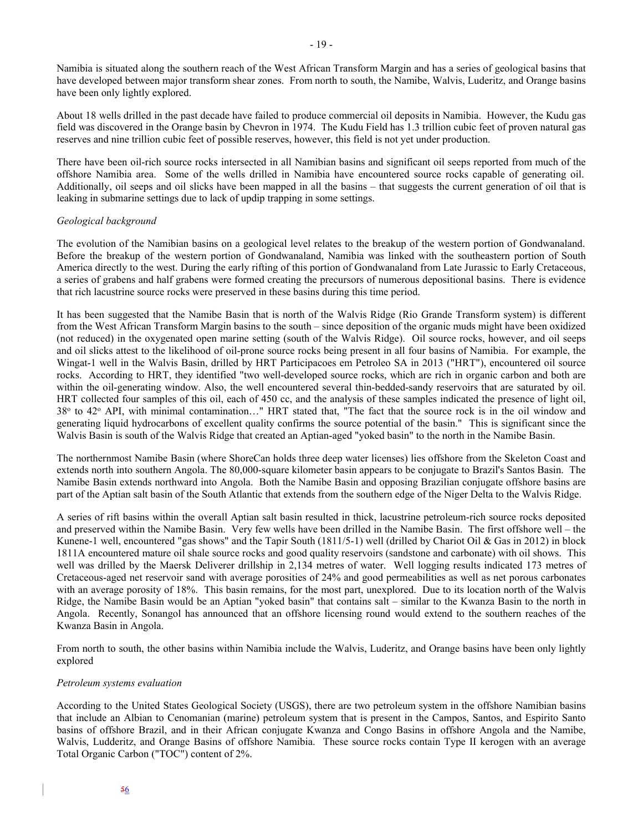Namibia is situated along the southern reach of the West African Transform Margin and has a series of geological basins that have developed between major transform shear zones. From north to south, the Namibe, Walvis, Luderitz, and Orange basins have been only lightly explored.

About 18 wells drilled in the past decade have failed to produce commercial oil deposits in Namibia. However, the Kudu gas field was discovered in the Orange basin by Chevron in 1974. The Kudu Field has 1.3 trillion cubic feet of proven natural gas reserves and nine trillion cubic feet of possible reserves, however, this field is not yet under production.

There have been oil-rich source rocks intersected in all Namibian basins and significant oil seeps reported from much of the offshore Namibia area. Some of the wells drilled in Namibia have encountered source rocks capable of generating oil. Additionally, oil seeps and oil slicks have been mapped in all the basins – that suggests the current generation of oil that is leaking in submarine settings due to lack of updip trapping in some settings.

#### *Geological background*

The evolution of the Namibian basins on a geological level relates to the breakup of the western portion of Gondwanaland. Before the breakup of the western portion of Gondwanaland, Namibia was linked with the southeastern portion of South America directly to the west. During the early rifting of this portion of Gondwanaland from Late Jurassic to Early Cretaceous, a series of grabens and half grabens were formed creating the precursors of numerous depositional basins. There is evidence that rich lacustrine source rocks were preserved in these basins during this time period.

It has been suggested that the Namibe Basin that is north of the Walvis Ridge (Rio Grande Transform system) is different from the West African Transform Margin basins to the south – since deposition of the organic muds might have been oxidized (not reduced) in the oxygenated open marine setting (south of the Walvis Ridge). Oil source rocks, however, and oil seeps and oil slicks attest to the likelihood of oil-prone source rocks being present in all four basins of Namibia. For example, the Wingat-1 well in the Walvis Basin, drilled by HRT Participacoes em Petroleo SA in 2013 ("HRT"), encountered oil source rocks. According to HRT, they identified "two well-developed source rocks, which are rich in organic carbon and both are within the oil-generating window. Also, the well encountered several thin-bedded-sandy reservoirs that are saturated by oil. HRT collected four samples of this oil, each of 450 cc, and the analysis of these samples indicated the presence of light oil,  $38^{\circ}$  to  $42^{\circ}$  API, with minimal contamination..." HRT stated that, "The fact that the source rock is in the oil window and generating liquid hydrocarbons of excellent quality confirms the source potential of the basin." This is significant since the Walvis Basin is south of the Walvis Ridge that created an Aptian-aged "yoked basin" to the north in the Namibe Basin.

The northernmost Namibe Basin (where ShoreCan holds three deep water licenses) lies offshore from the Skeleton Coast and extends north into southern Angola. The 80,000-square kilometer basin appears to be conjugate to Brazil's Santos Basin. The Namibe Basin extends northward into Angola. Both the Namibe Basin and opposing Brazilian conjugate offshore basins are part of the Aptian salt basin of the South Atlantic that extends from the southern edge of the Niger Delta to the Walvis Ridge.

A series of rift basins within the overall Aptian salt basin resulted in thick, lacustrine petroleum-rich source rocks deposited and preserved within the Namibe Basin. Very few wells have been drilled in the Namibe Basin. The first offshore well – the Kunene-1 well, encountered "gas shows" and the Tapir South  $(1811/5-1)$  well (drilled by Chariot Oil & Gas in 2012) in block 1811A encountered mature oil shale source rocks and good quality reservoirs (sandstone and carbonate) with oil shows. This well was drilled by the Maersk Deliverer drillship in 2,134 metres of water. Well logging results indicated 173 metres of Cretaceous-aged net reservoir sand with average porosities of 24% and good permeabilities as well as net porous carbonates with an average porosity of 18%. This basin remains, for the most part, unexplored. Due to its location north of the Walvis Ridge, the Namibe Basin would be an Aptian "yoked basin" that contains salt – similar to the Kwanza Basin to the north in Angola. Recently, Sonangol has announced that an offshore licensing round would extend to the southern reaches of the Kwanza Basin in Angola.

From north to south, the other basins within Namibia include the Walvis, Luderitz, and Orange basins have been only lightly explored

# *Petroleum systems evaluation*

According to the United States Geological Society (USGS), there are two petroleum system in the offshore Namibian basins that include an Albian to Cenomanian (marine) petroleum system that is present in the Campos, Santos, and Espirito Santo basins of offshore Brazil, and in their African conjugate Kwanza and Congo Basins in offshore Angola and the Namibe, Walvis, Ludderitz, and Orange Basins of offshore Namibia. These source rocks contain Type II kerogen with an average Total Organic Carbon ("TOC") content of 2%.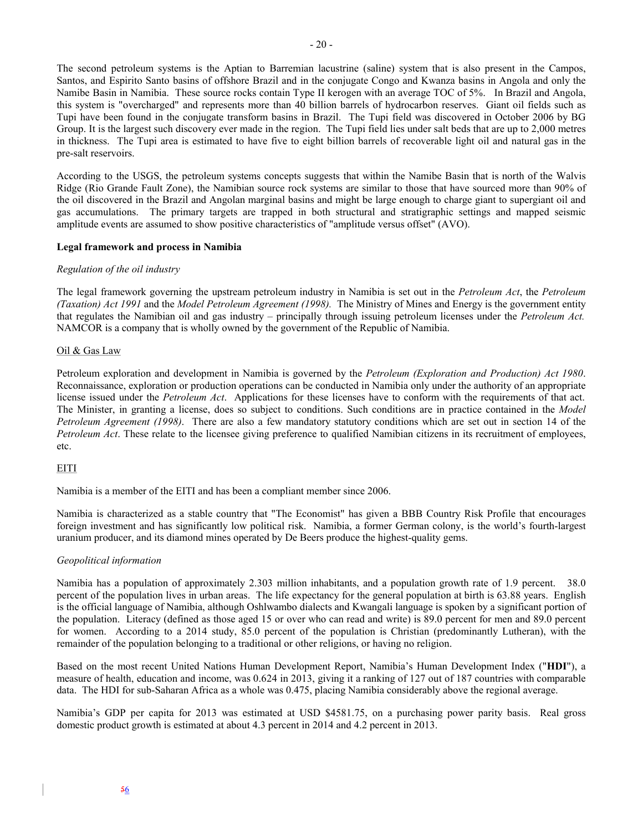The second petroleum systems is the Aptian to Barremian lacustrine (saline) system that is also present in the Campos, Santos, and Espirito Santo basins of offshore Brazil and in the conjugate Congo and Kwanza basins in Angola and only the Namibe Basin in Namibia. These source rocks contain Type II kerogen with an average TOC of 5%. In Brazil and Angola, this system is "overcharged" and represents more than 40 billion barrels of hydrocarbon reserves. Giant oil fields such as Tupi have been found in the conjugate transform basins in Brazil. The Tupi field was discovered in October 2006 by BG Group. It is the largest such discovery ever made in the region. The Tupi field lies under salt beds that are up to 2,000 metres in thickness. The Tupi area is estimated to have five to eight billion barrels of recoverable light oil and natural gas in the pre-salt reservoirs.

According to the USGS, the petroleum systems concepts suggests that within the Namibe Basin that is north of the Walvis Ridge (Rio Grande Fault Zone), the Namibian source rock systems are similar to those that have sourced more than 90% of the oil discovered in the Brazil and Angolan marginal basins and might be large enough to charge giant to supergiant oil and gas accumulations. The primary targets are trapped in both structural and stratigraphic settings and mapped seismic amplitude events are assumed to show positive characteristics of "amplitude versus offset" (AVO).

# **Legal framework and process in Namibia**

#### *Regulation of the oil industry*

The legal framework governing the upstream petroleum industry in Namibia is set out in the *Petroleum Act*, the *Petroleum (Taxation) Act 1991* and the *Model Petroleum Agreement (1998).* The Ministry of Mines and Energy is the government entity that regulates the Namibian oil and gas industry – principally through issuing petroleum licenses under the *Petroleum Act.* NAMCOR is a company that is wholly owned by the government of the Republic of Namibia.

#### Oil & Gas Law

Petroleum exploration and development in Namibia is governed by the *Petroleum (Exploration and Production) Act 1980*. Reconnaissance, exploration or production operations can be conducted in Namibia only under the authority of an appropriate license issued under the *Petroleum Act*. Applications for these licenses have to conform with the requirements of that act. The Minister, in granting a license, does so subject to conditions. Such conditions are in practice contained in the *Model Petroleum Agreement (1998)*. There are also a few mandatory statutory conditions which are set out in section 14 of the *Petroleum Act*. These relate to the licensee giving preference to qualified Namibian citizens in its recruitment of employees, etc.

# EITI

Namibia is a member of the EITI and has been a compliant member since 2006.

Namibia is characterized as a stable country that "The Economist" has given a BBB Country Risk Profile that encourages foreign investment and has significantly low political risk. Namibia, a former German colony, is the world's fourth-largest uranium producer, and its diamond mines operated by De Beers produce the highest-quality gems.

# *Geopolitical information*

Namibia has a population of approximately 2.303 million inhabitants, and a population growth rate of 1.9 percent. 38.0 percent of the population lives in urban areas. The life expectancy for the general population at birth is 63.88 years. English is the official language of Namibia, although Oshlwambo dialects and Kwangali language is spoken by a significant portion of the population. Literacy (defined as those aged 15 or over who can read and write) is 89.0 percent for men and 89.0 percent for women. According to a 2014 study, 85.0 percent of the population is Christian (predominantly Lutheran), with the remainder of the population belonging to a traditional or other religions, or having no religion.

Based on the most recent United Nations Human Development Report, Namibia's Human Development Index ("**HDI**"), a measure of health, education and income, was 0.624 in 2013, giving it a ranking of 127 out of 187 countries with comparable data. The HDI for sub-Saharan Africa as a whole was 0.475, placing Namibia considerably above the regional average.

Namibia's GDP per capita for 2013 was estimated at USD \$4581.75, on a purchasing power parity basis. Real gross domestic product growth is estimated at about 4.3 percent in 2014 and 4.2 percent in 2013.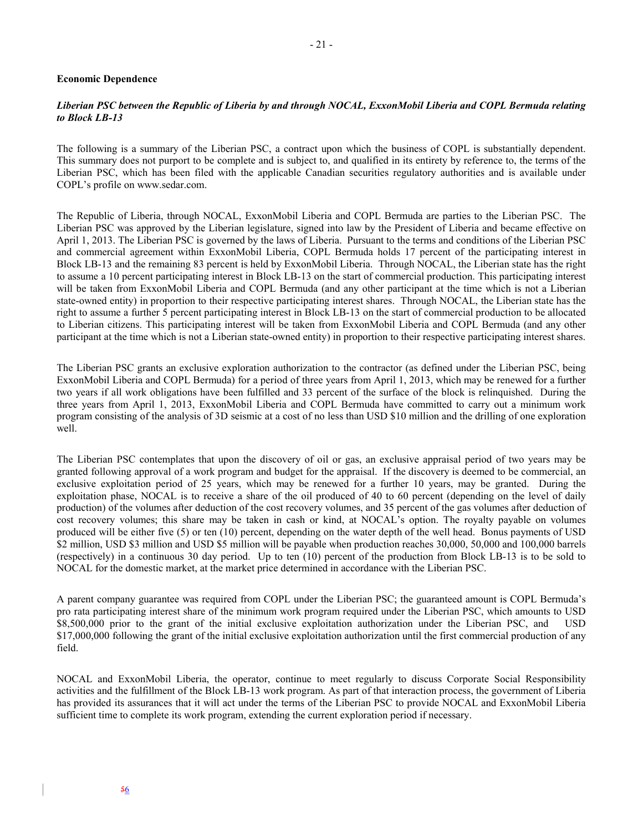#### **Economic Dependence**

# *Liberian PSC between the Republic of Liberia by and through NOCAL, ExxonMobil Liberia and COPL Bermuda relating to Block LB-13*

The following is a summary of the Liberian PSC, a contract upon which the business of COPL is substantially dependent. This summary does not purport to be complete and is subject to, and qualified in its entirety by reference to, the terms of the Liberian PSC, which has been filed with the applicable Canadian securities regulatory authorities and is available under COPL's profile on www.sedar.com.

The Republic of Liberia, through NOCAL, ExxonMobil Liberia and COPL Bermuda are parties to the Liberian PSC. The Liberian PSC was approved by the Liberian legislature, signed into law by the President of Liberia and became effective on April 1, 2013. The Liberian PSC is governed by the laws of Liberia. Pursuant to the terms and conditions of the Liberian PSC and commercial agreement within ExxonMobil Liberia, COPL Bermuda holds 17 percent of the participating interest in Block LB-13 and the remaining 83 percent is held by ExxonMobil Liberia. Through NOCAL, the Liberian state has the right to assume a 10 percent participating interest in Block LB-13 on the start of commercial production. This participating interest will be taken from ExxonMobil Liberia and COPL Bermuda (and any other participant at the time which is not a Liberian state-owned entity) in proportion to their respective participating interest shares. Through NOCAL, the Liberian state has the right to assume a further 5 percent participating interest in Block LB-13 on the start of commercial production to be allocated to Liberian citizens. This participating interest will be taken from ExxonMobil Liberia and COPL Bermuda (and any other participant at the time which is not a Liberian state-owned entity) in proportion to their respective participating interest shares.

The Liberian PSC grants an exclusive exploration authorization to the contractor (as defined under the Liberian PSC, being ExxonMobil Liberia and COPL Bermuda) for a period of three years from April 1, 2013, which may be renewed for a further two years if all work obligations have been fulfilled and 33 percent of the surface of the block is relinquished. During the three years from April 1, 2013, ExxonMobil Liberia and COPL Bermuda have committed to carry out a minimum work program consisting of the analysis of 3D seismic at a cost of no less than USD \$10 million and the drilling of one exploration well.

The Liberian PSC contemplates that upon the discovery of oil or gas, an exclusive appraisal period of two years may be granted following approval of a work program and budget for the appraisal. If the discovery is deemed to be commercial, an exclusive exploitation period of 25 years, which may be renewed for a further 10 years, may be granted. During the exploitation phase, NOCAL is to receive a share of the oil produced of 40 to 60 percent (depending on the level of daily production) of the volumes after deduction of the cost recovery volumes, and 35 percent of the gas volumes after deduction of cost recovery volumes; this share may be taken in cash or kind, at NOCAL's option. The royalty payable on volumes produced will be either five (5) or ten (10) percent, depending on the water depth of the well head. Bonus payments of USD \$2 million, USD \$3 million and USD \$5 million will be payable when production reaches 30,000, 50,000 and 100,000 barrels (respectively) in a continuous 30 day period. Up to ten (10) percent of the production from Block LB-13 is to be sold to NOCAL for the domestic market, at the market price determined in accordance with the Liberian PSC.

A parent company guarantee was required from COPL under the Liberian PSC; the guaranteed amount is COPL Bermuda's pro rata participating interest share of the minimum work program required under the Liberian PSC, which amounts to USD \$8,500,000 prior to the grant of the initial exclusive exploitation authorization under the Liberian PSC, and USD \$17,000,000 following the grant of the initial exclusive exploitation authorization until the first commercial production of any field.

NOCAL and ExxonMobil Liberia, the operator, continue to meet regularly to discuss Corporate Social Responsibility activities and the fulfillment of the Block LB-13 work program. As part of that interaction process, the government of Liberia has provided its assurances that it will act under the terms of the Liberian PSC to provide NOCAL and ExxonMobil Liberia sufficient time to complete its work program, extending the current exploration period if necessary.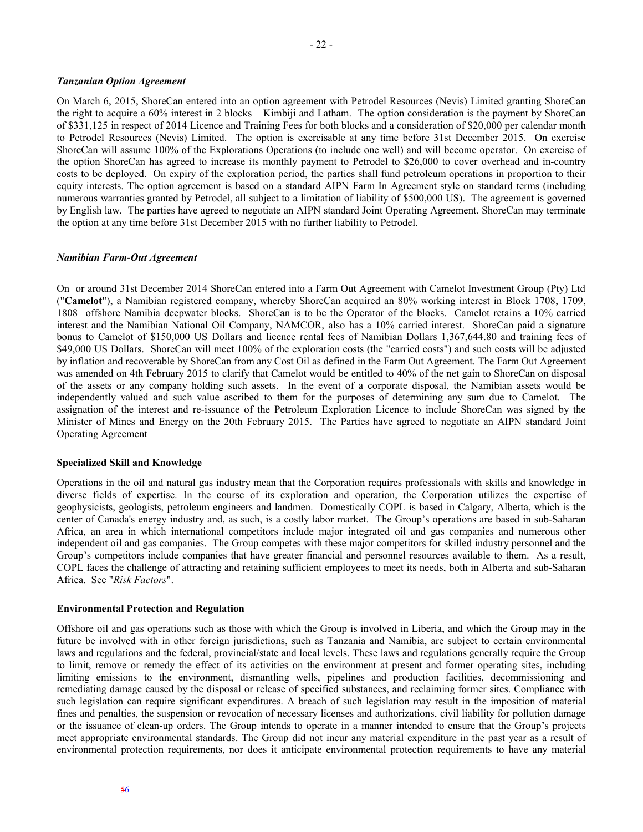#### *Tanzanian Option Agreement*

On March 6, 2015, ShoreCan entered into an option agreement with Petrodel Resources (Nevis) Limited granting ShoreCan the right to acquire a 60% interest in 2 blocks – Kimbiji and Latham. The option consideration is the payment by ShoreCan of \$331,125 in respect of 2014 Licence and Training Fees for both blocks and a consideration of \$20,000 per calendar month to Petrodel Resources (Nevis) Limited. The option is exercisable at any time before 31st December 2015. On exercise ShoreCan will assume 100% of the Explorations Operations (to include one well) and will become operator. On exercise of the option ShoreCan has agreed to increase its monthly payment to Petrodel to \$26,000 to cover overhead and in-country costs to be deployed. On expiry of the exploration period, the parties shall fund petroleum operations in proportion to their equity interests. The option agreement is based on a standard AIPN Farm In Agreement style on standard terms (including numerous warranties granted by Petrodel, all subject to a limitation of liability of \$500,000 US). The agreement is governed by English law. The parties have agreed to negotiate an AIPN standard Joint Operating Agreement. ShoreCan may terminate the option at any time before 31st December 2015 with no further liability to Petrodel.

# *Namibian Farm-Out Agreement*

On or around 31st December 2014 ShoreCan entered into a Farm Out Agreement with Camelot Investment Group (Pty) Ltd ("**Camelot**"), a Namibian registered company, whereby ShoreCan acquired an 80% working interest in Block 1708, 1709, 1808 offshore Namibia deepwater blocks. ShoreCan is to be the Operator of the blocks. Camelot retains a 10% carried interest and the Namibian National Oil Company, NAMCOR, also has a 10% carried interest. ShoreCan paid a signature bonus to Camelot of \$150,000 US Dollars and licence rental fees of Namibian Dollars 1,367,644.80 and training fees of \$49,000 US Dollars. ShoreCan will meet 100% of the exploration costs (the "carried costs") and such costs will be adjusted by inflation and recoverable by ShoreCan from any Cost Oil as defined in the Farm Out Agreement. The Farm Out Agreement was amended on 4th February 2015 to clarify that Camelot would be entitled to 40% of the net gain to ShoreCan on disposal of the assets or any company holding such assets. In the event of a corporate disposal, the Namibian assets would be independently valued and such value ascribed to them for the purposes of determining any sum due to Camelot. The assignation of the interest and re-issuance of the Petroleum Exploration Licence to include ShoreCan was signed by the Minister of Mines and Energy on the 20th February 2015. The Parties have agreed to negotiate an AIPN standard Joint Operating Agreement

#### **Specialized Skill and Knowledge**

Operations in the oil and natural gas industry mean that the Corporation requires professionals with skills and knowledge in diverse fields of expertise. In the course of its exploration and operation, the Corporation utilizes the expertise of geophysicists, geologists, petroleum engineers and landmen. Domestically COPL is based in Calgary, Alberta, which is the center of Canada's energy industry and, as such, is a costly labor market. The Group's operations are based in sub-Saharan Africa, an area in which international competitors include major integrated oil and gas companies and numerous other independent oil and gas companies. The Group competes with these major competitors for skilled industry personnel and the Group's competitors include companies that have greater financial and personnel resources available to them. As a result, COPL faces the challenge of attracting and retaining sufficient employees to meet its needs, both in Alberta and sub-Saharan Africa. See "*Risk Factors*".

# **Environmental Protection and Regulation**

Offshore oil and gas operations such as those with which the Group is involved in Liberia, and which the Group may in the future be involved with in other foreign jurisdictions, such as Tanzania and Namibia, are subject to certain environmental laws and regulations and the federal, provincial/state and local levels. These laws and regulations generally require the Group to limit, remove or remedy the effect of its activities on the environment at present and former operating sites, including limiting emissions to the environment, dismantling wells, pipelines and production facilities, decommissioning and remediating damage caused by the disposal or release of specified substances, and reclaiming former sites. Compliance with such legislation can require significant expenditures. A breach of such legislation may result in the imposition of material fines and penalties, the suspension or revocation of necessary licenses and authorizations, civil liability for pollution damage or the issuance of clean-up orders. The Group intends to operate in a manner intended to ensure that the Group's projects meet appropriate environmental standards. The Group did not incur any material expenditure in the past year as a result of environmental protection requirements, nor does it anticipate environmental protection requirements to have any material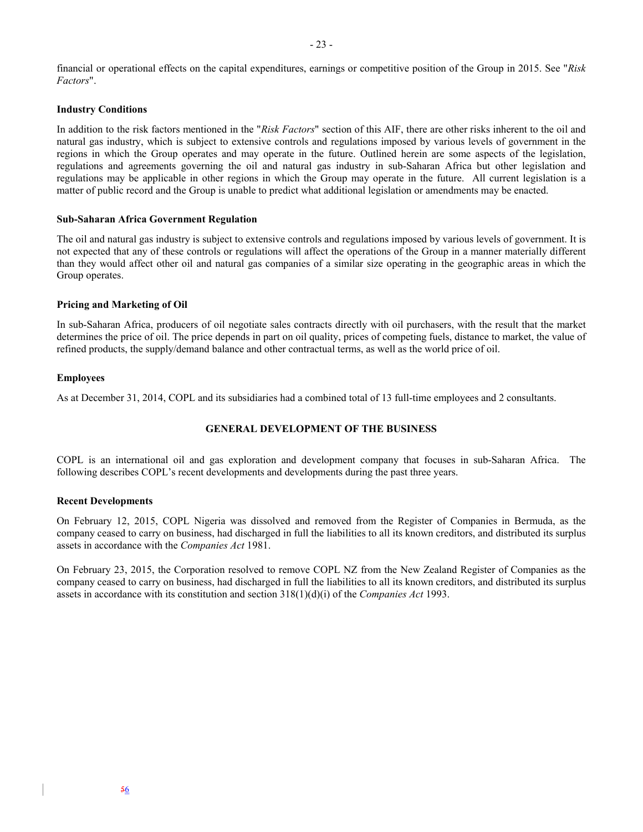financial or operational effects on the capital expenditures, earnings or competitive position of the Group in 2015. See "*Risk Factors*".

# **Industry Conditions**

In addition to the risk factors mentioned in the "*Risk Factors*" section of this AIF, there are other risks inherent to the oil and natural gas industry, which is subject to extensive controls and regulations imposed by various levels of government in the regions in which the Group operates and may operate in the future. Outlined herein are some aspects of the legislation, regulations and agreements governing the oil and natural gas industry in sub-Saharan Africa but other legislation and regulations may be applicable in other regions in which the Group may operate in the future. All current legislation is a matter of public record and the Group is unable to predict what additional legislation or amendments may be enacted.

# **Sub-Saharan Africa Government Regulation**

The oil and natural gas industry is subject to extensive controls and regulations imposed by various levels of government. It is not expected that any of these controls or regulations will affect the operations of the Group in a manner materially different than they would affect other oil and natural gas companies of a similar size operating in the geographic areas in which the Group operates.

#### **Pricing and Marketing of Oil**

In sub-Saharan Africa, producers of oil negotiate sales contracts directly with oil purchasers, with the result that the market determines the price of oil. The price depends in part on oil quality, prices of competing fuels, distance to market, the value of refined products, the supply/demand balance and other contractual terms, as well as the world price of oil.

#### **Employees**

As at December 31, 2014, COPL and its subsidiaries had a combined total of 13 full-time employees and 2 consultants.

# **GENERAL DEVELOPMENT OF THE BUSINESS**

COPL is an international oil and gas exploration and development company that focuses in sub-Saharan Africa. The following describes COPL's recent developments and developments during the past three years.

#### **Recent Developments**

On February 12, 2015, COPL Nigeria was dissolved and removed from the Register of Companies in Bermuda, as the company ceased to carry on business, had discharged in full the liabilities to all its known creditors, and distributed its surplus assets in accordance with the *Companies Act* 1981.

On February 23, 2015, the Corporation resolved to remove COPL NZ from the New Zealand Register of Companies as the company ceased to carry on business, had discharged in full the liabilities to all its known creditors, and distributed its surplus assets in accordance with its constitution and section 318(1)(d)(i) of the *Companies Act* 1993.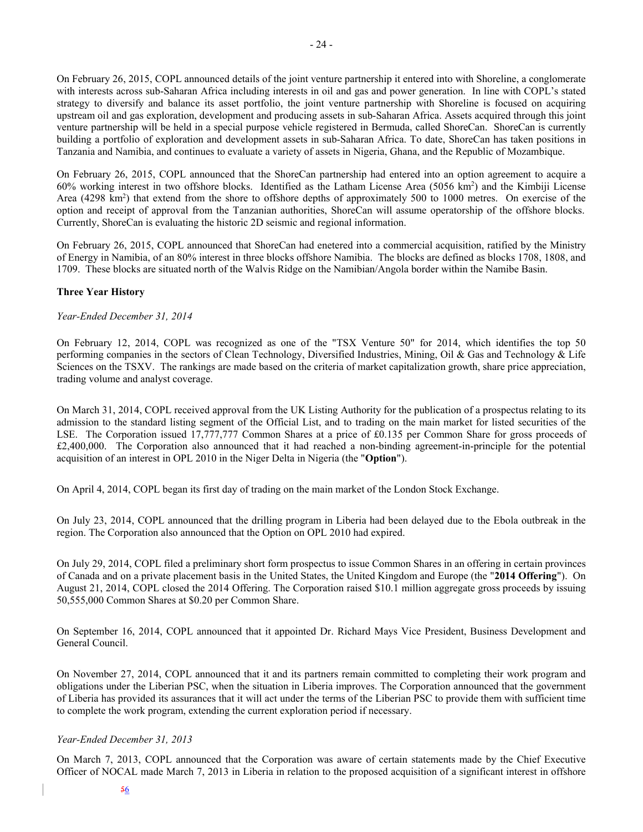On February 26, 2015, COPL announced details of the joint venture partnership it entered into with Shoreline, a conglomerate with interests across sub-Saharan Africa including interests in oil and gas and power generation. In line with COPL's stated strategy to diversify and balance its asset portfolio, the joint venture partnership with Shoreline is focused on acquiring upstream oil and gas exploration, development and producing assets in sub-Saharan Africa. Assets acquired through this joint venture partnership will be held in a special purpose vehicle registered in Bermuda, called ShoreCan. ShoreCan is currently building a portfolio of exploration and development assets in sub-Saharan Africa. To date, ShoreCan has taken positions in Tanzania and Namibia, and continues to evaluate a variety of assets in Nigeria, Ghana, and the Republic of Mozambique.

On February 26, 2015, COPL announced that the ShoreCan partnership had entered into an option agreement to acquire a 60% working interest in two offshore blocks. Identified as the Latham License Area (5056 km<sup>2</sup> ) and the Kimbiji License Area (4298 km<sup>2</sup>) that extend from the shore to offshore depths of approximately 500 to 1000 metres. On exercise of the option and receipt of approval from the Tanzanian authorities, ShoreCan will assume operatorship of the offshore blocks. Currently, ShoreCan is evaluating the historic 2D seismic and regional information.

On February 26, 2015, COPL announced that ShoreCan had enetered into a commercial acquisition, ratified by the Ministry of Energy in Namibia, of an 80% interest in three blocks offshore Namibia. The blocks are defined as blocks 1708, 1808, and 1709. These blocks are situated north of the Walvis Ridge on the Namibian/Angola border within the Namibe Basin.

# **Three Year History**

# *Year-Ended December 31, 2014*

On February 12, 2014, COPL was recognized as one of the "TSX Venture 50" for 2014, which identifies the top 50 performing companies in the sectors of Clean Technology, Diversified Industries, Mining, Oil & Gas and Technology & Life Sciences on the TSXV. The rankings are made based on the criteria of market capitalization growth, share price appreciation, trading volume and analyst coverage.

On March 31, 2014, COPL received approval from the UK Listing Authority for the publication of a prospectus relating to its admission to the standard listing segment of the Official List, and to trading on the main market for listed securities of the LSE. The Corporation issued 17,777,777 Common Shares at a price of £0.135 per Common Share for gross proceeds of £2,400,000. The Corporation also announced that it had reached a non-binding agreement-in-principle for the potential acquisition of an interest in OPL 2010 in the Niger Delta in Nigeria (the "**Option**").

On April 4, 2014, COPL began its first day of trading on the main market of the London Stock Exchange.

On July 23, 2014, COPL announced that the drilling program in Liberia had been delayed due to the Ebola outbreak in the region. The Corporation also announced that the Option on OPL 2010 had expired.

On July 29, 2014, COPL filed a preliminary short form prospectus to issue Common Shares in an offering in certain provinces of Canada and on a private placement basis in the United States, the United Kingdom and Europe (the "**2014 Offering**"). On August 21, 2014, COPL closed the 2014 Offering. The Corporation raised \$10.1 million aggregate gross proceeds by issuing 50,555,000 Common Shares at \$0.20 per Common Share.

On September 16, 2014, COPL announced that it appointed Dr. Richard Mays Vice President, Business Development and General Council.

On November 27, 2014, COPL announced that it and its partners remain committed to completing their work program and obligations under the Liberian PSC, when the situation in Liberia improves. The Corporation announced that the government of Liberia has provided its assurances that it will act under the terms of the Liberian PSC to provide them with sufficient time to complete the work program, extending the current exploration period if necessary.

# *Year-Ended December 31, 2013*

On March 7, 2013, COPL announced that the Corporation was aware of certain statements made by the Chief Executive Officer of NOCAL made March 7, 2013 in Liberia in relation to the proposed acquisition of a significant interest in offshore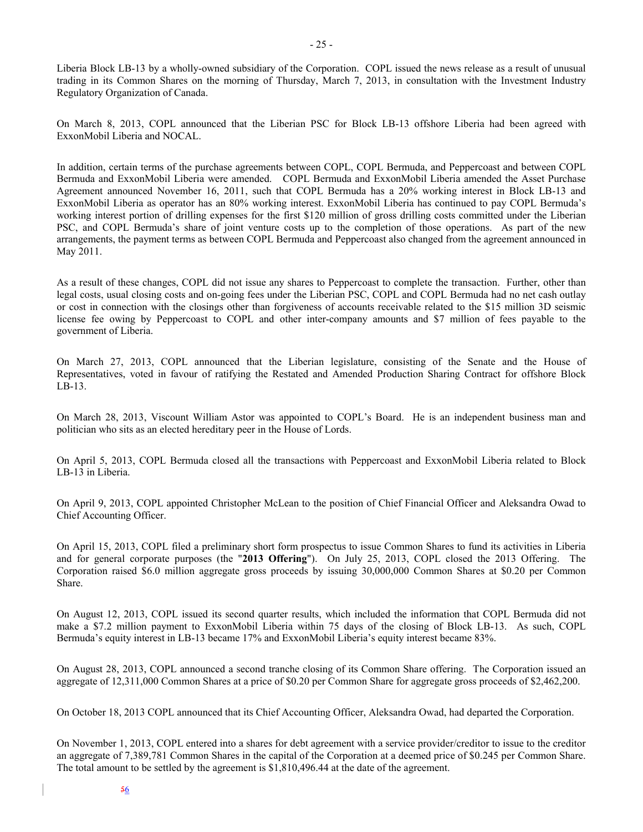Liberia Block LB-13 by a wholly-owned subsidiary of the Corporation. COPL issued the news release as a result of unusual trading in its Common Shares on the morning of Thursday, March 7, 2013, in consultation with the Investment Industry Regulatory Organization of Canada.

On March 8, 2013, COPL announced that the Liberian PSC for Block LB-13 offshore Liberia had been agreed with ExxonMobil Liberia and NOCAL.

In addition, certain terms of the purchase agreements between COPL, COPL Bermuda, and Peppercoast and between COPL Bermuda and ExxonMobil Liberia were amended. COPL Bermuda and ExxonMobil Liberia amended the Asset Purchase Agreement announced November 16, 2011, such that COPL Bermuda has a 20% working interest in Block LB-13 and ExxonMobil Liberia as operator has an 80% working interest. ExxonMobil Liberia has continued to pay COPL Bermuda's working interest portion of drilling expenses for the first \$120 million of gross drilling costs committed under the Liberian PSC, and COPL Bermuda's share of joint venture costs up to the completion of those operations. As part of the new arrangements, the payment terms as between COPL Bermuda and Peppercoast also changed from the agreement announced in May 2011.

As a result of these changes, COPL did not issue any shares to Peppercoast to complete the transaction. Further, other than legal costs, usual closing costs and on-going fees under the Liberian PSC, COPL and COPL Bermuda had no net cash outlay or cost in connection with the closings other than forgiveness of accounts receivable related to the \$15 million 3D seismic license fee owing by Peppercoast to COPL and other inter-company amounts and \$7 million of fees payable to the government of Liberia.

On March 27, 2013, COPL announced that the Liberian legislature, consisting of the Senate and the House of Representatives, voted in favour of ratifying the Restated and Amended Production Sharing Contract for offshore Block LB-13.

On March 28, 2013, Viscount William Astor was appointed to COPL's Board. He is an independent business man and politician who sits as an elected hereditary peer in the House of Lords.

On April 5, 2013, COPL Bermuda closed all the transactions with Peppercoast and ExxonMobil Liberia related to Block LB-13 in Liberia.

On April 9, 2013, COPL appointed Christopher McLean to the position of Chief Financial Officer and Aleksandra Owad to Chief Accounting Officer.

On April 15, 2013, COPL filed a preliminary short form prospectus to issue Common Shares to fund its activities in Liberia and for general corporate purposes (the "**2013 Offering**"). On July 25, 2013, COPL closed the 2013 Offering. The Corporation raised \$6.0 million aggregate gross proceeds by issuing 30,000,000 Common Shares at \$0.20 per Common Share.

On August 12, 2013, COPL issued its second quarter results, which included the information that COPL Bermuda did not make a \$7.2 million payment to ExxonMobil Liberia within 75 days of the closing of Block LB-13. As such, COPL Bermuda's equity interest in LB-13 became 17% and ExxonMobil Liberia's equity interest became 83%.

On August 28, 2013, COPL announced a second tranche closing of its Common Share offering. The Corporation issued an aggregate of 12,311,000 Common Shares at a price of \$0.20 per Common Share for aggregate gross proceeds of \$2,462,200.

On October 18, 2013 COPL announced that its Chief Accounting Officer, Aleksandra Owad, had departed the Corporation.

On November 1, 2013, COPL entered into a shares for debt agreement with a service provider/creditor to issue to the creditor an aggregate of 7,389,781 Common Shares in the capital of the Corporation at a deemed price of \$0.245 per Common Share. The total amount to be settled by the agreement is \$1,810,496.44 at the date of the agreement.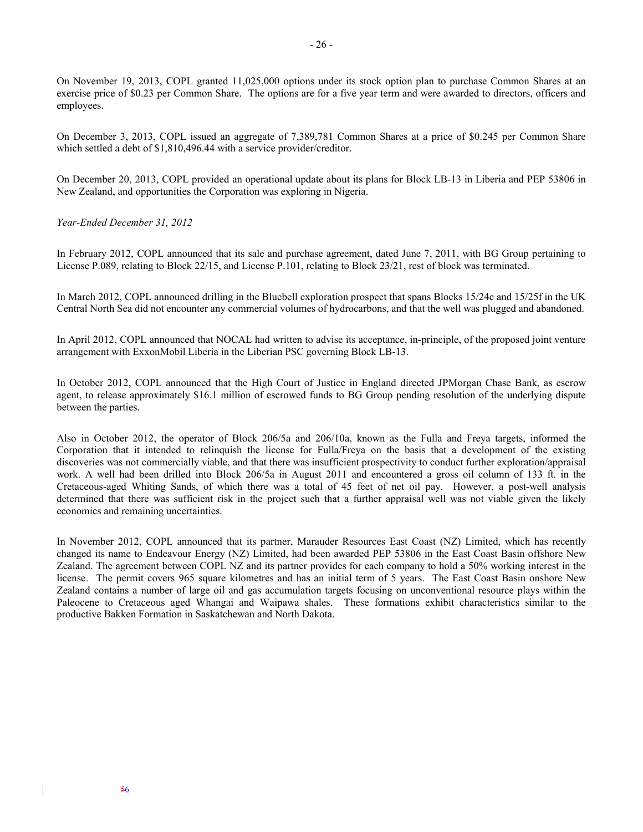On November 19, 2013, COPL granted 11,025,000 options under its stock option plan to purchase Common Shares at an exercise price of \$0.23 per Common Share. The options are for a five year term and were awarded to directors, officers and employees.

On December 3, 2013, COPL issued an aggregate of 7,389,781 Common Shares at a price of \$0.245 per Common Share which settled a debt of \$1,810,496.44 with a service provider/creditor.

On December 20, 2013, COPL provided an operational update about its plans for Block LB-13 in Liberia and PEP 53806 in New Zealand, and opportunities the Corporation was exploring in Nigeria.

*Year-Ended December 31, 2012*

In February 2012, COPL announced that its sale and purchase agreement, dated June 7, 2011, with BG Group pertaining to License P.089, relating to Block 22/15, and License P.101, relating to Block 23/21, rest of block was terminated.

In March 2012, COPL announced drilling in the Bluebell exploration prospect that spans Blocks 15/24c and 15/25f in the UK Central North Sea did not encounter any commercial volumes of hydrocarbons, and that the well was plugged and abandoned.

In April 2012, COPL announced that NOCAL had written to advise its acceptance, in-principle, of the proposed joint venture arrangement with ExxonMobil Liberia in the Liberian PSC governing Block LB-13.

In October 2012, COPL announced that the High Court of Justice in England directed JPMorgan Chase Bank, as escrow agent, to release approximately \$16.1 million of escrowed funds to BG Group pending resolution of the underlying dispute between the parties.

Also in October 2012, the operator of Block 206/5a and 206/10a, known as the Fulla and Freya targets, informed the Corporation that it intended to relinquish the license for Fulla/Freya on the basis that a development of the existing discoveries was not commercially viable, and that there was insufficient prospectivity to conduct further exploration/appraisal work. A well had been drilled into Block 206/5a in August 2011 and encountered a gross oil column of 133 ft. in the Cretaceous-aged Whiting Sands, of which there was a total of 45 feet of net oil pay. However, a post-well analysis determined that there was sufficient risk in the project such that a further appraisal well was not viable given the likely economics and remaining uncertainties.

In November 2012, COPL announced that its partner, Marauder Resources East Coast (NZ) Limited, which has recently changed its name to Endeavour Energy (NZ) Limited, had been awarded PEP 53806 in the East Coast Basin offshore New Zealand. The agreement between COPL NZ and its partner provides for each company to hold a 50% working interest in the license. The permit covers 965 square kilometres and has an initial term of 5 years. The East Coast Basin onshore New Zealand contains a number of large oil and gas accumulation targets focusing on unconventional resource plays within the Paleocene to Cretaceous aged Whangai and Waipawa shales. These formations exhibit characteristics similar to the productive Bakken Formation in Saskatchewan and North Dakota.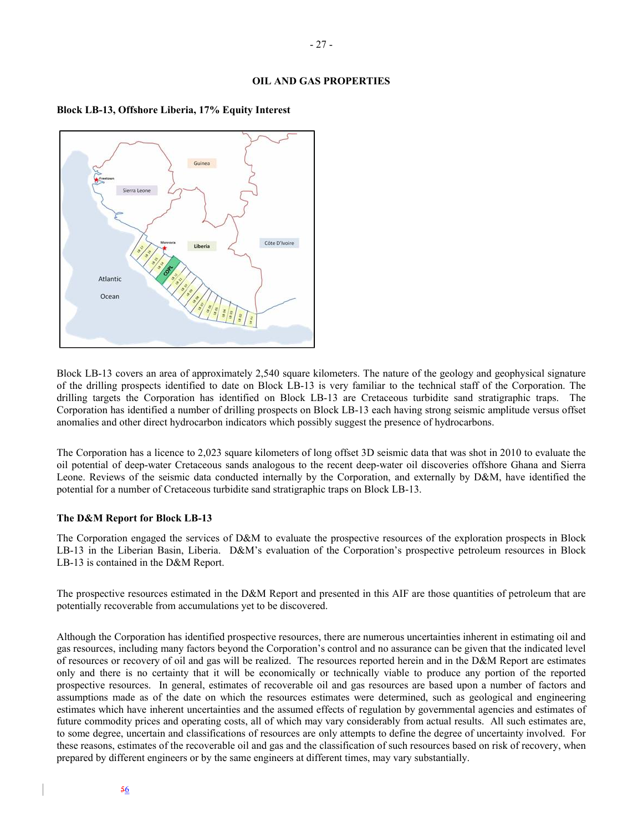# **OIL AND GAS PROPERTIES**



#### **Block LB-13, Offshore Liberia, 17% Equity Interest**

Block LB-13 covers an area of approximately 2,540 square kilometers. The nature of the geology and geophysical signature of the drilling prospects identified to date on Block LB-13 is very familiar to the technical staff of the Corporation. The drilling targets the Corporation has identified on Block LB-13 are Cretaceous turbidite sand stratigraphic traps. The Corporation has identified a number of drilling prospects on Block LB-13 each having strong seismic amplitude versus offset anomalies and other direct hydrocarbon indicators which possibly suggest the presence of hydrocarbons.

The Corporation has a licence to 2,023 square kilometers of long offset 3D seismic data that was shot in 2010 to evaluate the oil potential of deep-water Cretaceous sands analogous to the recent deep-water oil discoveries offshore Ghana and Sierra Leone. Reviews of the seismic data conducted internally by the Corporation, and externally by D&M, have identified the potential for a number of Cretaceous turbidite sand stratigraphic traps on Block LB-13.

#### **The D&M Report for Block LB-13**

The Corporation engaged the services of D&M to evaluate the prospective resources of the exploration prospects in Block LB-13 in the Liberian Basin, Liberia. D&M's evaluation of the Corporation's prospective petroleum resources in Block LB-13 is contained in the D&M Report.

The prospective resources estimated in the D&M Report and presented in this AIF are those quantities of petroleum that are potentially recoverable from accumulations yet to be discovered.

Although the Corporation has identified prospective resources, there are numerous uncertainties inherent in estimating oil and gas resources, including many factors beyond the Corporation's control and no assurance can be given that the indicated level of resources or recovery of oil and gas will be realized. The resources reported herein and in the D&M Report are estimates only and there is no certainty that it will be economically or technically viable to produce any portion of the reported prospective resources. In general, estimates of recoverable oil and gas resources are based upon a number of factors and assumptions made as of the date on which the resources estimates were determined, such as geological and engineering estimates which have inherent uncertainties and the assumed effects of regulation by governmental agencies and estimates of future commodity prices and operating costs, all of which may vary considerably from actual results. All such estimates are, to some degree, uncertain and classifications of resources are only attempts to define the degree of uncertainty involved. For these reasons, estimates of the recoverable oil and gas and the classification of such resources based on risk of recovery, when prepared by different engineers or by the same engineers at different times, may vary substantially.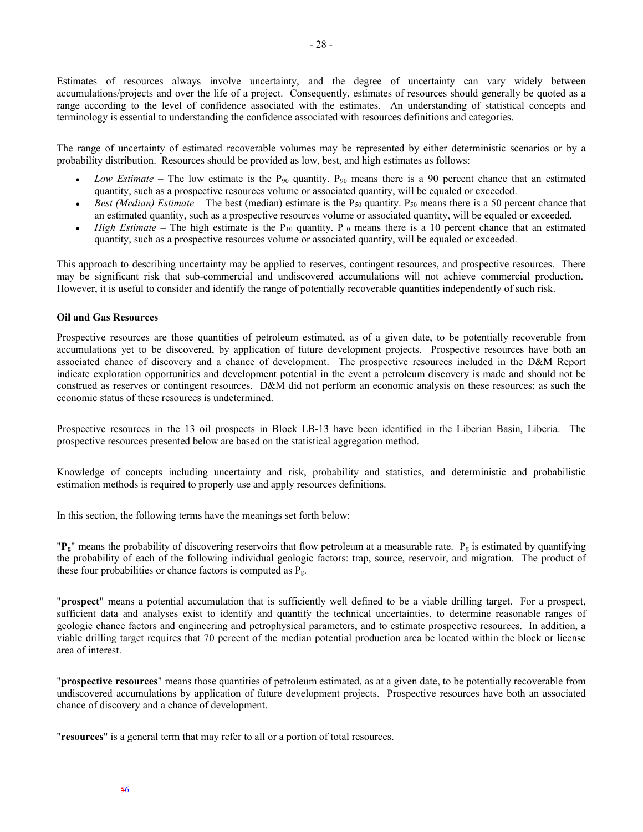Estimates of resources always involve uncertainty, and the degree of uncertainty can vary widely between accumulations/projects and over the life of a project. Consequently, estimates of resources should generally be quoted as a range according to the level of confidence associated with the estimates. An understanding of statistical concepts and terminology is essential to understanding the confidence associated with resources definitions and categories.

The range of uncertainty of estimated recoverable volumes may be represented by either deterministic scenarios or by a probability distribution. Resources should be provided as low, best, and high estimates as follows:

- *Low Estimate* The low estimate is the P<sub>90</sub> quantity. P<sub>90</sub> means there is a 90 percent chance that an estimated quantity, such as a prospective resources volume or associated quantity, will be equaled or exceeded.
- *Best (Median) Estimate* The best (median) estimate is the P<sub>50</sub> quantity. P<sub>50</sub> means there is a 50 percent chance that an estimated quantity, such as a prospective resources volume or associated quantity, will be equaled or exceeded.
- *High Estimate* The high estimate is the P<sub>10</sub> quantity. P<sub>10</sub> means there is a 10 percent chance that an estimated quantity, such as a prospective resources volume or associated quantity, will be equaled or exceeded.

This approach to describing uncertainty may be applied to reserves, contingent resources, and prospective resources. There may be significant risk that sub-commercial and undiscovered accumulations will not achieve commercial production. However, it is useful to consider and identify the range of potentially recoverable quantities independently of such risk.

# **Oil and Gas Resources**

Prospective resources are those quantities of petroleum estimated, as of a given date, to be potentially recoverable from accumulations yet to be discovered, by application of future development projects. Prospective resources have both an associated chance of discovery and a chance of development. The prospective resources included in the D&M Report indicate exploration opportunities and development potential in the event a petroleum discovery is made and should not be construed as reserves or contingent resources. D&M did not perform an economic analysis on these resources; as such the economic status of these resources is undetermined.

Prospective resources in the 13 oil prospects in Block LB-13 have been identified in the Liberian Basin, Liberia. The prospective resources presented below are based on the statistical aggregation method.

Knowledge of concepts including uncertainty and risk, probability and statistics, and deterministic and probabilistic estimation methods is required to properly use and apply resources definitions.

In this section, the following terms have the meanings set forth below:

"**Pg**" means the probability of discovering reservoirs that flow petroleum at a measurable rate. Pg is estimated by quantifying the probability of each of the following individual geologic factors: trap, source, reservoir, and migration. The product of these four probabilities or chance factors is computed as  $P_g$ .

"**prospect**" means a potential accumulation that is sufficiently well defined to be a viable drilling target. For a prospect, sufficient data and analyses exist to identify and quantify the technical uncertainties, to determine reasonable ranges of geologic chance factors and engineering and petrophysical parameters, and to estimate prospective resources. In addition, a viable drilling target requires that 70 percent of the median potential production area be located within the block or license area of interest.

"**prospective resources**" means those quantities of petroleum estimated, as at a given date, to be potentially recoverable from undiscovered accumulations by application of future development projects. Prospective resources have both an associated chance of discovery and a chance of development.

"**resources**" is a general term that may refer to all or a portion of total resources.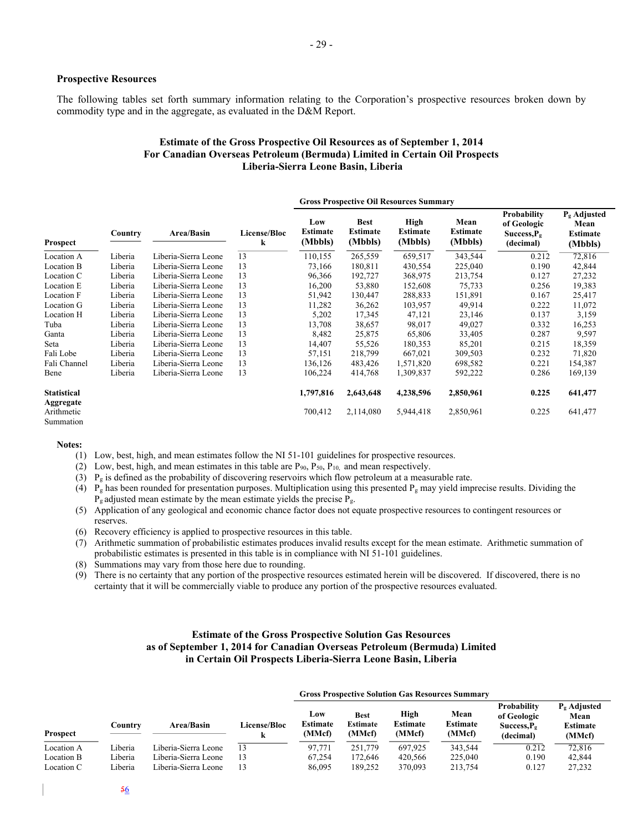#### **Prospective Resources**

The following tables set forth summary information relating to the Corporation's prospective resources broken down by commodity type and in the aggregate, as evaluated in the D&M Report.

# **Estimate of the Gross Prospective Oil Resources as of September 1, 2014 For Canadian Overseas Petroleum (Bermuda) Limited in Certain Oil Prospects Liberia-Sierra Leone Basin, Liberia**

**Gross Prospective Oil Resources Summary**

|                                 |         |                      |                   | Gross I rospective On Resources Summary |                                    |                             |                             |                                                                    |                                                     |
|---------------------------------|---------|----------------------|-------------------|-----------------------------------------|------------------------------------|-----------------------------|-----------------------------|--------------------------------------------------------------------|-----------------------------------------------------|
| <b>Prospect</b>                 | Country | Area/Basin           | License/Bloc<br>k | Low<br>Estimate<br>(Mbbls)              | <b>Best</b><br>Estimate<br>(Mbbls) | High<br>Estimate<br>(Mbbls) | Mean<br>Estimate<br>(Mbbls) | Probability<br>of Geologic<br>Success, P <sub>g</sub><br>(decimal) | $P_{\rm g}$ Adjusted<br>Mean<br>Estimate<br>(Mbbls) |
| Location A                      | Liberia | Liberia-Sierra Leone | 13                | 110,155                                 | 265,559                            | 659,517                     | 343,544                     | 0.212                                                              | 72,816                                              |
| Location B                      | Liberia | Liberia-Sierra Leone | 13                | 73,166                                  | 180,811                            | 430,554                     | 225,040                     | 0.190                                                              | 42,844                                              |
| Location C                      | Liberia | Liberia-Sierra Leone | 13                | 96,366                                  | 192,727                            | 368,975                     | 213,754                     | 0.127                                                              | 27,232                                              |
| Location E                      | Liberia | Liberia-Sierra Leone | 13                | 16,200                                  | 53,880                             | 152,608                     | 75,733                      | 0.256                                                              | 19,383                                              |
| Location F                      | Liberia | Liberia-Sierra Leone | 13                | 51,942                                  | 130,447                            | 288,833                     | 151,891                     | 0.167                                                              | 25,417                                              |
| Location G                      | Liberia | Liberia-Sierra Leone | 13                | 11,282                                  | 36,262                             | 103,957                     | 49,914                      | 0.222                                                              | 11,072                                              |
| Location H                      | Liberia | Liberia-Sierra Leone | 13                | 5,202                                   | 17,345                             | 47,121                      | 23,146                      | 0.137                                                              | 3,159                                               |
| Tuba                            | Liberia | Liberia-Sierra Leone | 13                | 13,708                                  | 38,657                             | 98,017                      | 49,027                      | 0.332                                                              | 16,253                                              |
| Ganta                           | Liberia | Liberia-Sierra Leone | 13                | 8,482                                   | 25,875                             | 65,806                      | 33,405                      | 0.287                                                              | 9,597                                               |
| Seta                            | Liberia | Liberia-Sierra Leone | 13                | 14,407                                  | 55,526                             | 180,353                     | 85,201                      | 0.215                                                              | 18,359                                              |
| Fali Lobe                       | Liberia | Liberia-Sierra Leone | 13                | 57,151                                  | 218,799                            | 667,021                     | 309,503                     | 0.232                                                              | 71,820                                              |
| Fali Channel                    | Liberia | Liberia-Sierra Leone | 13                | 136,126                                 | 483,426                            | 1,571,820                   | 698,582                     | 0.221                                                              | 154,387                                             |
| Bene                            | Liberia | Liberia-Sierra Leone | 13                | 106,224                                 | 414,768                            | 1,309,837                   | 592,222                     | 0.286                                                              | 169,139                                             |
| <b>Statistical</b><br>Aggregate |         |                      |                   | 1,797,816                               | 2,643,648                          | 4,238,596                   | 2,850,961                   | 0.225                                                              | 641,477                                             |
| Arithmetic<br>Summation         |         |                      |                   | 700,412                                 | 2,114,080                          | 5,944,418                   | 2,850,961                   | 0.225                                                              | 641,477                                             |

#### **Notes:**

- (1) Low, best, high, and mean estimates follow the NI 51-101 guidelines for prospective resources.
- (2) Low, best, high, and mean estimates in this table are P90, P50, P10, and mean respectively.
- (3)  $P_g$  is defined as the probability of discovering reservoirs which flow petroleum at a measurable rate.
- (4) P<sub>g</sub> has been rounded for presentation purposes. Multiplication using this presented P<sub>g</sub> may yield imprecise results. Dividing the  $P_g$  adjusted mean estimate by the mean estimate yields the precise  $P_g$ .
- (5) Application of any geological and economic chance factor does not equate prospective resources to contingent resources or reserves.
- (6) Recovery efficiency is applied to prospective resources in this table.
- (7) Arithmetic summation of probabilistic estimates produces invalid results except for the mean estimate. Arithmetic summation of probabilistic estimates is presented in this table is in compliance with NI 51-101 guidelines.
- (8) Summations may vary from those here due to rounding.
- (9) There is no certainty that any portion of the prospective resources estimated herein will be discovered. If discovered, there is no certainty that it will be commercially viable to produce any portion of the prospective resources evaluated.

# **Estimate of the Gross Prospective Solution Gas Resources as of September 1, 2014 for Canadian Overseas Petroleum (Bermuda) Limited in Certain Oil Prospects Liberia-Sierra Leone Basin, Liberia**

|                 |         |                      |              | <b>Gross Prospective Solution Gas Resources Summary</b> |                                          |                            |                                   |                                                                    |                                                     |
|-----------------|---------|----------------------|--------------|---------------------------------------------------------|------------------------------------------|----------------------------|-----------------------------------|--------------------------------------------------------------------|-----------------------------------------------------|
| <b>Prospect</b> | Country | Area/Basin           | License/Bloc | Low<br><b>Estimate</b><br>(MMcf)                        | <b>Best</b><br><b>Estimate</b><br>(MMcf) | High<br>Estimate<br>(MMcf) | Mean<br><b>Estimate</b><br>(MMcf) | Probability<br>of Geologic<br>Success, P <sub>g</sub><br>(decimal) | $P_g$ Adjusted<br>Mean<br><b>Estimate</b><br>(MMcf) |
| Location A      | Liberia | Liberia-Sierra Leone | 13           | 97.771                                                  | 251.779                                  | 697.925                    | 343.544                           | 0.212                                                              | 72,816                                              |
| Location B      | Liberia | Liberia-Sierra Leone | 13           | 67.254                                                  | 172.646                                  | 420,566                    | 225,040                           | 0.190                                                              | 42,844                                              |
| Location C      | Liberia | Liberia-Sierra Leone | 13           | 86.095                                                  | 189.252                                  | 370.093                    | 213.754                           | 0.127                                                              | 27,232                                              |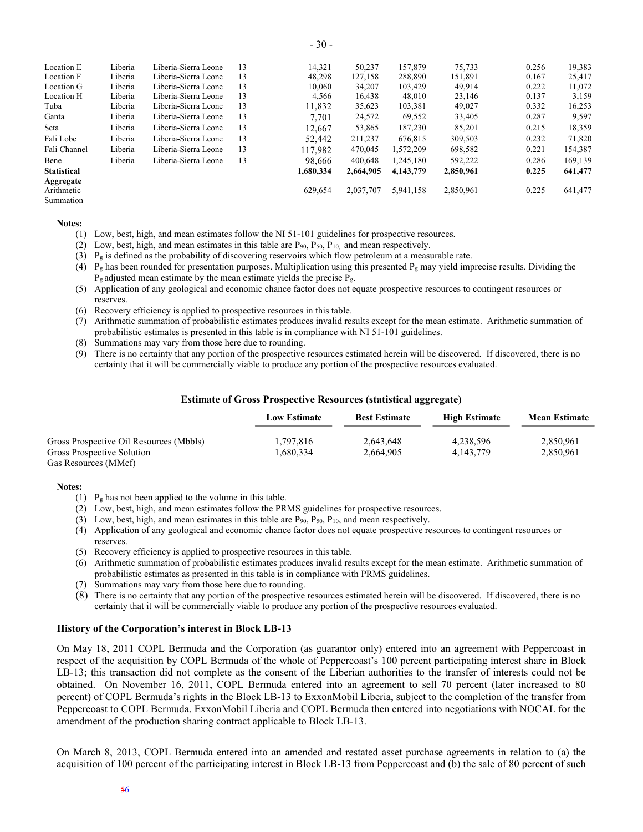| Location E         | Liberia | Liberia-Sierra Leone | 13 | 14,321    | 50.237    | 157,879   | 75.733    | 0.256 | 19,383  |
|--------------------|---------|----------------------|----|-----------|-----------|-----------|-----------|-------|---------|
| Location F         | Liberia | Liberia-Sierra Leone | 13 | 48,298    | 127,158   | 288,890   | 151,891   | 0.167 | 25,417  |
| Location G         | Liberia | Liberia-Sierra Leone | 13 | 10.060    | 34,207    | 103.429   | 49.914    | 0.222 | 11,072  |
| Location H         | Liberia | Liberia-Sierra Leone | 13 | 4,566     | 16,438    | 48,010    | 23,146    | 0.137 | 3,159   |
| Tuba               | Liberia | Liberia-Sierra Leone | 13 | 11,832    | 35,623    | 103,381   | 49,027    | 0.332 | 16,253  |
| Ganta              | Liberia | Liberia-Sierra Leone | 13 | 7.701     | 24,572    | 69,552    | 33,405    | 0.287 | 9,597   |
| Seta               | Liberia | Liberia-Sierra Leone | 13 | 12.667    | 53,865    | 187,230   | 85,201    | 0.215 | 18,359  |
| Fali Lobe          | Liberia | Liberia-Sierra Leone | 13 | 52,442    | 211,237   | 676,815   | 309,503   | 0.232 | 71,820  |
| Fali Channel       | Liberia | Liberia-Sierra Leone | 13 | 117.982   | 470,045   | 1,572,209 | 698,582   | 0.221 | 154,387 |
| Bene               | Liberia | Liberia-Sierra Leone | 13 | 98.666    | 400.648   | 1.245.180 | 592.222   | 0.286 | 169,139 |
| <b>Statistical</b> |         |                      |    | 1,680,334 | 2,664,905 | 4,143,779 | 2,850,961 | 0.225 | 641,477 |
| Aggregate          |         |                      |    |           |           |           |           |       |         |
| Arithmetic         |         |                      |    | 629,654   | 2,037,707 | 5,941,158 | 2,850,961 | 0.225 | 641,477 |
| Summation          |         |                      |    |           |           |           |           |       |         |
|                    |         |                      |    |           |           |           |           |       |         |

- 30 -

**Notes:**

- (1) Low, best, high, and mean estimates follow the NI 51-101 guidelines for prospective resources.
- (2) Low, best, high, and mean estimates in this table are  $P_{90}$ ,  $P_{50}$ ,  $P_{10}$ , and mean respectively.
- (3)  $P_g$  is defined as the probability of discovering reservoirs which flow petroleum at a measurable rate.
- (4) P<sub>g</sub> has been rounded for presentation purposes. Multiplication using this presented P<sub>g</sub> may yield imprecise results. Dividing the  $P_g$  adjusted mean estimate by the mean estimate yields the precise  $P_g$ .
- (5) Application of any geological and economic chance factor does not equate prospective resources to contingent resources or reserves.
- (6) Recovery efficiency is applied to prospective resources in this table.
- (7) Arithmetic summation of probabilistic estimates produces invalid results except for the mean estimate. Arithmetic summation of probabilistic estimates is presented in this table is in compliance with NI 51-101 guidelines.
- (8) Summations may vary from those here due to rounding.
- (9) There is no certainty that any portion of the prospective resources estimated herein will be discovered. If discovered, there is no certainty that it will be commercially viable to produce any portion of the prospective resources evaluated.

# **Estimate of Gross Prospective Resources (statistical aggregate)**

|                                         | <b>Low Estimate</b> | <b>Best Estimate</b> | <b>High Estimate</b> | <b>Mean Estimate</b> |
|-----------------------------------------|---------------------|----------------------|----------------------|----------------------|
| Gross Prospective Oil Resources (Mbbls) | 1,797,816           | 2,643,648            | 4,238,596            | 2,850,961            |
| Gross Prospective Solution              | 1.680.334           | 2,664,905            | 4.143.779            | 2,850,961            |
| Gas Resources (MMcf)                    |                     |                      |                      |                      |

**Notes:**

- (1)  $P_g$  has not been applied to the volume in this table.
- (2) Low, best, high, and mean estimates follow the PRMS guidelines for prospective resources.
- (3) Low, best, high, and mean estimates in this table are  $P_{90}$ ,  $P_{50}$ ,  $P_{10}$ , and mean respectively.
- (4) Application of any geological and economic chance factor does not equate prospective resources to contingent resources or reserves.
- (5) Recovery efficiency is applied to prospective resources in this table.
- (6) Arithmetic summation of probabilistic estimates produces invalid results except for the mean estimate. Arithmetic summation of probabilistic estimates as presented in this table is in compliance with PRMS guidelines.
- (7) Summations may vary from those here due to rounding.
- (8) There is no certainty that any portion of the prospective resources estimated herein will be discovered. If discovered, there is no certainty that it will be commercially viable to produce any portion of the prospective resources evaluated.

#### **History of the Corporation's interest in Block LB-13**

On May 18, 2011 COPL Bermuda and the Corporation (as guarantor only) entered into an agreement with Peppercoast in respect of the acquisition by COPL Bermuda of the whole of Peppercoast's 100 percent participating interest share in Block LB-13; this transaction did not complete as the consent of the Liberian authorities to the transfer of interests could not be obtained. On November 16, 2011, COPL Bermuda entered into an agreement to sell 70 percent (later increased to 80 percent) of COPL Bermuda's rights in the Block LB-13 to ExxonMobil Liberia, subject to the completion of the transfer from Peppercoast to COPL Bermuda. ExxonMobil Liberia and COPL Bermuda then entered into negotiations with NOCAL for the amendment of the production sharing contract applicable to Block LB-13.

On March 8, 2013, COPL Bermuda entered into an amended and restated asset purchase agreements in relation to (a) the acquisition of 100 percent of the participating interest in Block LB-13 from Peppercoast and (b) the sale of 80 percent of such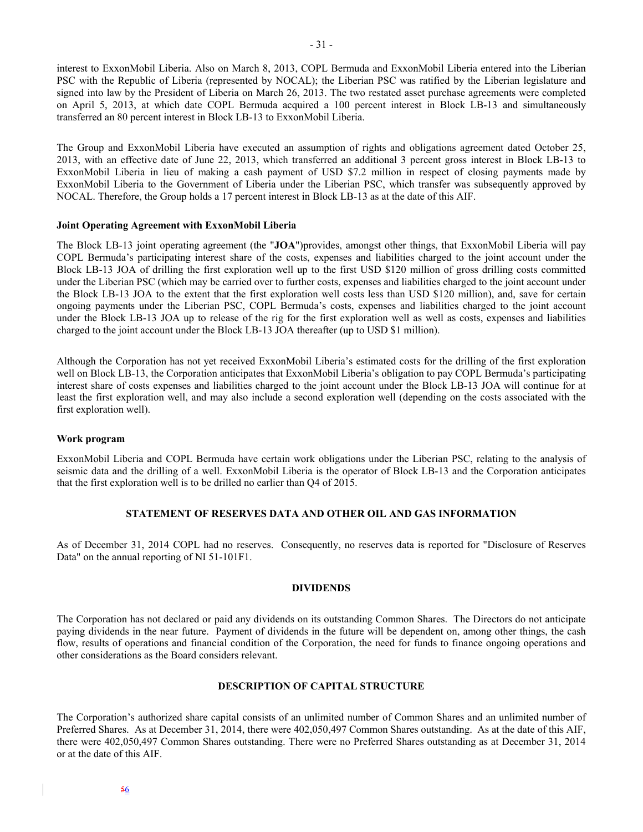interest to ExxonMobil Liberia. Also on March 8, 2013, COPL Bermuda and ExxonMobil Liberia entered into the Liberian PSC with the Republic of Liberia (represented by NOCAL); the Liberian PSC was ratified by the Liberian legislature and signed into law by the President of Liberia on March 26, 2013. The two restated asset purchase agreements were completed on April 5, 2013, at which date COPL Bermuda acquired a 100 percent interest in Block LB-13 and simultaneously transferred an 80 percent interest in Block LB-13 to ExxonMobil Liberia.

The Group and ExxonMobil Liberia have executed an assumption of rights and obligations agreement dated October 25, 2013, with an effective date of June 22, 2013, which transferred an additional 3 percent gross interest in Block LB-13 to ExxonMobil Liberia in lieu of making a cash payment of USD \$7.2 million in respect of closing payments made by ExxonMobil Liberia to the Government of Liberia under the Liberian PSC, which transfer was subsequently approved by NOCAL. Therefore, the Group holds a 17 percent interest in Block LB-13 as at the date of this AIF.

# **Joint Operating Agreement with ExxonMobil Liberia**

The Block LB-13 joint operating agreement (the "**JOA**")provides, amongst other things, that ExxonMobil Liberia will pay COPL Bermuda's participating interest share of the costs, expenses and liabilities charged to the joint account under the Block LB-13 JOA of drilling the first exploration well up to the first USD \$120 million of gross drilling costs committed under the Liberian PSC (which may be carried over to further costs, expenses and liabilities charged to the joint account under the Block LB-13 JOA to the extent that the first exploration well costs less than USD \$120 million), and, save for certain ongoing payments under the Liberian PSC, COPL Bermuda's costs, expenses and liabilities charged to the joint account under the Block LB-13 JOA up to release of the rig for the first exploration well as well as costs, expenses and liabilities charged to the joint account under the Block LB-13 JOA thereafter (up to USD \$1 million).

Although the Corporation has not yet received ExxonMobil Liberia's estimated costs for the drilling of the first exploration well on Block LB-13, the Corporation anticipates that ExxonMobil Liberia's obligation to pay COPL Bermuda's participating interest share of costs expenses and liabilities charged to the joint account under the Block LB-13 JOA will continue for at least the first exploration well, and may also include a second exploration well (depending on the costs associated with the first exploration well).

# **Work program**

ExxonMobil Liberia and COPL Bermuda have certain work obligations under the Liberian PSC, relating to the analysis of seismic data and the drilling of a well. ExxonMobil Liberia is the operator of Block LB-13 and the Corporation anticipates that the first exploration well is to be drilled no earlier than Q4 of 2015.

# **STATEMENT OF RESERVES DATA AND OTHER OIL AND GAS INFORMATION**

As of December 31, 2014 COPL had no reserves. Consequently, no reserves data is reported for "Disclosure of Reserves Data" on the annual reporting of NI 51-101F1.

### **DIVIDENDS**

The Corporation has not declared or paid any dividends on its outstanding Common Shares. The Directors do not anticipate paying dividends in the near future. Payment of dividends in the future will be dependent on, among other things, the cash flow, results of operations and financial condition of the Corporation, the need for funds to finance ongoing operations and other considerations as the Board considers relevant.

# **DESCRIPTION OF CAPITAL STRUCTURE**

The Corporation's authorized share capital consists of an unlimited number of Common Shares and an unlimited number of Preferred Shares. As at December 31, 2014, there were 402,050,497 Common Shares outstanding. As at the date of this AIF, there were 402,050,497 Common Shares outstanding. There were no Preferred Shares outstanding as at December 31, 2014 or at the date of this AIF.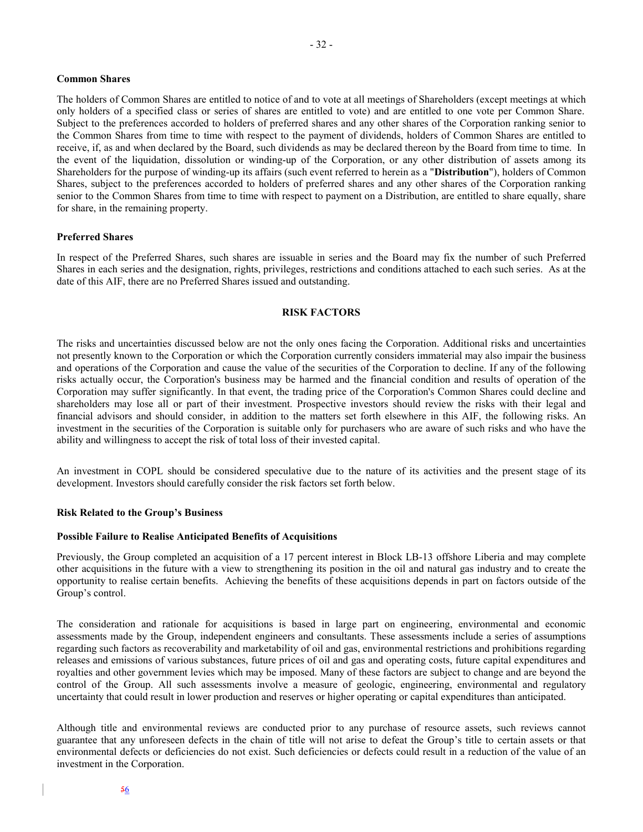#### **Common Shares**

The holders of Common Shares are entitled to notice of and to vote at all meetings of Shareholders (except meetings at which only holders of a specified class or series of shares are entitled to vote) and are entitled to one vote per Common Share. Subject to the preferences accorded to holders of preferred shares and any other shares of the Corporation ranking senior to the Common Shares from time to time with respect to the payment of dividends, holders of Common Shares are entitled to receive, if, as and when declared by the Board, such dividends as may be declared thereon by the Board from time to time. In the event of the liquidation, dissolution or winding-up of the Corporation, or any other distribution of assets among its Shareholders for the purpose of winding-up its affairs (such event referred to herein as a "**Distribution**"), holders of Common Shares, subject to the preferences accorded to holders of preferred shares and any other shares of the Corporation ranking senior to the Common Shares from time to time with respect to payment on a Distribution, are entitled to share equally, share for share, in the remaining property.

# **Preferred Shares**

In respect of the Preferred Shares, such shares are issuable in series and the Board may fix the number of such Preferred Shares in each series and the designation, rights, privileges, restrictions and conditions attached to each such series. As at the date of this AIF, there are no Preferred Shares issued and outstanding.

# **RISK FACTORS**

The risks and uncertainties discussed below are not the only ones facing the Corporation. Additional risks and uncertainties not presently known to the Corporation or which the Corporation currently considers immaterial may also impair the business and operations of the Corporation and cause the value of the securities of the Corporation to decline. If any of the following risks actually occur, the Corporation's business may be harmed and the financial condition and results of operation of the Corporation may suffer significantly. In that event, the trading price of the Corporation's Common Shares could decline and shareholders may lose all or part of their investment. Prospective investors should review the risks with their legal and financial advisors and should consider, in addition to the matters set forth elsewhere in this AIF, the following risks. An investment in the securities of the Corporation is suitable only for purchasers who are aware of such risks and who have the ability and willingness to accept the risk of total loss of their invested capital.

An investment in COPL should be considered speculative due to the nature of its activities and the present stage of its development. Investors should carefully consider the risk factors set forth below.

#### **Risk Related to the Group's Business**

## **Possible Failure to Realise Anticipated Benefits of Acquisitions**

Previously, the Group completed an acquisition of a 17 percent interest in Block LB-13 offshore Liberia and may complete other acquisitions in the future with a view to strengthening its position in the oil and natural gas industry and to create the opportunity to realise certain benefits. Achieving the benefits of these acquisitions depends in part on factors outside of the Group's control.

The consideration and rationale for acquisitions is based in large part on engineering, environmental and economic assessments made by the Group, independent engineers and consultants. These assessments include a series of assumptions regarding such factors as recoverability and marketability of oil and gas, environmental restrictions and prohibitions regarding releases and emissions of various substances, future prices of oil and gas and operating costs, future capital expenditures and royalties and other government levies which may be imposed. Many of these factors are subject to change and are beyond the control of the Group. All such assessments involve a measure of geologic, engineering, environmental and regulatory uncertainty that could result in lower production and reserves or higher operating or capital expenditures than anticipated.

Although title and environmental reviews are conducted prior to any purchase of resource assets, such reviews cannot guarantee that any unforeseen defects in the chain of title will not arise to defeat the Group's title to certain assets or that environmental defects or deficiencies do not exist. Such deficiencies or defects could result in a reduction of the value of an investment in the Corporation.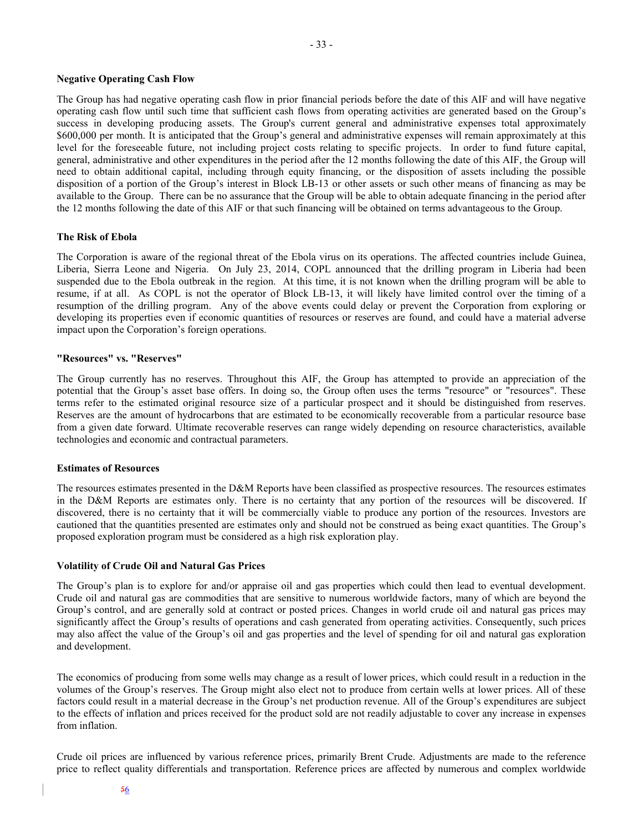#### **Negative Operating Cash Flow**

The Group has had negative operating cash flow in prior financial periods before the date of this AIF and will have negative operating cash flow until such time that sufficient cash flows from operating activities are generated based on the Group's success in developing producing assets. The Group's current general and administrative expenses total approximately \$600,000 per month. It is anticipated that the Group's general and administrative expenses will remain approximately at this level for the foreseeable future, not including project costs relating to specific projects. In order to fund future capital, general, administrative and other expenditures in the period after the 12 months following the date of this AIF, the Group will need to obtain additional capital, including through equity financing, or the disposition of assets including the possible disposition of a portion of the Group's interest in Block LB-13 or other assets or such other means of financing as may be available to the Group. There can be no assurance that the Group will be able to obtain adequate financing in the period after the 12 months following the date of this AIF or that such financing will be obtained on terms advantageous to the Group.

# **The Risk of Ebola**

The Corporation is aware of the regional threat of the Ebola virus on its operations. The affected countries include Guinea, Liberia, Sierra Leone and Nigeria. On July 23, 2014, COPL announced that the drilling program in Liberia had been suspended due to the Ebola outbreak in the region. At this time, it is not known when the drilling program will be able to resume, if at all. As COPL is not the operator of Block LB-13, it will likely have limited control over the timing of a resumption of the drilling program. Any of the above events could delay or prevent the Corporation from exploring or developing its properties even if economic quantities of resources or reserves are found, and could have a material adverse impact upon the Corporation's foreign operations.

# **"Resources" vs. "Reserves"**

The Group currently has no reserves. Throughout this AIF, the Group has attempted to provide an appreciation of the potential that the Group's asset base offers. In doing so, the Group often uses the terms "resource" or "resources". These terms refer to the estimated original resource size of a particular prospect and it should be distinguished from reserves. Reserves are the amount of hydrocarbons that are estimated to be economically recoverable from a particular resource base from a given date forward. Ultimate recoverable reserves can range widely depending on resource characteristics, available technologies and economic and contractual parameters.

# **Estimates of Resources**

The resources estimates presented in the D&M Reports have been classified as prospective resources. The resources estimates in the D&M Reports are estimates only. There is no certainty that any portion of the resources will be discovered. If discovered, there is no certainty that it will be commercially viable to produce any portion of the resources. Investors are cautioned that the quantities presented are estimates only and should not be construed as being exact quantities. The Group's proposed exploration program must be considered as a high risk exploration play.

# **Volatility of Crude Oil and Natural Gas Prices**

The Group's plan is to explore for and/or appraise oil and gas properties which could then lead to eventual development. Crude oil and natural gas are commodities that are sensitive to numerous worldwide factors, many of which are beyond the Group's control, and are generally sold at contract or posted prices. Changes in world crude oil and natural gas prices may significantly affect the Group's results of operations and cash generated from operating activities. Consequently, such prices may also affect the value of the Group's oil and gas properties and the level of spending for oil and natural gas exploration and development.

The economics of producing from some wells may change as a result of lower prices, which could result in a reduction in the volumes of the Group's reserves. The Group might also elect not to produce from certain wells at lower prices. All of these factors could result in a material decrease in the Group's net production revenue. All of the Group's expenditures are subject to the effects of inflation and prices received for the product sold are not readily adjustable to cover any increase in expenses from inflation.

Crude oil prices are influenced by various reference prices, primarily Brent Crude. Adjustments are made to the reference price to reflect quality differentials and transportation. Reference prices are affected by numerous and complex worldwide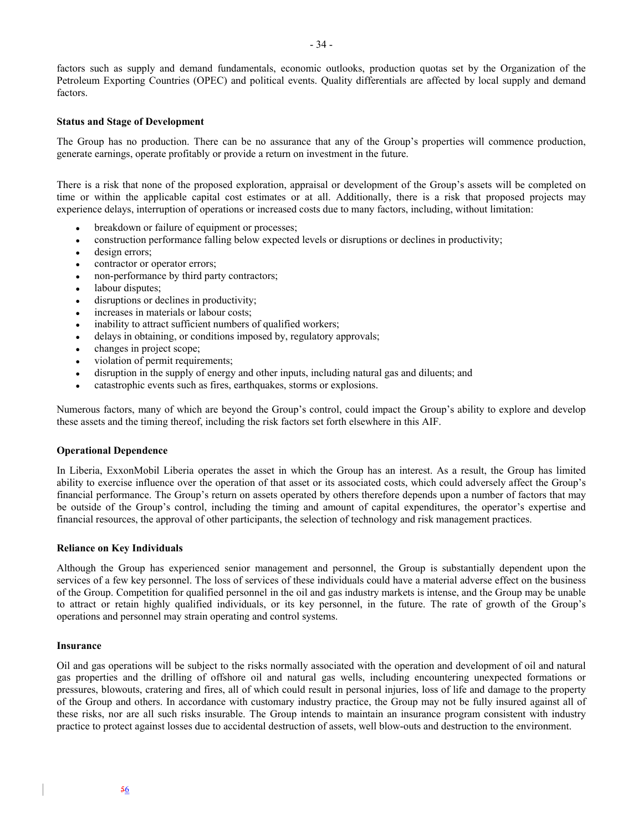factors such as supply and demand fundamentals, economic outlooks, production quotas set by the Organization of the Petroleum Exporting Countries (OPEC) and political events. Quality differentials are affected by local supply and demand factors.

#### **Status and Stage of Development**

The Group has no production. There can be no assurance that any of the Group's properties will commence production, generate earnings, operate profitably or provide a return on investment in the future.

There is a risk that none of the proposed exploration, appraisal or development of the Group's assets will be completed on time or within the applicable capital cost estimates or at all. Additionally, there is a risk that proposed projects may experience delays, interruption of operations or increased costs due to many factors, including, without limitation:

- breakdown or failure of equipment or processes:
- construction performance falling below expected levels or disruptions or declines in productivity;
- design errors;
- contractor or operator errors;
- non-performance by third party contractors;
- labour disputes;
- disruptions or declines in productivity;
- increases in materials or labour costs;
- inability to attract sufficient numbers of qualified workers;
- delays in obtaining, or conditions imposed by, regulatory approvals;
- changes in project scope;
- violation of permit requirements:
- disruption in the supply of energy and other inputs, including natural gas and diluents; and
- catastrophic events such as fires, earthquakes, storms or explosions.

Numerous factors, many of which are beyond the Group's control, could impact the Group's ability to explore and develop these assets and the timing thereof, including the risk factors set forth elsewhere in this AIF.

# **Operational Dependence**

In Liberia, ExxonMobil Liberia operates the asset in which the Group has an interest. As a result, the Group has limited ability to exercise influence over the operation of that asset or its associated costs, which could adversely affect the Group's financial performance. The Group's return on assets operated by others therefore depends upon a number of factors that may be outside of the Group's control, including the timing and amount of capital expenditures, the operator's expertise and financial resources, the approval of other participants, the selection of technology and risk management practices.

# **Reliance on Key Individuals**

Although the Group has experienced senior management and personnel, the Group is substantially dependent upon the services of a few key personnel. The loss of services of these individuals could have a material adverse effect on the business of the Group. Competition for qualified personnel in the oil and gas industry markets is intense, and the Group may be unable to attract or retain highly qualified individuals, or its key personnel, in the future. The rate of growth of the Group's operations and personnel may strain operating and control systems.

#### **Insurance**

Oil and gas operations will be subject to the risks normally associated with the operation and development of oil and natural gas properties and the drilling of offshore oil and natural gas wells, including encountering unexpected formations or pressures, blowouts, cratering and fires, all of which could result in personal injuries, loss of life and damage to the property of the Group and others. In accordance with customary industry practice, the Group may not be fully insured against all of these risks, nor are all such risks insurable. The Group intends to maintain an insurance program consistent with industry practice to protect against losses due to accidental destruction of assets, well blow-outs and destruction to the environment.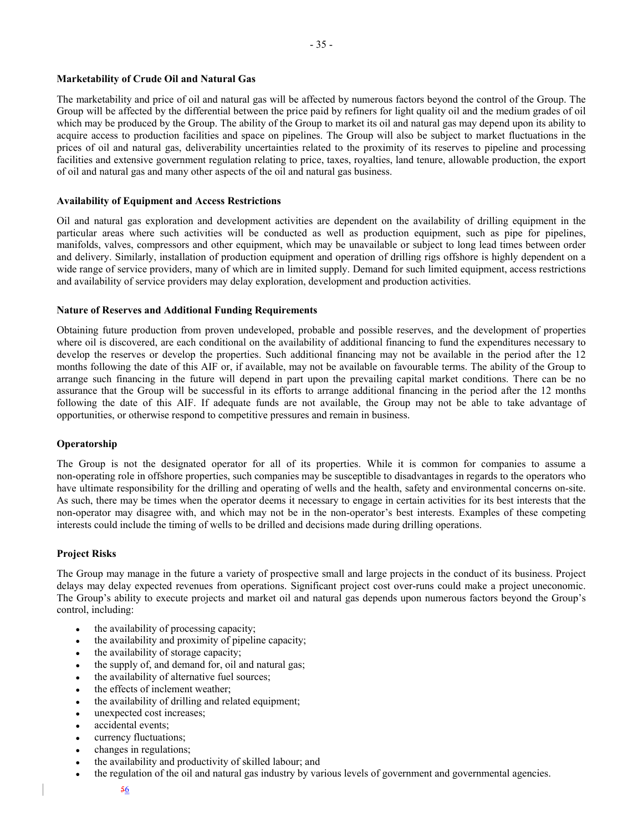#### **Marketability of Crude Oil and Natural Gas**

The marketability and price of oil and natural gas will be affected by numerous factors beyond the control of the Group. The Group will be affected by the differential between the price paid by refiners for light quality oil and the medium grades of oil which may be produced by the Group. The ability of the Group to market its oil and natural gas may depend upon its ability to acquire access to production facilities and space on pipelines. The Group will also be subject to market fluctuations in the prices of oil and natural gas, deliverability uncertainties related to the proximity of its reserves to pipeline and processing facilities and extensive government regulation relating to price, taxes, royalties, land tenure, allowable production, the export of oil and natural gas and many other aspects of the oil and natural gas business.

#### **Availability of Equipment and Access Restrictions**

Oil and natural gas exploration and development activities are dependent on the availability of drilling equipment in the particular areas where such activities will be conducted as well as production equipment, such as pipe for pipelines, manifolds, valves, compressors and other equipment, which may be unavailable or subject to long lead times between order and delivery. Similarly, installation of production equipment and operation of drilling rigs offshore is highly dependent on a wide range of service providers, many of which are in limited supply. Demand for such limited equipment, access restrictions and availability of service providers may delay exploration, development and production activities.

#### **Nature of Reserves and Additional Funding Requirements**

Obtaining future production from proven undeveloped, probable and possible reserves, and the development of properties where oil is discovered, are each conditional on the availability of additional financing to fund the expenditures necessary to develop the reserves or develop the properties. Such additional financing may not be available in the period after the 12 months following the date of this AIF or, if available, may not be available on favourable terms. The ability of the Group to arrange such financing in the future will depend in part upon the prevailing capital market conditions. There can be no assurance that the Group will be successful in its efforts to arrange additional financing in the period after the 12 months following the date of this AIF. If adequate funds are not available, the Group may not be able to take advantage of opportunities, or otherwise respond to competitive pressures and remain in business.

# **Operatorship**

The Group is not the designated operator for all of its properties. While it is common for companies to assume a non-operating role in offshore properties, such companies may be susceptible to disadvantages in regards to the operators who have ultimate responsibility for the drilling and operating of wells and the health, safety and environmental concerns on-site. As such, there may be times when the operator deems it necessary to engage in certain activities for its best interests that the non-operator may disagree with, and which may not be in the non-operator's best interests. Examples of these competing interests could include the timing of wells to be drilled and decisions made during drilling operations.

#### **Project Risks**

The Group may manage in the future a variety of prospective small and large projects in the conduct of its business. Project delays may delay expected revenues from operations. Significant project cost over-runs could make a project uneconomic. The Group's ability to execute projects and market oil and natural gas depends upon numerous factors beyond the Group's control, including:

- the availability of processing capacity;
- the availability and proximity of pipeline capacity;
- the availability of storage capacity;
- the supply of, and demand for, oil and natural gas;
- the availability of alternative fuel sources;
- the effects of inclement weather;
- the availability of drilling and related equipment;
- unexpected cost increases;
- accidental events:
- currency fluctuations;
- changes in regulations;
- the availability and productivity of skilled labour; and
- the regulation of the oil and natural gas industry by various levels of government and governmental agencies.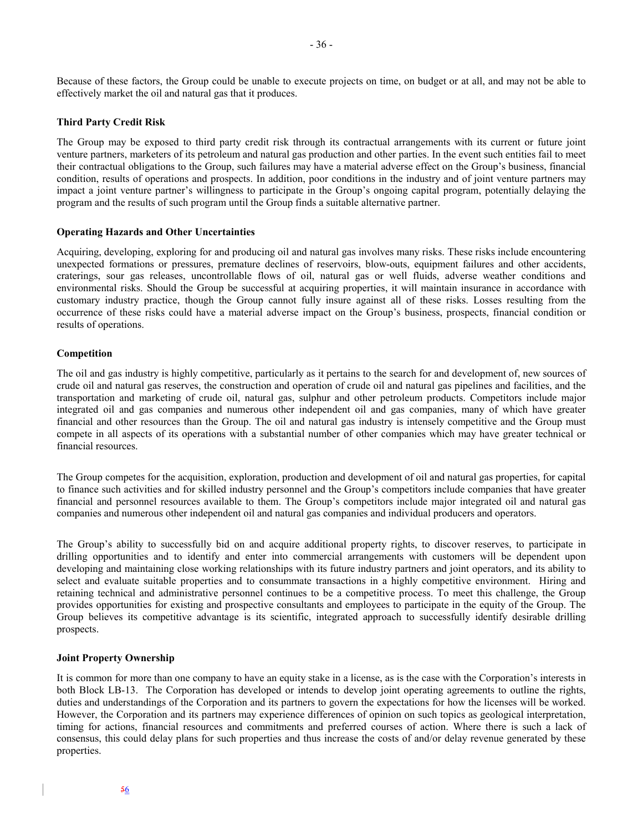Because of these factors, the Group could be unable to execute projects on time, on budget or at all, and may not be able to effectively market the oil and natural gas that it produces.

# **Third Party Credit Risk**

The Group may be exposed to third party credit risk through its contractual arrangements with its current or future joint venture partners, marketers of its petroleum and natural gas production and other parties. In the event such entities fail to meet their contractual obligations to the Group, such failures may have a material adverse effect on the Group's business, financial condition, results of operations and prospects. In addition, poor conditions in the industry and of joint venture partners may impact a joint venture partner's willingness to participate in the Group's ongoing capital program, potentially delaying the program and the results of such program until the Group finds a suitable alternative partner.

#### **Operating Hazards and Other Uncertainties**

Acquiring, developing, exploring for and producing oil and natural gas involves many risks. These risks include encountering unexpected formations or pressures, premature declines of reservoirs, blow-outs, equipment failures and other accidents, craterings, sour gas releases, uncontrollable flows of oil, natural gas or well fluids, adverse weather conditions and environmental risks. Should the Group be successful at acquiring properties, it will maintain insurance in accordance with customary industry practice, though the Group cannot fully insure against all of these risks. Losses resulting from the occurrence of these risks could have a material adverse impact on the Group's business, prospects, financial condition or results of operations.

# **Competition**

The oil and gas industry is highly competitive, particularly as it pertains to the search for and development of, new sources of crude oil and natural gas reserves, the construction and operation of crude oil and natural gas pipelines and facilities, and the transportation and marketing of crude oil, natural gas, sulphur and other petroleum products. Competitors include major integrated oil and gas companies and numerous other independent oil and gas companies, many of which have greater financial and other resources than the Group. The oil and natural gas industry is intensely competitive and the Group must compete in all aspects of its operations with a substantial number of other companies which may have greater technical or financial resources.

The Group competes for the acquisition, exploration, production and development of oil and natural gas properties, for capital to finance such activities and for skilled industry personnel and the Group's competitors include companies that have greater financial and personnel resources available to them. The Group's competitors include major integrated oil and natural gas companies and numerous other independent oil and natural gas companies and individual producers and operators.

The Group's ability to successfully bid on and acquire additional property rights, to discover reserves, to participate in drilling opportunities and to identify and enter into commercial arrangements with customers will be dependent upon developing and maintaining close working relationships with its future industry partners and joint operators, and its ability to select and evaluate suitable properties and to consummate transactions in a highly competitive environment. Hiring and retaining technical and administrative personnel continues to be a competitive process. To meet this challenge, the Group provides opportunities for existing and prospective consultants and employees to participate in the equity of the Group. The Group believes its competitive advantage is its scientific, integrated approach to successfully identify desirable drilling prospects.

# **Joint Property Ownership**

It is common for more than one company to have an equity stake in a license, as is the case with the Corporation's interests in both Block LB-13. The Corporation has developed or intends to develop joint operating agreements to outline the rights, duties and understandings of the Corporation and its partners to govern the expectations for how the licenses will be worked. However, the Corporation and its partners may experience differences of opinion on such topics as geological interpretation, timing for actions, financial resources and commitments and preferred courses of action. Where there is such a lack of consensus, this could delay plans for such properties and thus increase the costs of and/or delay revenue generated by these properties.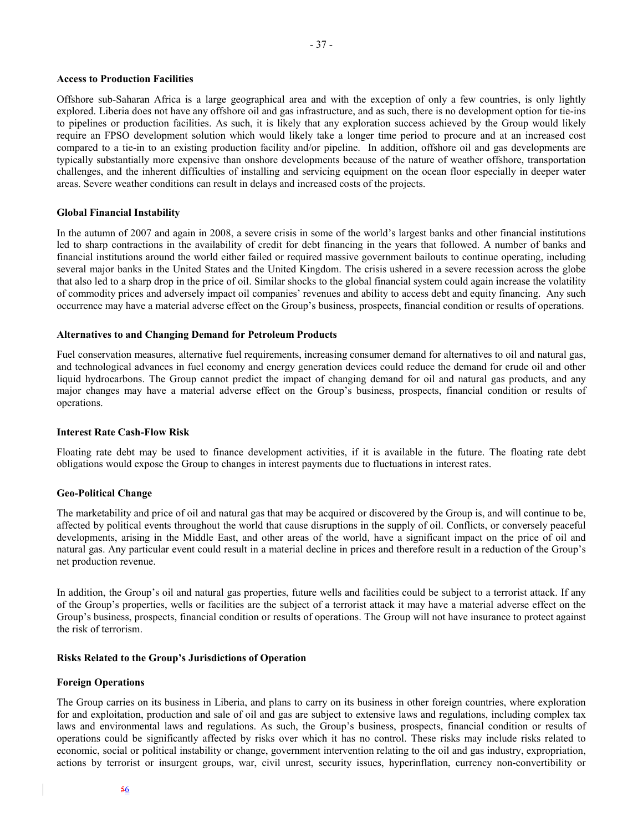#### **Access to Production Facilities**

Offshore sub-Saharan Africa is a large geographical area and with the exception of only a few countries, is only lightly explored. Liberia does not have any offshore oil and gas infrastructure, and as such, there is no development option for tie-ins to pipelines or production facilities. As such, it is likely that any exploration success achieved by the Group would likely require an FPSO development solution which would likely take a longer time period to procure and at an increased cost compared to a tie-in to an existing production facility and/or pipeline. In addition, offshore oil and gas developments are typically substantially more expensive than onshore developments because of the nature of weather offshore, transportation challenges, and the inherent difficulties of installing and servicing equipment on the ocean floor especially in deeper water areas. Severe weather conditions can result in delays and increased costs of the projects.

#### **Global Financial Instability**

In the autumn of 2007 and again in 2008, a severe crisis in some of the world's largest banks and other financial institutions led to sharp contractions in the availability of credit for debt financing in the years that followed. A number of banks and financial institutions around the world either failed or required massive government bailouts to continue operating, including several major banks in the United States and the United Kingdom. The crisis ushered in a severe recession across the globe that also led to a sharp drop in the price of oil. Similar shocks to the global financial system could again increase the volatility of commodity prices and adversely impact oil companies' revenues and ability to access debt and equity financing. Any such occurrence may have a material adverse effect on the Group's business, prospects, financial condition or results of operations.

# **Alternatives to and Changing Demand for Petroleum Products**

Fuel conservation measures, alternative fuel requirements, increasing consumer demand for alternatives to oil and natural gas, and technological advances in fuel economy and energy generation devices could reduce the demand for crude oil and other liquid hydrocarbons. The Group cannot predict the impact of changing demand for oil and natural gas products, and any major changes may have a material adverse effect on the Group's business, prospects, financial condition or results of operations.

### **Interest Rate Cash-Flow Risk**

Floating rate debt may be used to finance development activities, if it is available in the future. The floating rate debt obligations would expose the Group to changes in interest payments due to fluctuations in interest rates.

#### **Geo-Political Change**

The marketability and price of oil and natural gas that may be acquired or discovered by the Group is, and will continue to be, affected by political events throughout the world that cause disruptions in the supply of oil. Conflicts, or conversely peaceful developments, arising in the Middle East, and other areas of the world, have a significant impact on the price of oil and natural gas. Any particular event could result in a material decline in prices and therefore result in a reduction of the Group's net production revenue.

In addition, the Group's oil and natural gas properties, future wells and facilities could be subject to a terrorist attack. If any of the Group's properties, wells or facilities are the subject of a terrorist attack it may have a material adverse effect on the Group's business, prospects, financial condition or results of operations. The Group will not have insurance to protect against the risk of terrorism.

# **Risks Related to the Group's Jurisdictions of Operation**

# **Foreign Operations**

The Group carries on its business in Liberia, and plans to carry on its business in other foreign countries, where exploration for and exploitation, production and sale of oil and gas are subject to extensive laws and regulations, including complex tax laws and environmental laws and regulations. As such, the Group's business, prospects, financial condition or results of operations could be significantly affected by risks over which it has no control. These risks may include risks related to economic, social or political instability or change, government intervention relating to the oil and gas industry, expropriation, actions by terrorist or insurgent groups, war, civil unrest, security issues, hyperinflation, currency non-convertibility or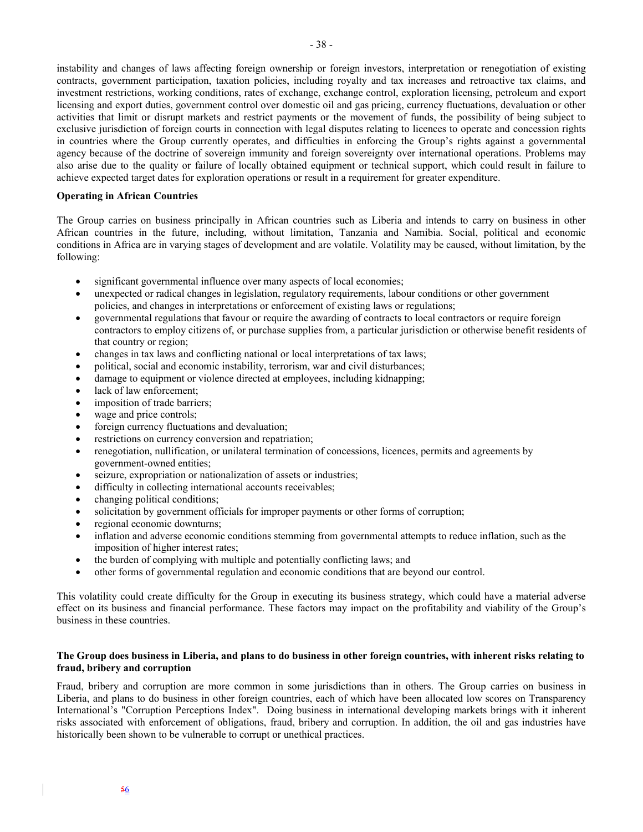instability and changes of laws affecting foreign ownership or foreign investors, interpretation or renegotiation of existing contracts, government participation, taxation policies, including royalty and tax increases and retroactive tax claims, and investment restrictions, working conditions, rates of exchange, exchange control, exploration licensing, petroleum and export licensing and export duties, government control over domestic oil and gas pricing, currency fluctuations, devaluation or other activities that limit or disrupt markets and restrict payments or the movement of funds, the possibility of being subject to exclusive jurisdiction of foreign courts in connection with legal disputes relating to licences to operate and concession rights in countries where the Group currently operates, and difficulties in enforcing the Group's rights against a governmental agency because of the doctrine of sovereign immunity and foreign sovereignty over international operations. Problems may also arise due to the quality or failure of locally obtained equipment or technical support, which could result in failure to achieve expected target dates for exploration operations or result in a requirement for greater expenditure.

# **Operating in African Countries**

The Group carries on business principally in African countries such as Liberia and intends to carry on business in other African countries in the future, including, without limitation, Tanzania and Namibia. Social, political and economic conditions in Africa are in varying stages of development and are volatile. Volatility may be caused, without limitation, by the following:

- significant governmental influence over many aspects of local economies;
- unexpected or radical changes in legislation, regulatory requirements, labour conditions or other government policies, and changes in interpretations or enforcement of existing laws or regulations;
- governmental regulations that favour or require the awarding of contracts to local contractors or require foreign contractors to employ citizens of, or purchase supplies from, a particular jurisdiction or otherwise benefit residents of that country or region;
- changes in tax laws and conflicting national or local interpretations of tax laws;
- political, social and economic instability, terrorism, war and civil disturbances;
- damage to equipment or violence directed at employees, including kidnapping;
- lack of law enforcement;
- imposition of trade barriers;
- wage and price controls;
- foreign currency fluctuations and devaluation;
- restrictions on currency conversion and repatriation;
- renegotiation, nullification, or unilateral termination of concessions, licences, permits and agreements by government-owned entities;
- seizure, expropriation or nationalization of assets or industries;
- difficulty in collecting international accounts receivables;
- changing political conditions;
- solicitation by government officials for improper payments or other forms of corruption;
- regional economic downturns;
- inflation and adverse economic conditions stemming from governmental attempts to reduce inflation, such as the imposition of higher interest rates;
- the burden of complying with multiple and potentially conflicting laws; and
- other forms of governmental regulation and economic conditions that are beyond our control.

This volatility could create difficulty for the Group in executing its business strategy, which could have a material adverse effect on its business and financial performance. These factors may impact on the profitability and viability of the Group's business in these countries.

# **The Group does business in Liberia, and plans to do business in other foreign countries, with inherent risks relating to fraud, bribery and corruption**

Fraud, bribery and corruption are more common in some jurisdictions than in others. The Group carries on business in Liberia, and plans to do business in other foreign countries, each of which have been allocated low scores on Transparency International's "Corruption Perceptions Index". Doing business in international developing markets brings with it inherent risks associated with enforcement of obligations, fraud, bribery and corruption. In addition, the oil and gas industries have historically been shown to be vulnerable to corrupt or unethical practices.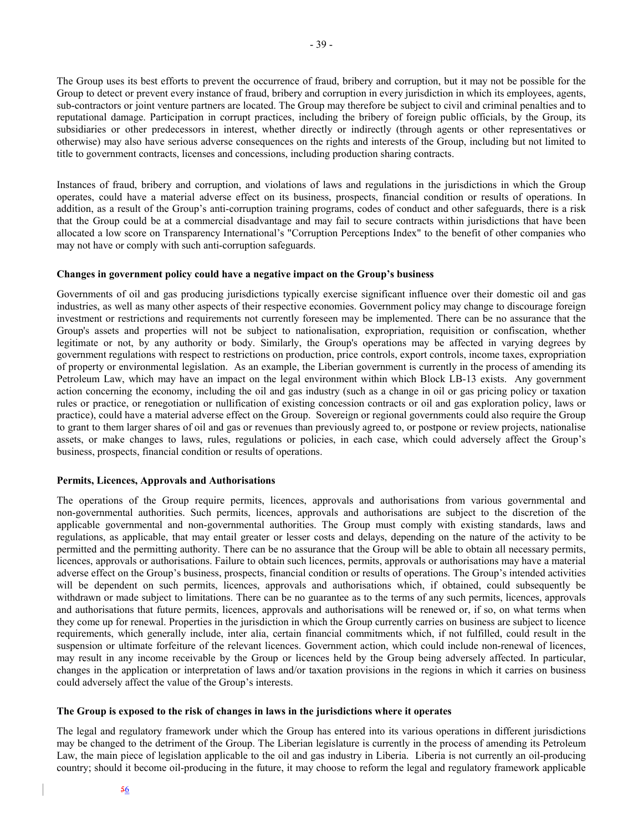The Group uses its best efforts to prevent the occurrence of fraud, bribery and corruption, but it may not be possible for the Group to detect or prevent every instance of fraud, bribery and corruption in every jurisdiction in which its employees, agents, sub-contractors or joint venture partners are located. The Group may therefore be subject to civil and criminal penalties and to reputational damage. Participation in corrupt practices, including the bribery of foreign public officials, by the Group, its subsidiaries or other predecessors in interest, whether directly or indirectly (through agents or other representatives or otherwise) may also have serious adverse consequences on the rights and interests of the Group, including but not limited to title to government contracts, licenses and concessions, including production sharing contracts.

Instances of fraud, bribery and corruption, and violations of laws and regulations in the jurisdictions in which the Group operates, could have a material adverse effect on its business, prospects, financial condition or results of operations. In addition, as a result of the Group's anti-corruption training programs, codes of conduct and other safeguards, there is a risk that the Group could be at a commercial disadvantage and may fail to secure contracts within jurisdictions that have been allocated a low score on Transparency International's "Corruption Perceptions Index" to the benefit of other companies who may not have or comply with such anti-corruption safeguards.

# **Changes in government policy could have a negative impact on the Group's business**

Governments of oil and gas producing jurisdictions typically exercise significant influence over their domestic oil and gas industries, as well as many other aspects of their respective economies. Government policy may change to discourage foreign investment or restrictions and requirements not currently foreseen may be implemented. There can be no assurance that the Group's assets and properties will not be subject to nationalisation, expropriation, requisition or confiscation, whether legitimate or not, by any authority or body. Similarly, the Group's operations may be affected in varying degrees by government regulations with respect to restrictions on production, price controls, export controls, income taxes, expropriation of property or environmental legislation. As an example, the Liberian government is currently in the process of amending its Petroleum Law, which may have an impact on the legal environment within which Block LB-13 exists. Any government action concerning the economy, including the oil and gas industry (such as a change in oil or gas pricing policy or taxation rules or practice, or renegotiation or nullification of existing concession contracts or oil and gas exploration policy, laws or practice), could have a material adverse effect on the Group. Sovereign or regional governments could also require the Group to grant to them larger shares of oil and gas or revenues than previously agreed to, or postpone or review projects, nationalise assets, or make changes to laws, rules, regulations or policies, in each case, which could adversely affect the Group's business, prospects, financial condition or results of operations.

# **Permits, Licences, Approvals and Authorisations**

The operations of the Group require permits, licences, approvals and authorisations from various governmental and non-governmental authorities. Such permits, licences, approvals and authorisations are subject to the discretion of the applicable governmental and non-governmental authorities. The Group must comply with existing standards, laws and regulations, as applicable, that may entail greater or lesser costs and delays, depending on the nature of the activity to be permitted and the permitting authority. There can be no assurance that the Group will be able to obtain all necessary permits, licences, approvals or authorisations. Failure to obtain such licences, permits, approvals or authorisations may have a material adverse effect on the Group's business, prospects, financial condition or results of operations. The Group's intended activities will be dependent on such permits, licences, approvals and authorisations which, if obtained, could subsequently be withdrawn or made subject to limitations. There can be no guarantee as to the terms of any such permits, licences, approvals and authorisations that future permits, licences, approvals and authorisations will be renewed or, if so, on what terms when they come up for renewal. Properties in the jurisdiction in which the Group currently carries on business are subject to licence requirements, which generally include, inter alia, certain financial commitments which, if not fulfilled, could result in the suspension or ultimate forfeiture of the relevant licences. Government action, which could include non-renewal of licences, may result in any income receivable by the Group or licences held by the Group being adversely affected. In particular, changes in the application or interpretation of laws and/or taxation provisions in the regions in which it carries on business could adversely affect the value of the Group's interests.

# **The Group is exposed to the risk of changes in laws in the jurisdictions where it operates**

The legal and regulatory framework under which the Group has entered into its various operations in different jurisdictions may be changed to the detriment of the Group. The Liberian legislature is currently in the process of amending its Petroleum Law, the main piece of legislation applicable to the oil and gas industry in Liberia. Liberia is not currently an oil-producing country; should it become oil-producing in the future, it may choose to reform the legal and regulatory framework applicable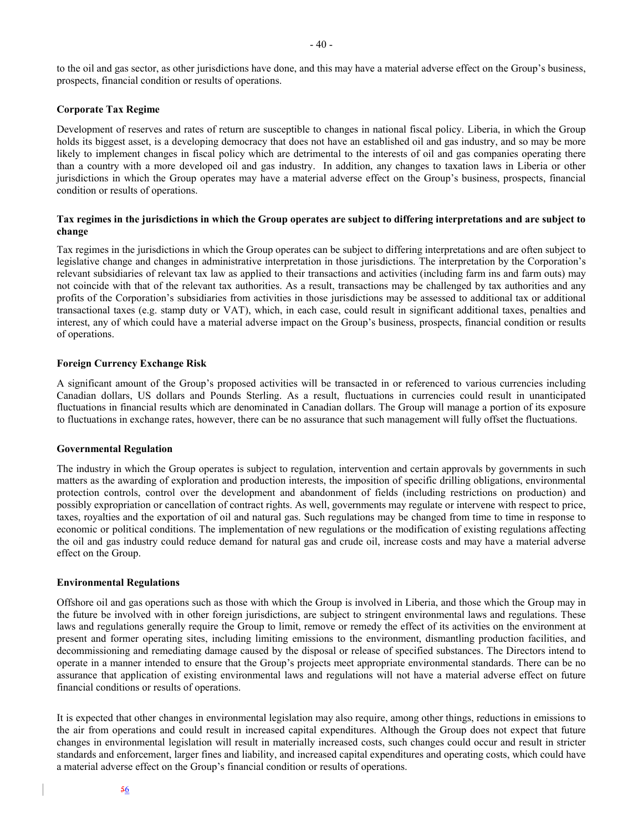to the oil and gas sector, as other jurisdictions have done, and this may have a material adverse effect on the Group's business, prospects, financial condition or results of operations.

# **Corporate Tax Regime**

Development of reserves and rates of return are susceptible to changes in national fiscal policy. Liberia, in which the Group holds its biggest asset, is a developing democracy that does not have an established oil and gas industry, and so may be more likely to implement changes in fiscal policy which are detrimental to the interests of oil and gas companies operating there than a country with a more developed oil and gas industry. In addition, any changes to taxation laws in Liberia or other jurisdictions in which the Group operates may have a material adverse effect on the Group's business, prospects, financial condition or results of operations.

# **Tax regimes in the jurisdictions in which the Group operates are subject to differing interpretations and are subject to change**

Tax regimes in the jurisdictions in which the Group operates can be subject to differing interpretations and are often subject to legislative change and changes in administrative interpretation in those jurisdictions. The interpretation by the Corporation's relevant subsidiaries of relevant tax law as applied to their transactions and activities (including farm ins and farm outs) may not coincide with that of the relevant tax authorities. As a result, transactions may be challenged by tax authorities and any profits of the Corporation's subsidiaries from activities in those jurisdictions may be assessed to additional tax or additional transactional taxes (e.g. stamp duty or VAT), which, in each case, could result in significant additional taxes, penalties and interest, any of which could have a material adverse impact on the Group's business, prospects, financial condition or results of operations.

#### **Foreign Currency Exchange Risk**

A significant amount of the Group's proposed activities will be transacted in or referenced to various currencies including Canadian dollars, US dollars and Pounds Sterling. As a result, fluctuations in currencies could result in unanticipated fluctuations in financial results which are denominated in Canadian dollars. The Group will manage a portion of its exposure to fluctuations in exchange rates, however, there can be no assurance that such management will fully offset the fluctuations.

#### **Governmental Regulation**

The industry in which the Group operates is subject to regulation, intervention and certain approvals by governments in such matters as the awarding of exploration and production interests, the imposition of specific drilling obligations, environmental protection controls, control over the development and abandonment of fields (including restrictions on production) and possibly expropriation or cancellation of contract rights. As well, governments may regulate or intervene with respect to price, taxes, royalties and the exportation of oil and natural gas. Such regulations may be changed from time to time in response to economic or political conditions. The implementation of new regulations or the modification of existing regulations affecting the oil and gas industry could reduce demand for natural gas and crude oil, increase costs and may have a material adverse effect on the Group.

# **Environmental Regulations**

Offshore oil and gas operations such as those with which the Group is involved in Liberia, and those which the Group may in the future be involved with in other foreign jurisdictions, are subject to stringent environmental laws and regulations. These laws and regulations generally require the Group to limit, remove or remedy the effect of its activities on the environment at present and former operating sites, including limiting emissions to the environment, dismantling production facilities, and decommissioning and remediating damage caused by the disposal or release of specified substances. The Directors intend to operate in a manner intended to ensure that the Group's projects meet appropriate environmental standards. There can be no assurance that application of existing environmental laws and regulations will not have a material adverse effect on future financial conditions or results of operations.

It is expected that other changes in environmental legislation may also require, among other things, reductions in emissions to the air from operations and could result in increased capital expenditures. Although the Group does not expect that future changes in environmental legislation will result in materially increased costs, such changes could occur and result in stricter standards and enforcement, larger fines and liability, and increased capital expenditures and operating costs, which could have a material adverse effect on the Group's financial condition or results of operations.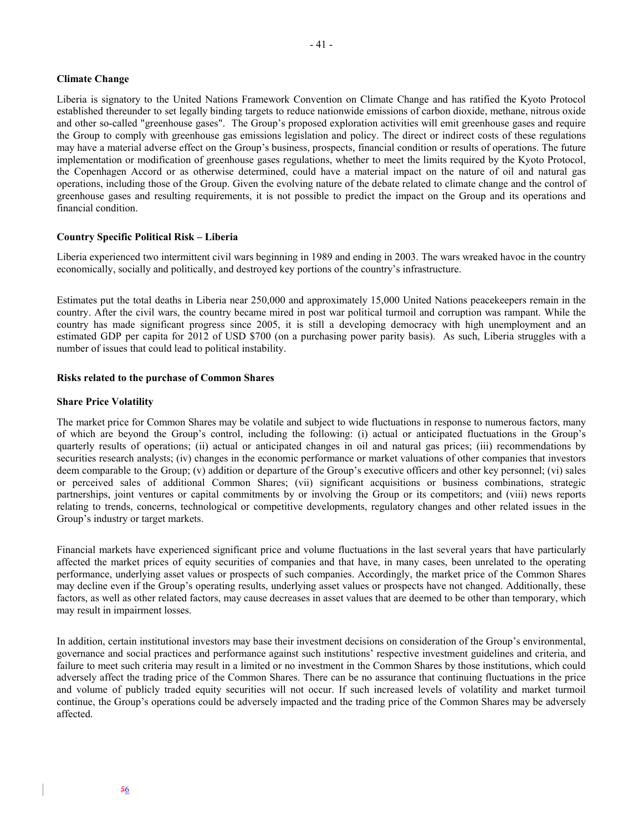# **Climate Change**

Liberia is signatory to the United Nations Framework Convention on Climate Change and has ratified the Kyoto Protocol established thereunder to set legally binding targets to reduce nationwide emissions of carbon dioxide, methane, nitrous oxide and other so-called "greenhouse gases". The Group's proposed exploration activities will emit greenhouse gases and require the Group to comply with greenhouse gas emissions legislation and policy. The direct or indirect costs of these regulations may have a material adverse effect on the Group's business, prospects, financial condition or results of operations. The future implementation or modification of greenhouse gases regulations, whether to meet the limits required by the Kyoto Protocol, the Copenhagen Accord or as otherwise determined, could have a material impact on the nature of oil and natural gas operations, including those of the Group. Given the evolving nature of the debate related to climate change and the control of greenhouse gases and resulting requirements, it is not possible to predict the impact on the Group and its operations and financial condition.

# **Country Specific Political Risk – Liberia**

Liberia experienced two intermittent civil wars beginning in 1989 and ending in 2003. The wars wreaked havoc in the country economically, socially and politically, and destroyed key portions of the country's infrastructure.

Estimates put the total deaths in Liberia near 250,000 and approximately 15,000 United Nations peacekeepers remain in the country. After the civil wars, the country became mired in post war political turmoil and corruption was rampant. While the country has made significant progress since 2005, it is still a developing democracy with high unemployment and an estimated GDP per capita for 2012 of USD \$700 (on a purchasing power parity basis). As such, Liberia struggles with a number of issues that could lead to political instability.

# **Risks related to the purchase of Common Shares**

# **Share Price Volatility**

The market price for Common Shares may be volatile and subject to wide fluctuations in response to numerous factors, many of which are beyond the Group's control, including the following: (i) actual or anticipated fluctuations in the Group's quarterly results of operations; (ii) actual or anticipated changes in oil and natural gas prices; (iii) recommendations by securities research analysts; (iv) changes in the economic performance or market valuations of other companies that investors deem comparable to the Group; (v) addition or departure of the Group's executive officers and other key personnel; (vi) sales or perceived sales of additional Common Shares; (vii) significant acquisitions or business combinations, strategic partnerships, joint ventures or capital commitments by or involving the Group or its competitors; and (viii) news reports relating to trends, concerns, technological or competitive developments, regulatory changes and other related issues in the Group's industry or target markets.

Financial markets have experienced significant price and volume fluctuations in the last several years that have particularly affected the market prices of equity securities of companies and that have, in many cases, been unrelated to the operating performance, underlying asset values or prospects of such companies. Accordingly, the market price of the Common Shares may decline even if the Group's operating results, underlying asset values or prospects have not changed. Additionally, these factors, as well as other related factors, may cause decreases in asset values that are deemed to be other than temporary, which may result in impairment losses.

In addition, certain institutional investors may base their investment decisions on consideration of the Group's environmental, governance and social practices and performance against such institutions' respective investment guidelines and criteria, and failure to meet such criteria may result in a limited or no investment in the Common Shares by those institutions, which could adversely affect the trading price of the Common Shares. There can be no assurance that continuing fluctuations in the price and volume of publicly traded equity securities will not occur. If such increased levels of volatility and market turmoil continue, the Group's operations could be adversely impacted and the trading price of the Common Shares may be adversely affected.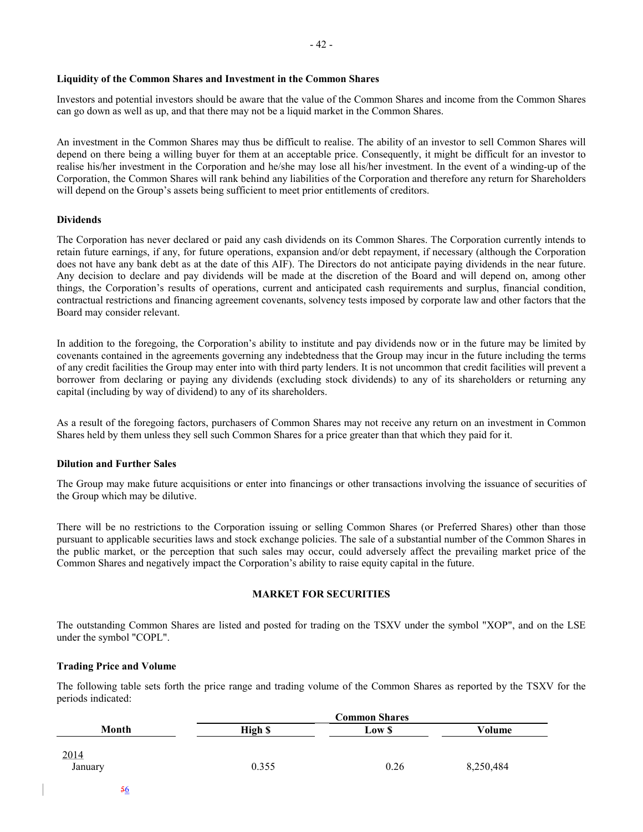#### **Liquidity of the Common Shares and Investment in the Common Shares**

Investors and potential investors should be aware that the value of the Common Shares and income from the Common Shares can go down as well as up, and that there may not be a liquid market in the Common Shares.

An investment in the Common Shares may thus be difficult to realise. The ability of an investor to sell Common Shares will depend on there being a willing buyer for them at an acceptable price. Consequently, it might be difficult for an investor to realise his/her investment in the Corporation and he/she may lose all his/her investment. In the event of a winding-up of the Corporation, the Common Shares will rank behind any liabilities of the Corporation and therefore any return for Shareholders will depend on the Group's assets being sufficient to meet prior entitlements of creditors.

# **Dividends**

The Corporation has never declared or paid any cash dividends on its Common Shares. The Corporation currently intends to retain future earnings, if any, for future operations, expansion and/or debt repayment, if necessary (although the Corporation does not have any bank debt as at the date of this AIF). The Directors do not anticipate paying dividends in the near future. Any decision to declare and pay dividends will be made at the discretion of the Board and will depend on, among other things, the Corporation's results of operations, current and anticipated cash requirements and surplus, financial condition, contractual restrictions and financing agreement covenants, solvency tests imposed by corporate law and other factors that the Board may consider relevant.

In addition to the foregoing, the Corporation's ability to institute and pay dividends now or in the future may be limited by covenants contained in the agreements governing any indebtedness that the Group may incur in the future including the terms of any credit facilities the Group may enter into with third party lenders. It is not uncommon that credit facilities will prevent a borrower from declaring or paying any dividends (excluding stock dividends) to any of its shareholders or returning any capital (including by way of dividend) to any of its shareholders.

As a result of the foregoing factors, purchasers of Common Shares may not receive any return on an investment in Common Shares held by them unless they sell such Common Shares for a price greater than that which they paid for it.

# **Dilution and Further Sales**

The Group may make future acquisitions or enter into financings or other transactions involving the issuance of securities of the Group which may be dilutive.

There will be no restrictions to the Corporation issuing or selling Common Shares (or Preferred Shares) other than those pursuant to applicable securities laws and stock exchange policies. The sale of a substantial number of the Common Shares in the public market, or the perception that such sales may occur, could adversely affect the prevailing market price of the Common Shares and negatively impact the Corporation's ability to raise equity capital in the future.

# **MARKET FOR SECURITIES**

The outstanding Common Shares are listed and posted for trading on the TSXV under the symbol "XOP", and on the LSE under the symbol "COPL".

# **Trading Price and Volume**

The following table sets forth the price range and trading volume of the Common Shares as reported by the TSXV for the periods indicated:

|                               | <b>Common Shares</b> |        |           |  |  |  |
|-------------------------------|----------------------|--------|-----------|--|--|--|
| Month                         | High \$              | Low \$ | Volume    |  |  |  |
| $\frac{2014}{\text{January}}$ | 0.355                | 0.26   | 8,250,484 |  |  |  |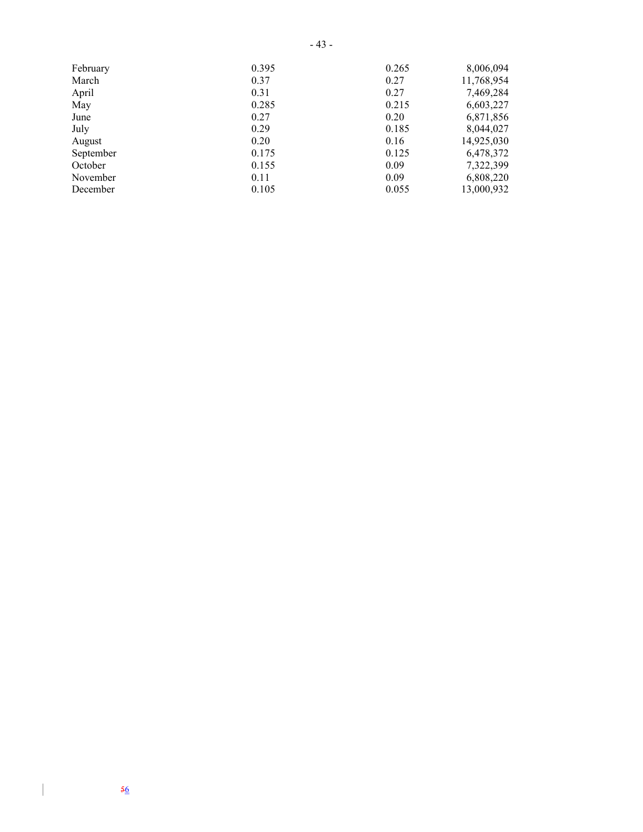| February  | 0.395 | 0.265 | 8,006,094  |
|-----------|-------|-------|------------|
| March     | 0.37  | 0.27  | 11,768,954 |
| April     | 0.31  | 0.27  | 7,469,284  |
| May       | 0.285 | 0.215 | 6,603,227  |
| June      | 0.27  | 0.20  | 6,871,856  |
| July      | 0.29  | 0.185 | 8,044,027  |
| August    | 0.20  | 0.16  | 14,925,030 |
| September | 0.175 | 0.125 | 6,478,372  |
| October   | 0.155 | 0.09  | 7,322,399  |
| November  | 0.11  | 0.09  | 6,808,220  |
| December  | 0.105 | 0.055 | 13,000,932 |

 $\begin{array}{c} \hline \end{array}$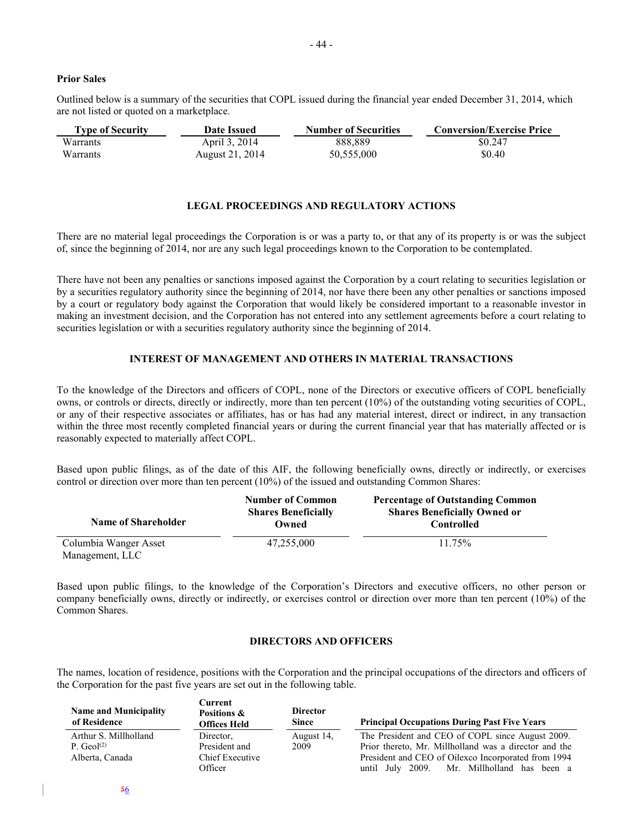**Prior Sales**

Outlined below is a summary of the securities that COPL issued during the financial year ended December 31, 2014, which are not listed or quoted on a marketplace.

| <b>Type of Security</b> | <b>Date Issued</b> | <b>Number of Securities</b> | <b>Conversion/Exercise Price</b> |
|-------------------------|--------------------|-----------------------------|----------------------------------|
| Warrants                | April 3, 2014      | 888.889                     | \$0.247                          |
| Warrants                | August 21, 2014    | 50,555,000                  | \$0.40                           |

## **LEGAL PROCEEDINGS AND REGULATORY ACTIONS**

There are no material legal proceedings the Corporation is or was a party to, or that any of its property is or was the subject of, since the beginning of 2014, nor are any such legal proceedings known to the Corporation to be contemplated.

There have not been any penalties or sanctions imposed against the Corporation by a court relating to securities legislation or by a securities regulatory authority since the beginning of 2014, nor have there been any other penalties or sanctions imposed by a court or regulatory body against the Corporation that would likely be considered important to a reasonable investor in making an investment decision, and the Corporation has not entered into any settlement agreements before a court relating to securities legislation or with a securities regulatory authority since the beginning of 2014.

# **INTEREST OF MANAGEMENT AND OTHERS IN MATERIAL TRANSACTIONS**

To the knowledge of the Directors and officers of COPL, none of the Directors or executive officers of COPL beneficially owns, or controls or directs, directly or indirectly, more than ten percent (10%) of the outstanding voting securities of COPL, or any of their respective associates or affiliates, has or has had any material interest, direct or indirect, in any transaction within the three most recently completed financial years or during the current financial year that has materially affected or is reasonably expected to materially affect COPL.

Based upon public filings, as of the date of this AIF, the following beneficially owns, directly or indirectly, or exercises control or direction over more than ten percent (10%) of the issued and outstanding Common Shares:

| <b>Name of Shareholder</b> | <b>Number of Common</b><br><b>Shares Beneficially</b><br>Owned | <b>Percentage of Outstanding Common</b><br><b>Shares Beneficially Owned or</b><br><b>Controlled</b> |
|----------------------------|----------------------------------------------------------------|-----------------------------------------------------------------------------------------------------|
| Columbia Wanger Asset      | 47.255.000                                                     | $11.75\%$                                                                                           |
| Management, LLC            |                                                                |                                                                                                     |

Based upon public filings, to the knowledge of the Corporation's Directors and executive officers, no other person or company beneficially owns, directly or indirectly, or exercises control or direction over more than ten percent (10%) of the Common Shares.

# **DIRECTORS AND OFFICERS**

The names, location of residence, positions with the Corporation and the principal occupations of the directors and officers of the Corporation for the past five years are set out in the following table.

| <b>Name and Municipality</b><br>of Residence | Current<br>Positions &<br><b>Offices Held</b> | <b>Director</b><br>Since | <b>Principal Occupations During Past Five Years</b>                                                |
|----------------------------------------------|-----------------------------------------------|--------------------------|----------------------------------------------------------------------------------------------------|
| Arthur S. Millholland                        | Director.                                     | August 14,               | The President and CEO of COPL since August 2009.                                                   |
| P. Geol <sup>(2)</sup>                       | President and                                 | 2009                     | Prior thereto, Mr. Millholland was a director and the                                              |
| Alberta, Canada                              | Chief Executive<br>Officer                    |                          | President and CEO of Oilexco Incorporated from 1994<br>until July 2009. Mr. Millholland has been a |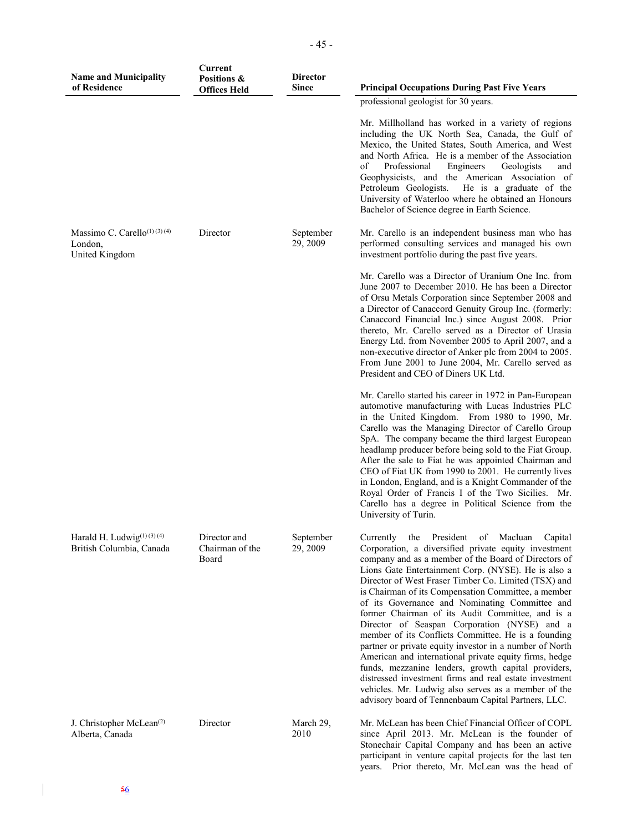| <b>Name and Municipality</b><br>of Residence                                                 | Current<br>Positions &<br><b>Offices Held</b> | <b>Director</b><br><b>Since</b> | <b>Principal Occupations During Past Five Years</b>                                                                                                                                                                                                                                                                                                                                                                                                                                                                                                                                                                                                                                                                                                                                                                                                                                                  |
|----------------------------------------------------------------------------------------------|-----------------------------------------------|---------------------------------|------------------------------------------------------------------------------------------------------------------------------------------------------------------------------------------------------------------------------------------------------------------------------------------------------------------------------------------------------------------------------------------------------------------------------------------------------------------------------------------------------------------------------------------------------------------------------------------------------------------------------------------------------------------------------------------------------------------------------------------------------------------------------------------------------------------------------------------------------------------------------------------------------|
|                                                                                              |                                               |                                 | professional geologist for 30 years.                                                                                                                                                                                                                                                                                                                                                                                                                                                                                                                                                                                                                                                                                                                                                                                                                                                                 |
|                                                                                              |                                               |                                 | Mr. Millholland has worked in a variety of regions<br>including the UK North Sea, Canada, the Gulf of<br>Mexico, the United States, South America, and West<br>and North Africa. He is a member of the Association<br>of<br>Professional<br>Engineers<br>Geologists<br>and<br>Geophysicists, and the American Association of<br>Petroleum Geologists.<br>He is a graduate of the<br>University of Waterloo where he obtained an Honours<br>Bachelor of Science degree in Earth Science.                                                                                                                                                                                                                                                                                                                                                                                                              |
| Massimo C. Carello <sup>(1)</sup> <sup>(3)</sup> <sup>(4)</sup><br>London,<br>United Kingdom | Director                                      | September<br>29, 2009           | Mr. Carello is an independent business man who has<br>performed consulting services and managed his own<br>investment portfolio during the past five years.                                                                                                                                                                                                                                                                                                                                                                                                                                                                                                                                                                                                                                                                                                                                          |
|                                                                                              |                                               |                                 | Mr. Carello was a Director of Uranium One Inc. from<br>June 2007 to December 2010. He has been a Director<br>of Orsu Metals Corporation since September 2008 and<br>a Director of Canaccord Genuity Group Inc. (formerly:<br>Canaccord Financial Inc.) since August 2008. Prior<br>thereto, Mr. Carello served as a Director of Urasia<br>Energy Ltd. from November 2005 to April 2007, and a<br>non-executive director of Anker plc from 2004 to 2005.<br>From June 2001 to June 2004, Mr. Carello served as<br>President and CEO of Diners UK Ltd.                                                                                                                                                                                                                                                                                                                                                 |
|                                                                                              |                                               |                                 | Mr. Carello started his career in 1972 in Pan-European<br>automotive manufacturing with Lucas Industries PLC<br>in the United Kingdom. From 1980 to 1990, Mr.<br>Carello was the Managing Director of Carello Group<br>SpA. The company became the third largest European<br>headlamp producer before being sold to the Fiat Group.<br>After the sale to Fiat he was appointed Chairman and<br>CEO of Fiat UK from 1990 to 2001. He currently lives<br>in London, England, and is a Knight Commander of the<br>Royal Order of Francis I of the Two Sicilies. Mr.<br>Carello has a degree in Political Science from the<br>University of Turin.                                                                                                                                                                                                                                                       |
| Harald H. Ludwig(1)(3)(4)<br>British Columbia, Canada                                        | Director and<br>Chairman of the<br>Board      | September<br>29, 2009           | Currently the President of Macluan<br>Capital<br>Corporation, a diversified private equity investment<br>company and as a member of the Board of Directors of<br>Lions Gate Entertainment Corp. (NYSE). He is also a<br>Director of West Fraser Timber Co. Limited (TSX) and<br>is Chairman of its Compensation Committee, a member<br>of its Governance and Nominating Committee and<br>former Chairman of its Audit Committee, and is a<br>Director of Seaspan Corporation (NYSE) and a<br>member of its Conflicts Committee. He is a founding<br>partner or private equity investor in a number of North<br>American and international private equity firms, hedge<br>funds, mezzanine lenders, growth capital providers,<br>distressed investment firms and real estate investment<br>vehicles. Mr. Ludwig also serves as a member of the<br>advisory board of Tennenbaum Capital Partners, LLC. |
| J. Christopher McLean <sup>(2)</sup><br>Alberta, Canada                                      | Director                                      | March 29,<br>2010               | Mr. McLean has been Chief Financial Officer of COPL<br>since April 2013. Mr. McLean is the founder of<br>Stonechair Capital Company and has been an active<br>participant in venture capital projects for the last ten<br>years. Prior thereto, Mr. McLean was the head of                                                                                                                                                                                                                                                                                                                                                                                                                                                                                                                                                                                                                           |

 $\begin{array}{c} \hline \end{array}$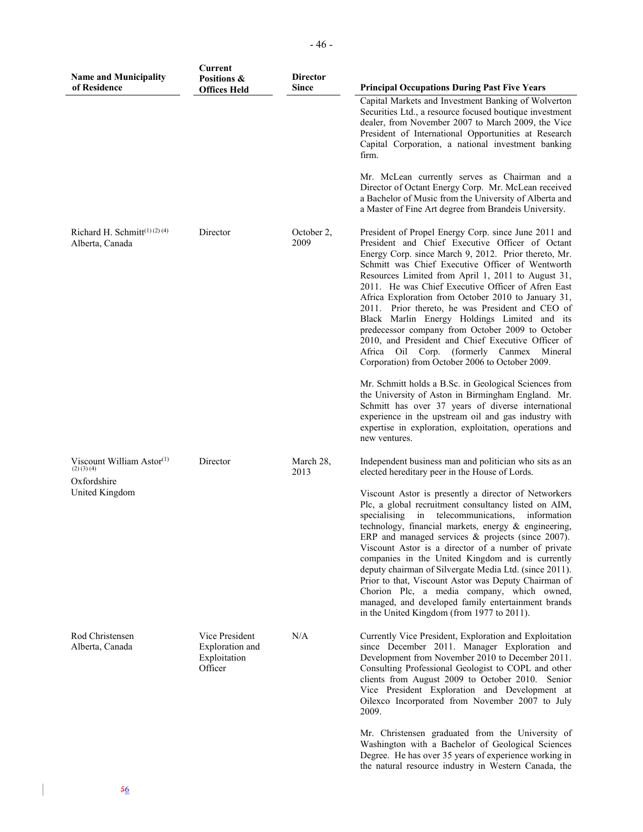| <b>Name and Municipality</b><br>of Residence                     | Current<br>Positions &<br><b>Offices Held</b>                | <b>Director</b><br><b>Since</b> | <b>Principal Occupations During Past Five Years</b>                                                                                                                                                                                                                                                                                                                                                                                                                                                                                                                                                                                                                                                     |
|------------------------------------------------------------------|--------------------------------------------------------------|---------------------------------|---------------------------------------------------------------------------------------------------------------------------------------------------------------------------------------------------------------------------------------------------------------------------------------------------------------------------------------------------------------------------------------------------------------------------------------------------------------------------------------------------------------------------------------------------------------------------------------------------------------------------------------------------------------------------------------------------------|
|                                                                  |                                                              |                                 | Capital Markets and Investment Banking of Wolverton<br>Securities Ltd., a resource focused boutique investment<br>dealer, from November 2007 to March 2009, the Vice<br>President of International Opportunities at Research<br>Capital Corporation, a national investment banking<br>firm.                                                                                                                                                                                                                                                                                                                                                                                                             |
|                                                                  |                                                              |                                 | Mr. McLean currently serves as Chairman and a<br>Director of Octant Energy Corp. Mr. McLean received<br>a Bachelor of Music from the University of Alberta and<br>a Master of Fine Art degree from Brandeis University.                                                                                                                                                                                                                                                                                                                                                                                                                                                                                 |
| Richard H. Schmitt <sup>(1)</sup> (2)(4)<br>Alberta, Canada      | Director                                                     | October 2,<br>2009              | President of Propel Energy Corp. since June 2011 and<br>President and Chief Executive Officer of Octant<br>Energy Corp. since March 9, 2012. Prior thereto, Mr.<br>Schmitt was Chief Executive Officer of Wentworth<br>Resources Limited from April 1, 2011 to August 31,<br>2011. He was Chief Executive Officer of Afren East<br>Africa Exploration from October 2010 to January 31,<br>2011. Prior thereto, he was President and CEO of<br>Black Marlin Energy Holdings Limited and its<br>predecessor company from October 2009 to October<br>2010, and President and Chief Executive Officer of<br>(formerly Canmex Mineral<br>Africa Oil Corp.<br>Corporation) from October 2006 to October 2009. |
|                                                                  |                                                              |                                 | Mr. Schmitt holds a B.Sc. in Geological Sciences from<br>the University of Aston in Birmingham England. Mr.<br>Schmitt has over 37 years of diverse international<br>experience in the upstream oil and gas industry with<br>expertise in exploration, exploitation, operations and<br>new ventures.                                                                                                                                                                                                                                                                                                                                                                                                    |
| Viscount William Astor $(1)$<br>$(2)$ $(3)$ $(4)$<br>Oxfordshire | Director                                                     | March 28,<br>2013               | Independent business man and politician who sits as an<br>elected hereditary peer in the House of Lords.                                                                                                                                                                                                                                                                                                                                                                                                                                                                                                                                                                                                |
| United Kingdom                                                   |                                                              |                                 | Viscount Astor is presently a director of Networkers<br>Plc, a global recruitment consultancy listed on AIM,<br>telecommunications,<br>specialising<br>information<br>in<br>technology, financial markets, energy & engineering,<br>ERP and managed services $\&$ projects (since 2007).<br>Viscount Astor is a director of a number of private<br>companies in the United Kingdom and is currently<br>deputy chairman of Silvergate Media Ltd. (since 2011).<br>Prior to that, Viscount Astor was Deputy Chairman of<br>Chorion Plc, a media company, which owned,<br>managed, and developed family entertainment brands<br>in the United Kingdom (from 1977 to 2011).                                 |
| Rod Christensen<br>Alberta, Canada                               | Vice President<br>Exploration and<br>Exploitation<br>Officer | N/A                             | Currently Vice President, Exploration and Exploitation<br>since December 2011. Manager Exploration and<br>Development from November 2010 to December 2011.<br>Consulting Professional Geologist to COPL and other<br>clients from August 2009 to October 2010. Senior<br>Vice President Exploration and Development at<br>Oilexco Incorporated from November 2007 to July<br>2009.                                                                                                                                                                                                                                                                                                                      |
|                                                                  |                                                              |                                 | Mr. Christensen graduated from the University of<br>Washington with a Bachelor of Geological Sciences<br>Degree. He has over 35 years of experience working in<br>the natural resource industry in Western Canada, the                                                                                                                                                                                                                                                                                                                                                                                                                                                                                  |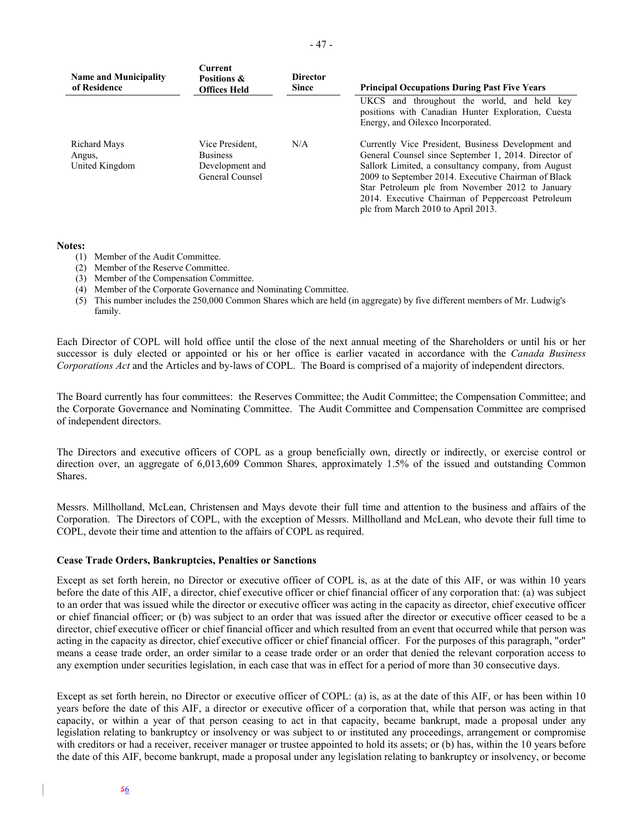| <b>Name and Municipality</b><br>of Residence | <b>Current</b><br>Positions &<br><b>Offices Held</b>                     | <b>Director</b><br><b>Since</b> | <b>Principal Occupations During Past Five Years</b>                                                                                                                                                                                                                                                                                                                     |
|----------------------------------------------|--------------------------------------------------------------------------|---------------------------------|-------------------------------------------------------------------------------------------------------------------------------------------------------------------------------------------------------------------------------------------------------------------------------------------------------------------------------------------------------------------------|
|                                              |                                                                          |                                 | UKCS and throughout the world, and held key<br>positions with Canadian Hunter Exploration, Cuesta<br>Energy, and Oilexco Incorporated.                                                                                                                                                                                                                                  |
| Richard Mays<br>Angus.<br>United Kingdom     | Vice President.<br><b>Business</b><br>Development and<br>General Counsel | N/A                             | Currently Vice President, Business Development and<br>General Counsel since September 1, 2014. Director of<br>Sallork Limited, a consultancy company, from August<br>2009 to September 2014. Executive Chairman of Black<br>Star Petroleum plc from November 2012 to January<br>2014. Executive Chairman of Peppercoast Petroleum<br>plc from March 2010 to April 2013. |

#### **Notes:**

- (1) Member of the Audit Committee.
- (2) Member of the Reserve Committee.
- (3) Member of the Compensation Committee.
- (4) Member of the Corporate Governance and Nominating Committee.
- (5) This number includes the 250,000 Common Shares which are held (in aggregate) by five different members of Mr. Ludwig's family.

Each Director of COPL will hold office until the close of the next annual meeting of the Shareholders or until his or her successor is duly elected or appointed or his or her office is earlier vacated in accordance with the *Canada Business Corporations Act* and the Articles and by-laws of COPL. The Board is comprised of a majority of independent directors.

The Board currently has four committees: the Reserves Committee; the Audit Committee; the Compensation Committee; and the Corporate Governance and Nominating Committee. The Audit Committee and Compensation Committee are comprised of independent directors.

The Directors and executive officers of COPL as a group beneficially own, directly or indirectly, or exercise control or direction over, an aggregate of 6,013,609 Common Shares, approximately 1.5% of the issued and outstanding Common Shares.

Messrs. Millholland, McLean, Christensen and Mays devote their full time and attention to the business and affairs of the Corporation. The Directors of COPL, with the exception of Messrs. Millholland and McLean, who devote their full time to COPL, devote their time and attention to the affairs of COPL as required.

# **Cease Trade Orders, Bankruptcies, Penalties or Sanctions**

Except as set forth herein, no Director or executive officer of COPL is, as at the date of this AIF, or was within 10 years before the date of this AIF, a director, chief executive officer or chief financial officer of any corporation that: (a) was subject to an order that was issued while the director or executive officer was acting in the capacity as director, chief executive officer or chief financial officer; or (b) was subject to an order that was issued after the director or executive officer ceased to be a director, chief executive officer or chief financial officer and which resulted from an event that occurred while that person was acting in the capacity as director, chief executive officer or chief financial officer. For the purposes of this paragraph, "order" means a cease trade order, an order similar to a cease trade order or an order that denied the relevant corporation access to any exemption under securities legislation, in each case that was in effect for a period of more than 30 consecutive days.

Except as set forth herein, no Director or executive officer of COPL: (a) is, as at the date of this AIF, or has been within 10 years before the date of this AIF, a director or executive officer of a corporation that, while that person was acting in that capacity, or within a year of that person ceasing to act in that capacity, became bankrupt, made a proposal under any legislation relating to bankruptcy or insolvency or was subject to or instituted any proceedings, arrangement or compromise with creditors or had a receiver, receiver manager or trustee appointed to hold its assets; or (b) has, within the 10 years before the date of this AIF, become bankrupt, made a proposal under any legislation relating to bankruptcy or insolvency, or become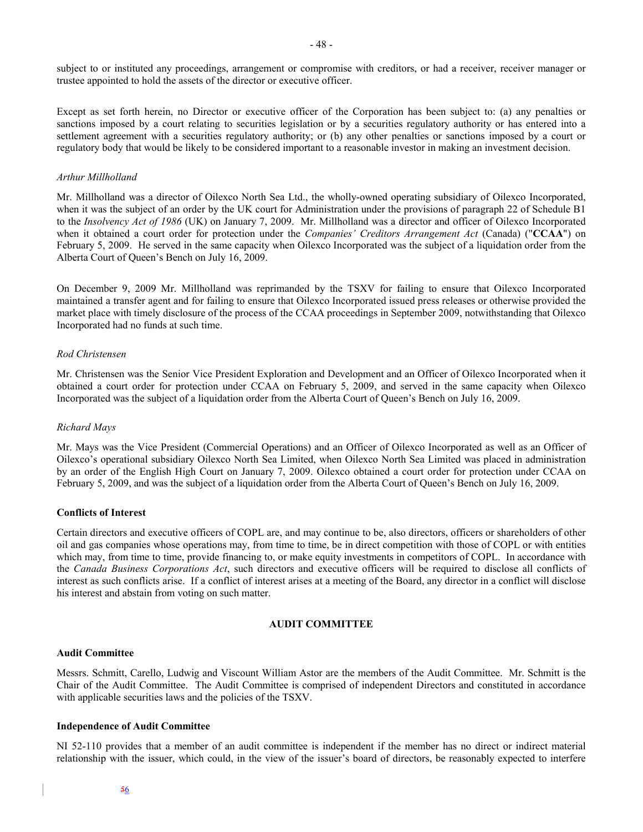subject to or instituted any proceedings, arrangement or compromise with creditors, or had a receiver, receiver manager or trustee appointed to hold the assets of the director or executive officer.

Except as set forth herein, no Director or executive officer of the Corporation has been subject to: (a) any penalties or sanctions imposed by a court relating to securities legislation or by a securities regulatory authority or has entered into a settlement agreement with a securities regulatory authority; or (b) any other penalties or sanctions imposed by a court or regulatory body that would be likely to be considered important to a reasonable investor in making an investment decision.

#### *Arthur Millholland*

Mr. Millholland was a director of Oilexco North Sea Ltd., the wholly-owned operating subsidiary of Oilexco Incorporated, when it was the subject of an order by the UK court for Administration under the provisions of paragraph 22 of Schedule B1 to the *Insolvency Act of 1986* (UK) on January 7, 2009. Mr. Millholland was a director and officer of Oilexco Incorporated when it obtained a court order for protection under the *Companies' Creditors Arrangement Act* (Canada) ("**CCAA**") on February 5, 2009. He served in the same capacity when Oilexco Incorporated was the subject of a liquidation order from the Alberta Court of Queen's Bench on July 16, 2009.

On December 9, 2009 Mr. Millholland was reprimanded by the TSXV for failing to ensure that Oilexco Incorporated maintained a transfer agent and for failing to ensure that Oilexco Incorporated issued press releases or otherwise provided the market place with timely disclosure of the process of the CCAA proceedings in September 2009, notwithstanding that Oilexco Incorporated had no funds at such time.

#### *Rod Christensen*

Mr. Christensen was the Senior Vice President Exploration and Development and an Officer of Oilexco Incorporated when it obtained a court order for protection under CCAA on February 5, 2009, and served in the same capacity when Oilexco Incorporated was the subject of a liquidation order from the Alberta Court of Queen's Bench on July 16, 2009.

#### *Richard Mays*

Mr. Mays was the Vice President (Commercial Operations) and an Officer of Oilexco Incorporated as well as an Officer of Oilexco's operational subsidiary Oilexco North Sea Limited, when Oilexco North Sea Limited was placed in administration by an order of the English High Court on January 7, 2009. Oilexco obtained a court order for protection under CCAA on February 5, 2009, and was the subject of a liquidation order from the Alberta Court of Queen's Bench on July 16, 2009.

#### **Conflicts of Interest**

Certain directors and executive officers of COPL are, and may continue to be, also directors, officers or shareholders of other oil and gas companies whose operations may, from time to time, be in direct competition with those of COPL or with entities which may, from time to time, provide financing to, or make equity investments in competitors of COPL. In accordance with the *Canada Business Corporations Act*, such directors and executive officers will be required to disclose all conflicts of interest as such conflicts arise. If a conflict of interest arises at a meeting of the Board, any director in a conflict will disclose his interest and abstain from voting on such matter.

# **AUDIT COMMITTEE**

#### **Audit Committee**

Messrs. Schmitt, Carello, Ludwig and Viscount William Astor are the members of the Audit Committee. Mr. Schmitt is the Chair of the Audit Committee. The Audit Committee is comprised of independent Directors and constituted in accordance with applicable securities laws and the policies of the TSXV.

#### **Independence of Audit Committee**

NI 52-110 provides that a member of an audit committee is independent if the member has no direct or indirect material relationship with the issuer, which could, in the view of the issuer's board of directors, be reasonably expected to interfere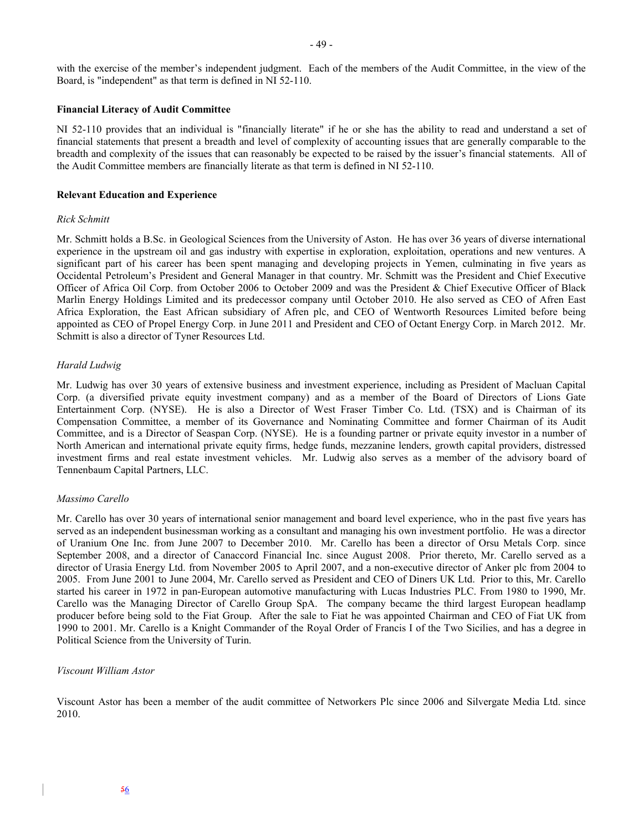with the exercise of the member's independent judgment. Each of the members of the Audit Committee, in the view of the Board, is "independent" as that term is defined in NI 52-110.

#### **Financial Literacy of Audit Committee**

NI 52-110 provides that an individual is "financially literate" if he or she has the ability to read and understand a set of financial statements that present a breadth and level of complexity of accounting issues that are generally comparable to the breadth and complexity of the issues that can reasonably be expected to be raised by the issuer's financial statements. All of the Audit Committee members are financially literate as that term is defined in NI 52-110.

#### **Relevant Education and Experience**

#### *Rick Schmitt*

Mr. Schmitt holds a B.Sc. in Geological Sciences from the University of Aston. He has over 36 years of diverse international experience in the upstream oil and gas industry with expertise in exploration, exploitation, operations and new ventures. A significant part of his career has been spent managing and developing projects in Yemen, culminating in five years as Occidental Petroleum's President and General Manager in that country. Mr. Schmitt was the President and Chief Executive Officer of Africa Oil Corp. from October 2006 to October 2009 and was the President & Chief Executive Officer of Black Marlin Energy Holdings Limited and its predecessor company until October 2010. He also served as CEO of Afren East Africa Exploration, the East African subsidiary of Afren plc, and CEO of Wentworth Resources Limited before being appointed as CEO of Propel Energy Corp. in June 2011 and President and CEO of Octant Energy Corp. in March 2012. Mr. Schmitt is also a director of Tyner Resources Ltd.

#### *Harald Ludwig*

Mr. Ludwig has over 30 years of extensive business and investment experience, including as President of Macluan Capital Corp. (a diversified private equity investment company) and as a member of the Board of Directors of Lions Gate Entertainment Corp. (NYSE). He is also a Director of West Fraser Timber Co. Ltd. (TSX) and is Chairman of its Compensation Committee, a member of its Governance and Nominating Committee and former Chairman of its Audit Committee, and is a Director of Seaspan Corp. (NYSE). He is a founding partner or private equity investor in a number of North American and international private equity firms, hedge funds, mezzanine lenders, growth capital providers, distressed investment firms and real estate investment vehicles. Mr. Ludwig also serves as a member of the advisory board of Tennenbaum Capital Partners, LLC.

#### *Massimo Carello*

Mr. Carello has over 30 years of international senior management and board level experience, who in the past five years has served as an independent businessman working as a consultant and managing his own investment portfolio. He was a director of Uranium One Inc. from June 2007 to December 2010. Mr. Carello has been a director of Orsu Metals Corp. since September 2008, and a director of Canaccord Financial Inc. since August 2008. Prior thereto, Mr. Carello served as a director of Urasia Energy Ltd. from November 2005 to April 2007, and a non-executive director of Anker plc from 2004 to 2005. From June 2001 to June 2004, Mr. Carello served as President and CEO of Diners UK Ltd. Prior to this, Mr. Carello started his career in 1972 in pan-European automotive manufacturing with Lucas Industries PLC. From 1980 to 1990, Mr. Carello was the Managing Director of Carello Group SpA. The company became the third largest European headlamp producer before being sold to the Fiat Group. After the sale to Fiat he was appointed Chairman and CEO of Fiat UK from 1990 to 2001. Mr. Carello is a Knight Commander of the Royal Order of Francis I of the Two Sicilies, and has a degree in Political Science from the University of Turin.

#### *Viscount William Astor*

Viscount Astor has been a member of the audit committee of Networkers Plc since 2006 and Silvergate Media Ltd. since 2010.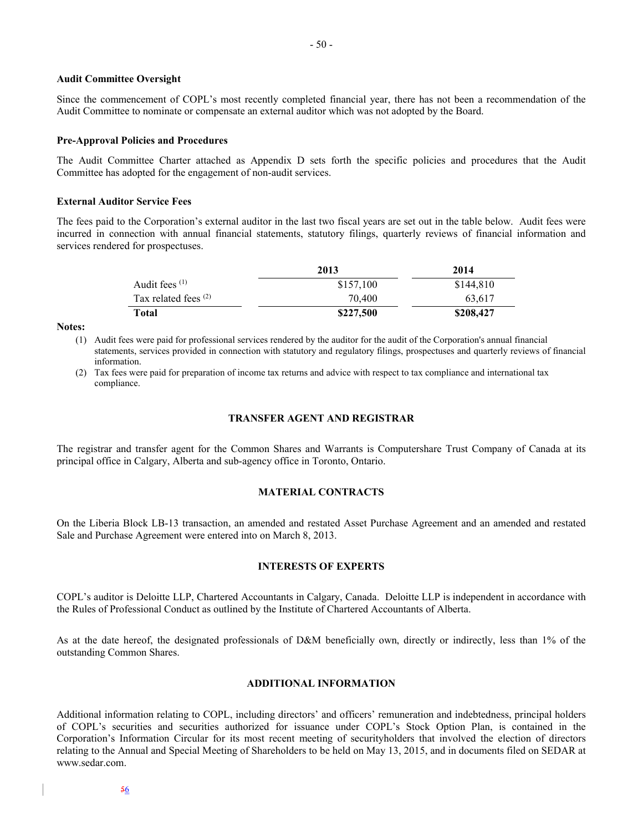#### **Audit Committee Oversight**

Since the commencement of COPL's most recently completed financial year, there has not been a recommendation of the Audit Committee to nominate or compensate an external auditor which was not adopted by the Board.

#### **Pre-Approval Policies and Procedures**

The Audit Committee Charter attached as Appendix D sets forth the specific policies and procedures that the Audit Committee has adopted for the engagement of non-audit services.

#### **External Auditor Service Fees**

The fees paid to the Corporation's external auditor in the last two fiscal years are set out in the table below. Audit fees were incurred in connection with annual financial statements, statutory filings, quarterly reviews of financial information and services rendered for prospectuses.

|                        | 2013      | 2014      |
|------------------------|-----------|-----------|
| Audit fees $(1)$       | \$157,100 | \$144,810 |
| Tax related fees $(2)$ | 70.400    | 63.617    |
| <b>Total</b>           | \$227,500 | \$208,427 |

#### **Notes:**

(1) Audit fees were paid for professional services rendered by the auditor for the audit of the Corporation's annual financial statements, services provided in connection with statutory and regulatory filings, prospectuses and quarterly reviews of financial information.

(2) Tax fees were paid for preparation of income tax returns and advice with respect to tax compliance and international tax compliance.

#### **TRANSFER AGENT AND REGISTRAR**

The registrar and transfer agent for the Common Shares and Warrants is Computershare Trust Company of Canada at its principal office in Calgary, Alberta and sub-agency office in Toronto, Ontario.

# **MATERIAL CONTRACTS**

On the Liberia Block LB-13 transaction, an amended and restated Asset Purchase Agreement and an amended and restated Sale and Purchase Agreement were entered into on March 8, 2013.

# **INTERESTS OF EXPERTS**

COPL's auditor is Deloitte LLP, Chartered Accountants in Calgary, Canada. Deloitte LLP is independent in accordance with the Rules of Professional Conduct as outlined by the Institute of Chartered Accountants of Alberta.

As at the date hereof, the designated professionals of D&M beneficially own, directly or indirectly, less than 1% of the outstanding Common Shares.

# **ADDITIONAL INFORMATION**

Additional information relating to COPL, including directors' and officers' remuneration and indebtedness, principal holders of COPL's securities and securities authorized for issuance under COPL's Stock Option Plan, is contained in the Corporation's Information Circular for its most recent meeting of securityholders that involved the election of directors relating to the Annual and Special Meeting of Shareholders to be held on May 13, 2015, and in documents filed on SEDAR at www.sedar.com.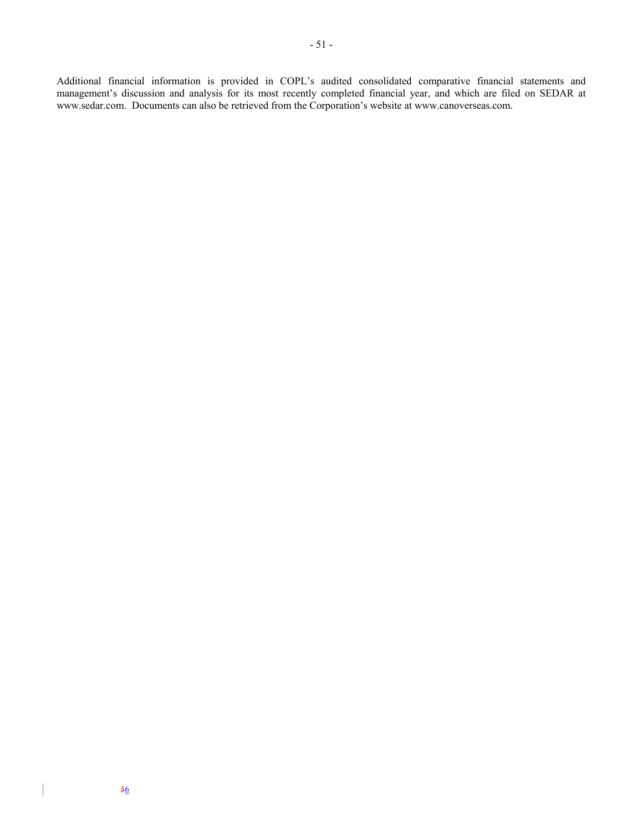Additional financial information is provided in COPL's audited consolidated comparative financial statements and management's discussion and analysis for its most recently completed financial year, and which are filed on SEDAR at www.sedar.com. Documents can also be retrieved from the Corporation's website at www.canoverseas.com.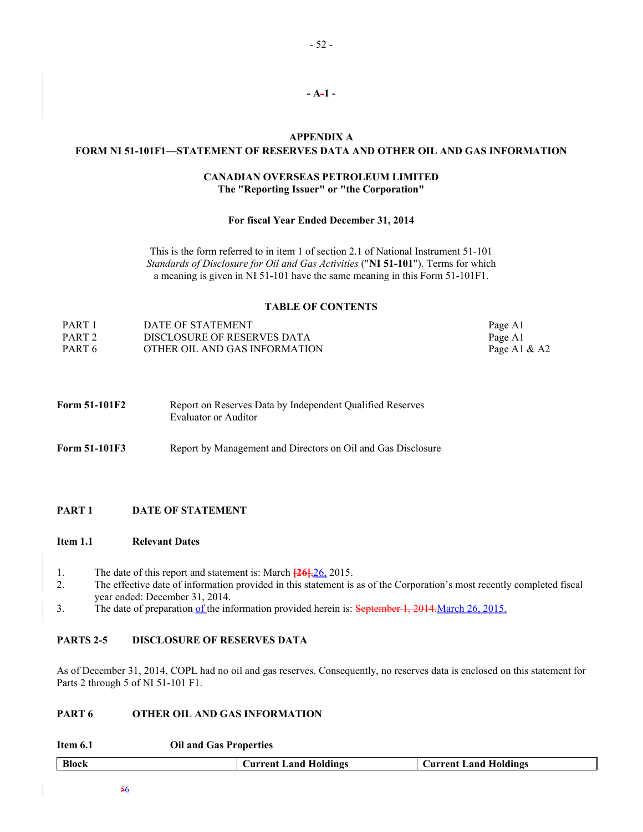**- A-1 -**

- 52 -

# **APPENDIX A**

# **FORM NI 51-101F1—STATEMENT OF RESERVES DATA AND OTHER OIL AND GAS INFORMATION**

# **CANADIAN OVERSEAS PETROLEUM LIMITED The "Reporting Issuer" or "the Corporation"**

# **For fiscal Year Ended December 31, 2014**

This is the form referred to in item 1 of section 2.1 of National Instrument 51-101 *Standards of Disclosure for Oil and Gas Activities* ("**NI 51-101**"). Terms for which a meaning is given in NI 51-101 have the same meaning in this Form 51-101F1.

# **TABLE OF CONTENTS**

| PART 1            | DATE OF STATEMENT             | Page A <sub>1</sub> |
|-------------------|-------------------------------|---------------------|
| PART <sub>2</sub> | DISCLOSURE OF RESERVES DATA   | Page A <sub>1</sub> |
| PART <sub>6</sub> | OTHER OIL AND GAS INFORMATION | Page A1 $&$ A2      |

| Form 51-101F2 | Report on Reserves Data by Independent Qualified Reserves |
|---------------|-----------------------------------------------------------|
|               | Evaluator or Auditor                                      |

**Form 51-101F3** Report by Management and Directors on Oil and Gas Disclosure

# **PART 1 DATE OF STATEMENT**

# **Item 1.1 Relevant Dates**

- 1. The date of this report and statement is: March **[26]**,26, 2015.
- 2. The effective date of information provided in this statement is as of the Corporation's most recently completed fiscal year ended: December 31, 2014.
- 3. The date of preparation of the information provided herein is: September 1, 2014.March 26, 2015.

# **PARTS 2-5 DISCLOSURE OF RESERVES DATA**

As of December 31, 2014, COPL had no oil and gas reserves. Consequently, no reserves data is enclosed on this statement for Parts 2 through 5 of NI 51-101 F1.

# **PART 6 OTHER OIL AND GAS INFORMATION**

| Item 6.1 | <b>Oil and Gas Properties</b> |                              |  |
|----------|-------------------------------|------------------------------|--|
| Block    | <b>Current Land Holdings</b>  | <b>Current Land Holdings</b> |  |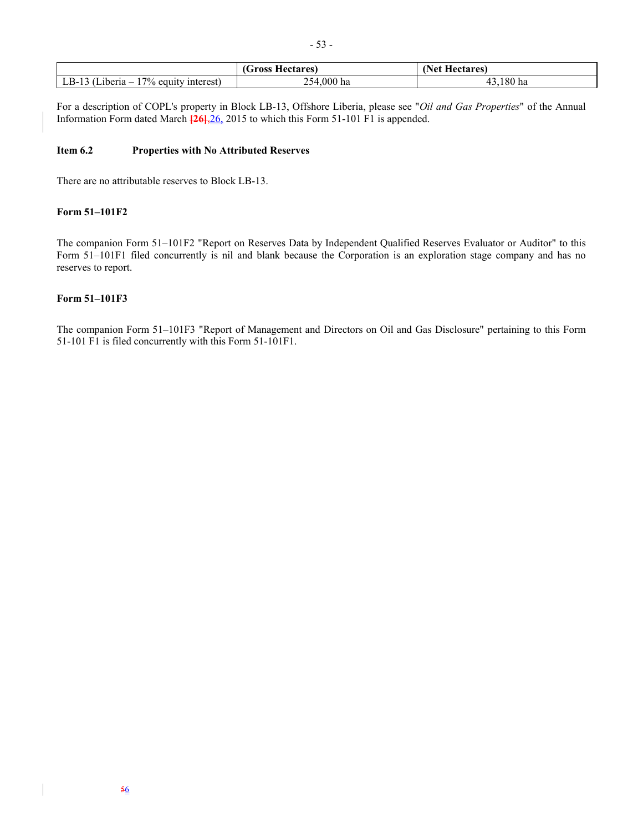|                                              | <b>Hectares</b><br>Gross | (Net<br><b>TT</b><br>Hectares) |
|----------------------------------------------|--------------------------|--------------------------------|
| 17% equity interest)<br>$LB-1?$<br>. Liberia | $000$ ha<br>`^4<br>້     | <sup>1</sup> 80 ha             |

For a description of COPL's property in Block LB-13, Offshore Liberia, please see "*Oil and Gas Properties*" of the Annual Information Form dated March **[26]**,26, 2015 to which this Form 51-101 F1 is appended.

# **Item 6.2 Properties with No Attributed Reserves**

There are no attributable reserves to Block LB-13.

# **Form 51–101F2**

The companion Form 51–101F2 "Report on Reserves Data by Independent Qualified Reserves Evaluator or Auditor" to this Form 51–101F1 filed concurrently is nil and blank because the Corporation is an exploration stage company and has no reserves to report.

# **Form 51–101F3**

The companion Form 51–101F3 "Report of Management and Directors on Oil and Gas Disclosure" pertaining to this Form 51-101 F1 is filed concurrently with this Form 51-101F1.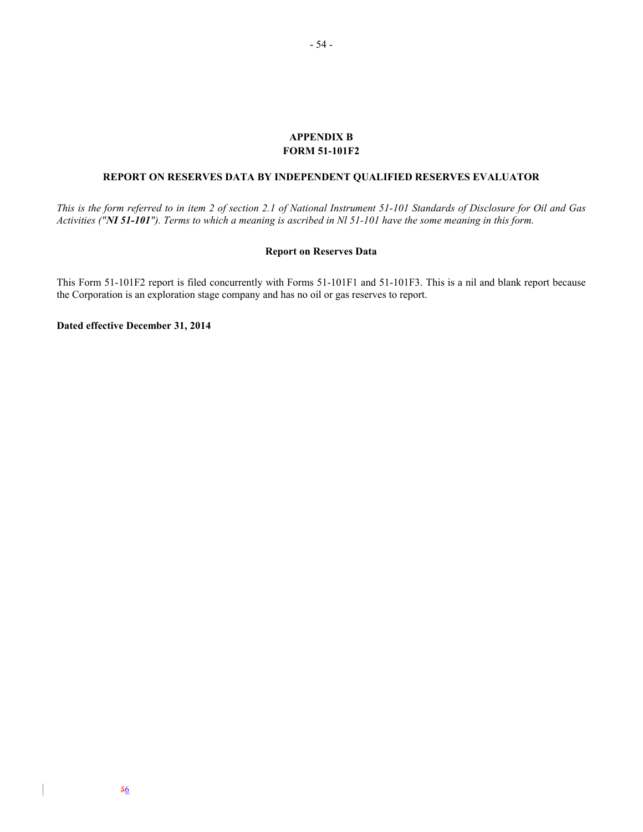# **APPENDIX B FORM 51-101F2**

# **REPORT ON RESERVES DATA BY INDEPENDENT QUALIFIED RESERVES EVALUATOR**

*This is the form referred to in item 2 of section 2.1 of National Instrument 51-101 Standards of Disclosure for Oil and Gas Activities ("NI 51-101"). Terms to which a meaning is ascribed in Nl 51-101 have the some meaning in this form.*

# **Report on Reserves Data**

This Form 51-101F2 report is filed concurrently with Forms 51-101F1 and 51-101F3. This is a nil and blank report because the Corporation is an exploration stage company and has no oil or gas reserves to report.

**Dated effective December 31, 2014**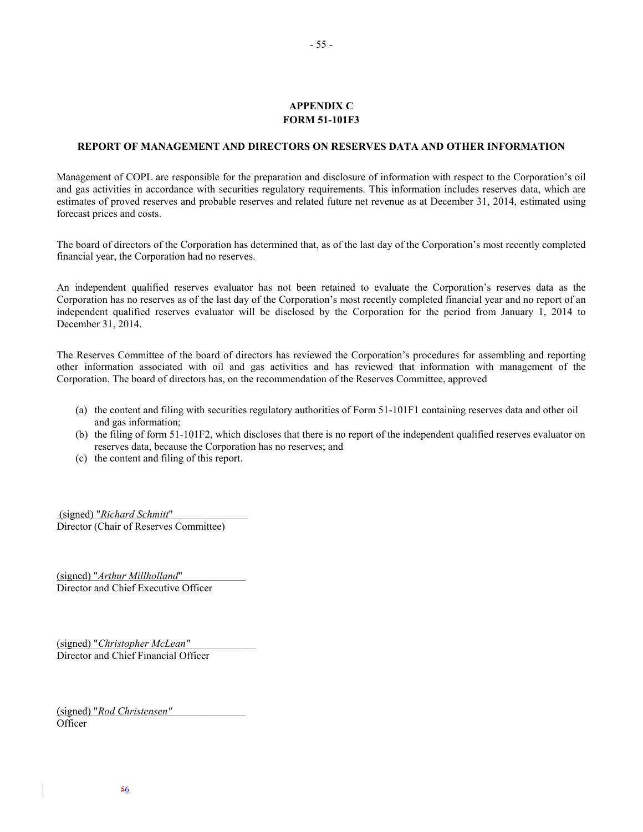# **APPENDIX C FORM 51-101F3**

# **REPORT OF MANAGEMENT AND DIRECTORS ON RESERVES DATA AND OTHER INFORMATION**

Management of COPL are responsible for the preparation and disclosure of information with respect to the Corporation's oil and gas activities in accordance with securities regulatory requirements. This information includes reserves data, which are estimates of proved reserves and probable reserves and related future net revenue as at December 31, 2014, estimated using forecast prices and costs.

The board of directors of the Corporation has determined that, as of the last day of the Corporation's most recently completed financial year, the Corporation had no reserves.

An independent qualified reserves evaluator has not been retained to evaluate the Corporation's reserves data as the Corporation has no reserves as of the last day of the Corporation's most recently completed financial year and no report of an independent qualified reserves evaluator will be disclosed by the Corporation for the period from January 1, 2014 to December 31, 2014.

The Reserves Committee of the board of directors has reviewed the Corporation's procedures for assembling and reporting other information associated with oil and gas activities and has reviewed that information with management of the Corporation. The board of directors has, on the recommendation of the Reserves Committee, approved

- (a) the content and filing with securities regulatory authorities of Form 51-101F1 containing reserves data and other oil and gas information;
- (b) the filing of form 51-101F2, which discloses that there is no report of the independent qualified reserves evaluator on reserves data, because the Corporation has no reserves; and
- (c) the content and filing of this report.

 (signed) "*Richard Schmitt*" . Director (Chair of Reserves Committee)

(signed) "*Arthur Millholland*" . Director and Chief Executive Officer

(signed) "*Christopher McLean"* . Director and Chief Financial Officer

(signed) "*Rod Christensen"* . **Officer**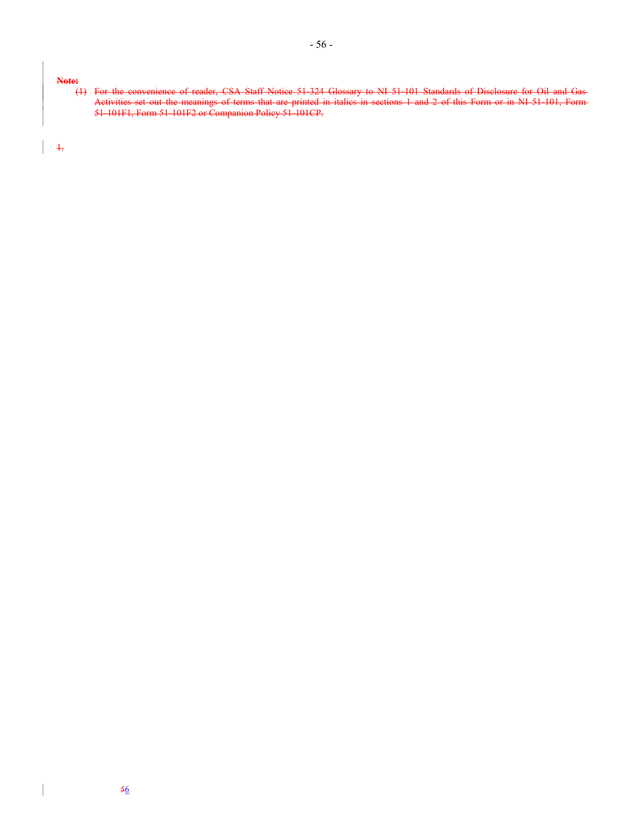# **Note:**

(1) For the convenience of reader, CSA Staff Notice 51-324 Glossary to NI 51-101 Standards of Disclosure for Oil and Gas Activities set out the meanings of terms that are printed in italics in sections 1 and 2 of this Form or in NI 51-101, Form 51-101F1, Form 51-101F2 or Companion Policy 51-101CP.

1.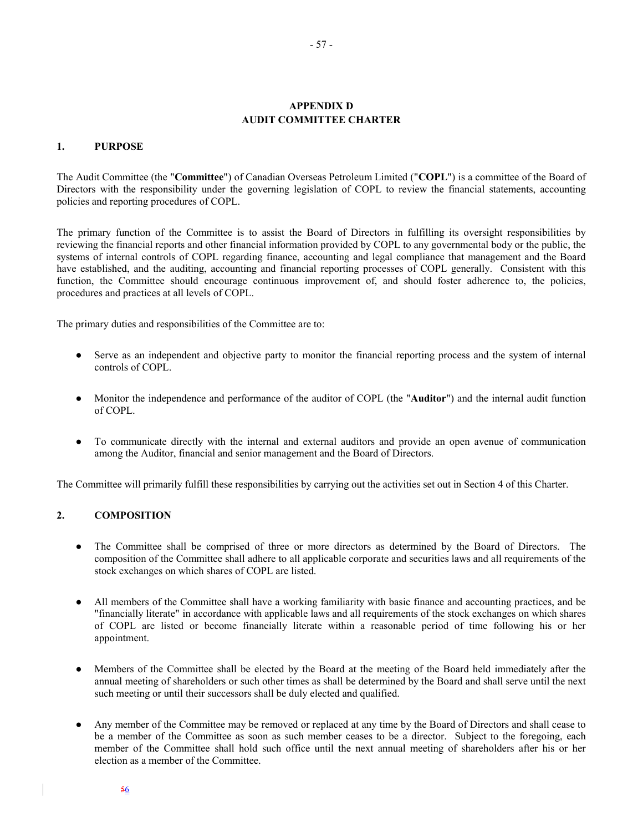# **APPENDIX D AUDIT COMMITTEE CHARTER**

# **1. PURPOSE**

The Audit Committee (the "**Committee**") of Canadian Overseas Petroleum Limited ("**COPL**") is a committee of the Board of Directors with the responsibility under the governing legislation of COPL to review the financial statements, accounting policies and reporting procedures of COPL.

The primary function of the Committee is to assist the Board of Directors in fulfilling its oversight responsibilities by reviewing the financial reports and other financial information provided by COPL to any governmental body or the public, the systems of internal controls of COPL regarding finance, accounting and legal compliance that management and the Board have established, and the auditing, accounting and financial reporting processes of COPL generally. Consistent with this function, the Committee should encourage continuous improvement of, and should foster adherence to, the policies, procedures and practices at all levels of COPL.

The primary duties and responsibilities of the Committee are to:

- Serve as an independent and objective party to monitor the financial reporting process and the system of internal controls of COPL.
- Monitor the independence and performance of the auditor of COPL (the "**Auditor**") and the internal audit function of COPL.
- To communicate directly with the internal and external auditors and provide an open avenue of communication among the Auditor, financial and senior management and the Board of Directors.

The Committee will primarily fulfill these responsibilities by carrying out the activities set out in Section 4 of this Charter.

# **2. COMPOSITION**

- The Committee shall be comprised of three or more directors as determined by the Board of Directors. The composition of the Committee shall adhere to all applicable corporate and securities laws and all requirements of the stock exchanges on which shares of COPL are listed.
- All members of the Committee shall have a working familiarity with basic finance and accounting practices, and be "financially literate" in accordance with applicable laws and all requirements of the stock exchanges on which shares of COPL are listed or become financially literate within a reasonable period of time following his or her appointment.
- Members of the Committee shall be elected by the Board at the meeting of the Board held immediately after the annual meeting of shareholders or such other times as shall be determined by the Board and shall serve until the next such meeting or until their successors shall be duly elected and qualified.
- Any member of the Committee may be removed or replaced at any time by the Board of Directors and shall cease to be a member of the Committee as soon as such member ceases to be a director. Subject to the foregoing, each member of the Committee shall hold such office until the next annual meeting of shareholders after his or her election as a member of the Committee.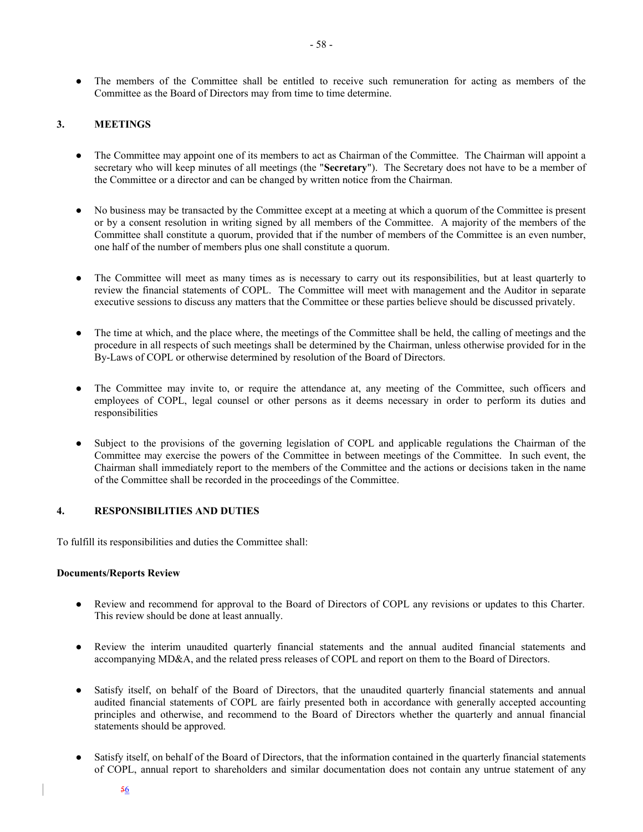The members of the Committee shall be entitled to receive such remuneration for acting as members of the Committee as the Board of Directors may from time to time determine.

# **3. MEETINGS**

- The Committee may appoint one of its members to act as Chairman of the Committee. The Chairman will appoint a secretary who will keep minutes of all meetings (the "**Secretary**"). The Secretary does not have to be a member of the Committee or a director and can be changed by written notice from the Chairman.
- No business may be transacted by the Committee except at a meeting at which a quorum of the Committee is present or by a consent resolution in writing signed by all members of the Committee. A majority of the members of the Committee shall constitute a quorum, provided that if the number of members of the Committee is an even number, one half of the number of members plus one shall constitute a quorum.
- The Committee will meet as many times as is necessary to carry out its responsibilities, but at least quarterly to review the financial statements of COPL. The Committee will meet with management and the Auditor in separate executive sessions to discuss any matters that the Committee or these parties believe should be discussed privately.
- The time at which, and the place where, the meetings of the Committee shall be held, the calling of meetings and the procedure in all respects of such meetings shall be determined by the Chairman, unless otherwise provided for in the By-Laws of COPL or otherwise determined by resolution of the Board of Directors.
- The Committee may invite to, or require the attendance at, any meeting of the Committee, such officers and employees of COPL, legal counsel or other persons as it deems necessary in order to perform its duties and responsibilities
- Subject to the provisions of the governing legislation of COPL and applicable regulations the Chairman of the Committee may exercise the powers of the Committee in between meetings of the Committee. In such event, the Chairman shall immediately report to the members of the Committee and the actions or decisions taken in the name of the Committee shall be recorded in the proceedings of the Committee.

# **4. RESPONSIBILITIES AND DUTIES**

To fulfill its responsibilities and duties the Committee shall:

# **Documents/Reports Review**

- Review and recommend for approval to the Board of Directors of COPL any revisions or updates to this Charter. This review should be done at least annually.
- Review the interim unaudited quarterly financial statements and the annual audited financial statements and accompanying MD&A, and the related press releases of COPL and report on them to the Board of Directors.
- Satisfy itself, on behalf of the Board of Directors, that the unaudited quarterly financial statements and annual audited financial statements of COPL are fairly presented both in accordance with generally accepted accounting principles and otherwise, and recommend to the Board of Directors whether the quarterly and annual financial statements should be approved.
- Satisfy itself, on behalf of the Board of Directors, that the information contained in the quarterly financial statements of COPL, annual report to shareholders and similar documentation does not contain any untrue statement of any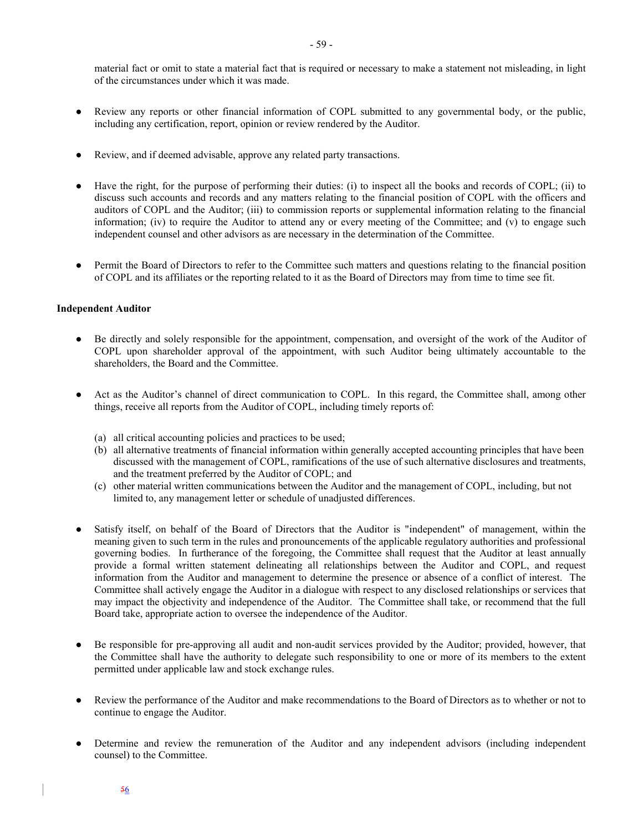material fact or omit to state a material fact that is required or necessary to make a statement not misleading, in light of the circumstances under which it was made.

- Review any reports or other financial information of COPL submitted to any governmental body, or the public, including any certification, report, opinion or review rendered by the Auditor.
- Review, and if deemed advisable, approve any related party transactions.
- Have the right, for the purpose of performing their duties: (i) to inspect all the books and records of COPL; (ii) to discuss such accounts and records and any matters relating to the financial position of COPL with the officers and auditors of COPL and the Auditor; (iii) to commission reports or supplemental information relating to the financial information; (iv) to require the Auditor to attend any or every meeting of the Committee; and (v) to engage such independent counsel and other advisors as are necessary in the determination of the Committee.
- Permit the Board of Directors to refer to the Committee such matters and questions relating to the financial position of COPL and its affiliates or the reporting related to it as the Board of Directors may from time to time see fit.

# **Independent Auditor**

- Be directly and solely responsible for the appointment, compensation, and oversight of the work of the Auditor of COPL upon shareholder approval of the appointment, with such Auditor being ultimately accountable to the shareholders, the Board and the Committee.
- Act as the Auditor's channel of direct communication to COPL. In this regard, the Committee shall, among other things, receive all reports from the Auditor of COPL, including timely reports of:
	- (a) all critical accounting policies and practices to be used;
	- (b) all alternative treatments of financial information within generally accepted accounting principles that have been discussed with the management of COPL, ramifications of the use of such alternative disclosures and treatments, and the treatment preferred by the Auditor of COPL; and
	- (c) other material written communications between the Auditor and the management of COPL, including, but not limited to, any management letter or schedule of unadjusted differences.
- Satisfy itself, on behalf of the Board of Directors that the Auditor is "independent" of management, within the meaning given to such term in the rules and pronouncements of the applicable regulatory authorities and professional governing bodies. In furtherance of the foregoing, the Committee shall request that the Auditor at least annually provide a formal written statement delineating all relationships between the Auditor and COPL, and request information from the Auditor and management to determine the presence or absence of a conflict of interest. The Committee shall actively engage the Auditor in a dialogue with respect to any disclosed relationships or services that may impact the objectivity and independence of the Auditor. The Committee shall take, or recommend that the full Board take, appropriate action to oversee the independence of the Auditor.
- Be responsible for pre-approving all audit and non-audit services provided by the Auditor; provided, however, that the Committee shall have the authority to delegate such responsibility to one or more of its members to the extent permitted under applicable law and stock exchange rules.
- Review the performance of the Auditor and make recommendations to the Board of Directors as to whether or not to continue to engage the Auditor.
- Determine and review the remuneration of the Auditor and any independent advisors (including independent counsel) to the Committee.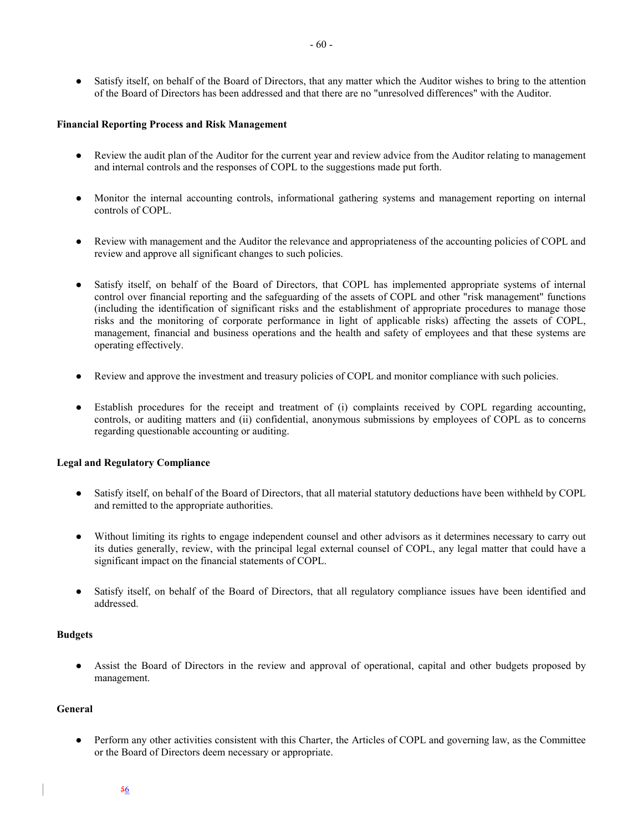Satisfy itself, on behalf of the Board of Directors, that any matter which the Auditor wishes to bring to the attention of the Board of Directors has been addressed and that there are no "unresolved differences" with the Auditor.

# **Financial Reporting Process and Risk Management**

- Review the audit plan of the Auditor for the current year and review advice from the Auditor relating to management and internal controls and the responses of COPL to the suggestions made put forth.
- Monitor the internal accounting controls, informational gathering systems and management reporting on internal controls of COPL.
- Review with management and the Auditor the relevance and appropriateness of the accounting policies of COPL and review and approve all significant changes to such policies.
- Satisfy itself, on behalf of the Board of Directors, that COPL has implemented appropriate systems of internal control over financial reporting and the safeguarding of the assets of COPL and other "risk management" functions (including the identification of significant risks and the establishment of appropriate procedures to manage those risks and the monitoring of corporate performance in light of applicable risks) affecting the assets of COPL, management, financial and business operations and the health and safety of employees and that these systems are operating effectively.
- Review and approve the investment and treasury policies of COPL and monitor compliance with such policies.
- Establish procedures for the receipt and treatment of (i) complaints received by COPL regarding accounting, controls, or auditing matters and (ii) confidential, anonymous submissions by employees of COPL as to concerns regarding questionable accounting or auditing.

# **Legal and Regulatory Compliance**

- Satisfy itself, on behalf of the Board of Directors, that all material statutory deductions have been withheld by COPL and remitted to the appropriate authorities.
- Without limiting its rights to engage independent counsel and other advisors as it determines necessary to carry out its duties generally, review, with the principal legal external counsel of COPL, any legal matter that could have a significant impact on the financial statements of COPL.
- Satisfy itself, on behalf of the Board of Directors, that all regulatory compliance issues have been identified and addressed.

# **Budgets**

Assist the Board of Directors in the review and approval of operational, capital and other budgets proposed by management.

# **General**

Perform any other activities consistent with this Charter, the Articles of COPL and governing law, as the Committee or the Board of Directors deem necessary or appropriate.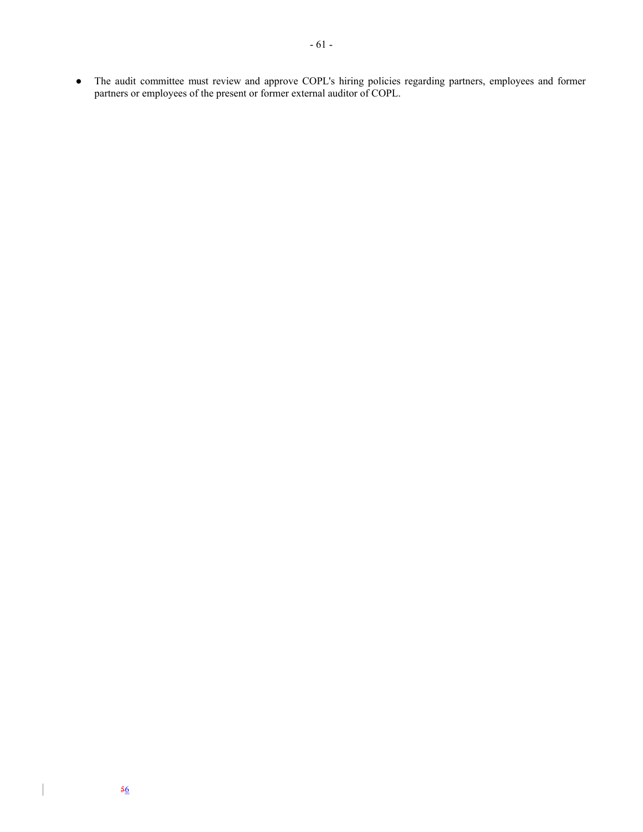● The audit committee must review and approve COPL's hiring policies regarding partners, employees and former partners or employees of the present or former external auditor of COPL.

 $\begin{array}{c} \hline \end{array}$